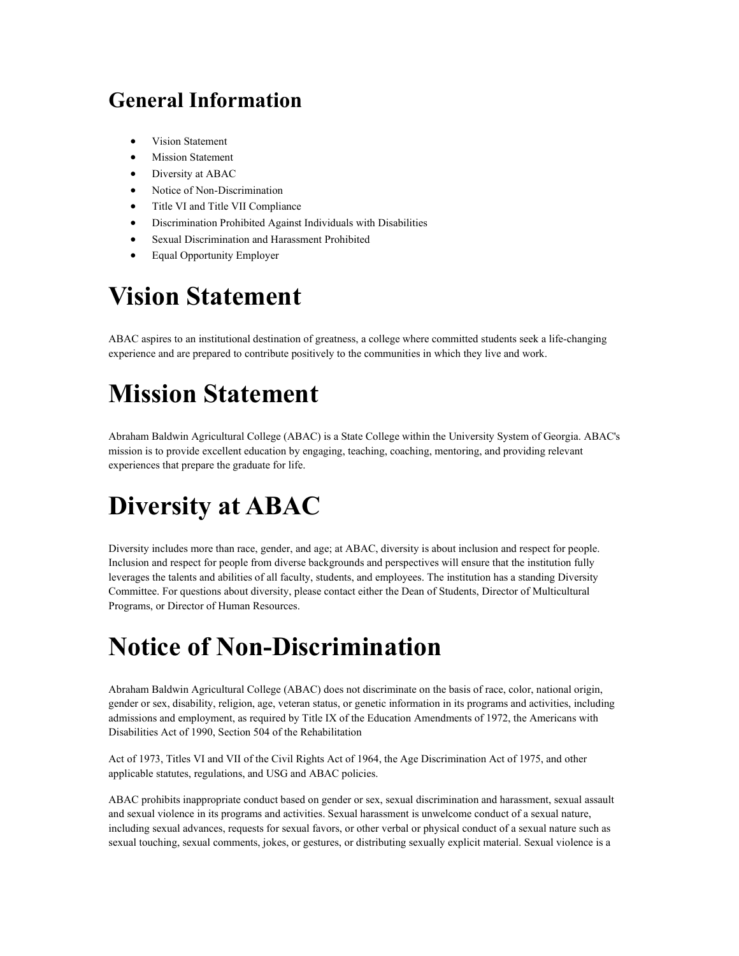## **General Information**

- Vision Statement
- Mission Statement
- Diversity at ABAC
- Notice of Non-Discrimination
- Title VI and Title VII Compliance
- Discrimination Prohibited Against Individuals with Disabilities
- Sexual Discrimination and Harassment Prohibited
- Equal Opportunity Employer

# **Vision Statement**

ABAC aspires to an institutional destination of greatness, a college where committed students seek a life-changing experience and are prepared to contribute positively to the communities in which they live and work.

# **Mission Statement**

Abraham Baldwin Agricultural College (ABAC) is a State College within the University System of Georgia. ABAC's mission is to provide excellent education by engaging, teaching, coaching, mentoring, and providing relevant experiences that prepare the graduate for life.

# **Diversity at ABAC**

Diversity includes more than race, gender, and age; at ABAC, diversity is about inclusion and respect for people. Inclusion and respect for people from diverse backgrounds and perspectives will ensure that the institution fully leverages the talents and abilities of all faculty, students, and employees. The institution has a standing Diversity Committee. For questions about diversity, please contact either the Dean of Students, Director of Multicultural Programs, or Director of Human Resources.

# **Notice of Non-Discrimination**

Abraham Baldwin Agricultural College (ABAC) does not discriminate on the basis of race, color, national origin, gender or sex, disability, religion, age, veteran status, or genetic information in its programs and activities, including admissions and employment, as required by Title IX of the Education Amendments of 1972, the Americans with Disabilities Act of 1990, Section 504 of the Rehabilitation

Act of 1973, Titles VI and VII of the Civil Rights Act of 1964, the Age Discrimination Act of 1975, and other applicable statutes, regulations, and USG and ABAC policies.

ABAC prohibits inappropriate conduct based on gender or sex, sexual discrimination and harassment, sexual assault and sexual violence in its programs and activities. Sexual harassment is unwelcome conduct of a sexual nature, including sexual advances, requests for sexual favors, or other verbal or physical conduct of a sexual nature such as sexual touching, sexual comments, jokes, or gestures, or distributing sexually explicit material. Sexual violence is a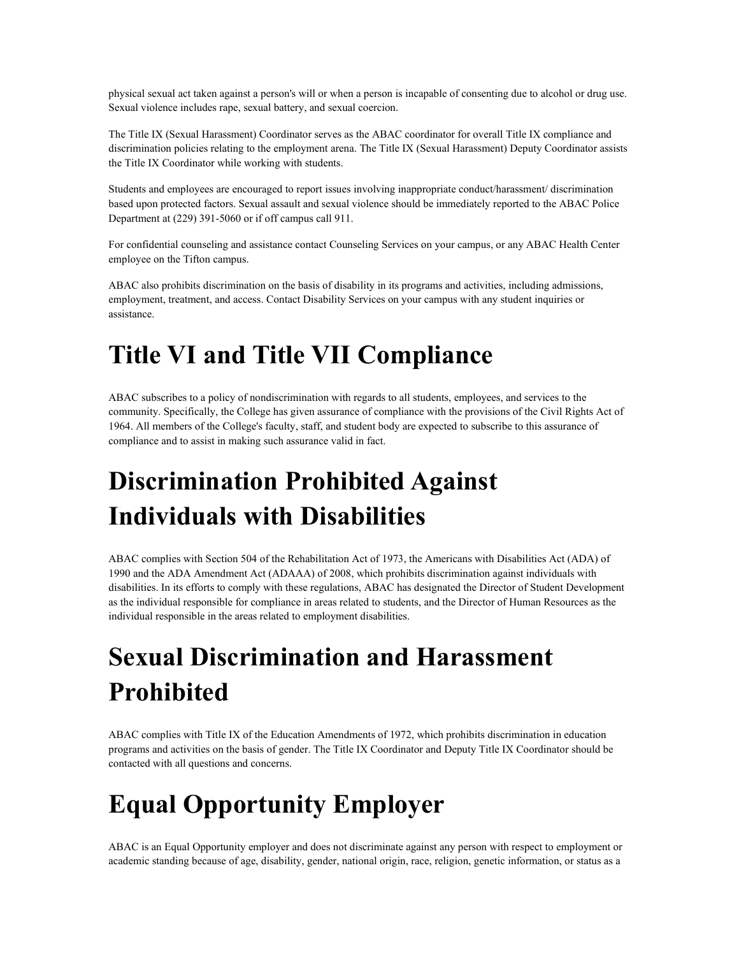physical sexual act taken against a person's will or when a person is incapable of consenting due to alcohol or drug use. Sexual violence includes rape, sexual battery, and sexual coercion.

The Title IX (Sexual Harassment) Coordinator serves as the ABAC coordinator for overall Title IX compliance and discrimination policies relating to the employment arena. The Title IX (Sexual Harassment) Deputy Coordinator assists the Title IX Coordinator while working with students.

Students and employees are encouraged to report issues involving inappropriate conduct/harassment/ discrimination based upon protected factors. Sexual assault and sexual violence should be immediately reported to the ABAC Police Department at (229) 391-5060 or if off campus call 911.

For confidential counseling and assistance contact Counseling Services on your campus, or any ABAC Health Center employee on the Tifton campus.

ABAC also prohibits discrimination on the basis of disability in its programs and activities, including admissions, employment, treatment, and access. Contact Disability Services on your campus with any student inquiries or assistance.

# **Title VI and Title VII Compliance**

ABAC subscribes to a policy of nondiscrimination with regards to all students, employees, and services to the community. Specifically, the College has given assurance of compliance with the provisions of the Civil Rights Act of 1964. All members of the College's faculty, staff, and student body are expected to subscribe to this assurance of compliance and to assist in making such assurance valid in fact.

# **Discrimination Prohibited Against Individuals with Disabilities**

ABAC complies with Section 504 of the Rehabilitation Act of 1973, the Americans with Disabilities Act (ADA) of 1990 and the ADA Amendment Act (ADAAA) of 2008, which prohibits discrimination against individuals with disabilities. In its efforts to comply with these regulations, ABAC has designated the Director of Student Development as the individual responsible for compliance in areas related to students, and the Director of Human Resources as the individual responsible in the areas related to employment disabilities.

# **Sexual Discrimination and Harassment Prohibited**

ABAC complies with Title IX of the Education Amendments of 1972, which prohibits discrimination in education programs and activities on the basis of gender. The Title IX Coordinator and Deputy Title IX Coordinator should be contacted with all questions and concerns.

# **Equal Opportunity Employer**

ABAC is an Equal Opportunity employer and does not discriminate against any person with respect to employment or academic standing because of age, disability, gender, national origin, race, religion, genetic information, or status as a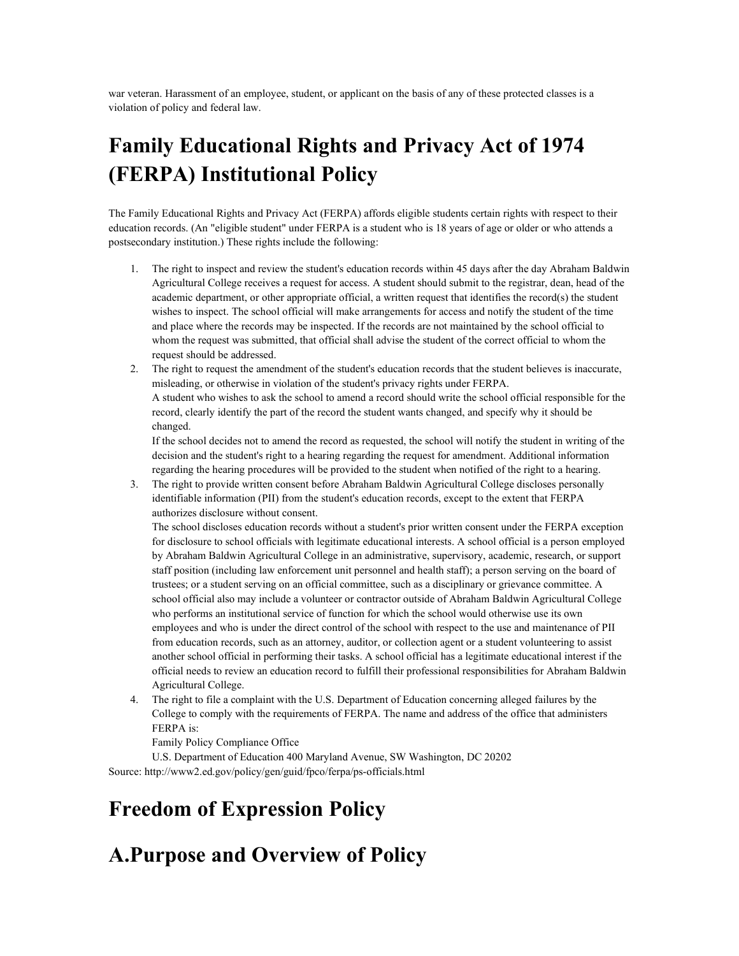war veteran. Harassment of an employee, student, or applicant on the basis of any of these protected classes is a violation of policy and federal law.

# **Family Educational Rights and Privacy Act of 1974 (FERPA) Institutional Policy**

The Family Educational Rights and Privacy Act (FERPA) affords eligible students certain rights with respect to their education records. (An "eligible student" under FERPA is a student who is 18 years of age or older or who attends a postsecondary institution.) These rights include the following:

- 1. The right to inspect and review the student's education records within 45 days after the day Abraham Baldwin Agricultural College receives a request for access. A student should submit to the registrar, dean, head of the academic department, or other appropriate official, a written request that identifies the record(s) the student wishes to inspect. The school official will make arrangements for access and notify the student of the time and place where the records may be inspected. If the records are not maintained by the school official to whom the request was submitted, that official shall advise the student of the correct official to whom the request should be addressed.
- 2. The right to request the amendment of the student's education records that the student believes is inaccurate, misleading, or otherwise in violation of the student's privacy rights under FERPA. A student who wishes to ask the school to amend a record should write the school official responsible for the record, clearly identify the part of the record the student wants changed, and specify why it should be changed.

If the school decides not to amend the record as requested, the school will notify the student in writing of the decision and the student's right to a hearing regarding the request for amendment. Additional information regarding the hearing procedures will be provided to the student when notified of the right to a hearing.

3. The right to provide written consent before Abraham Baldwin Agricultural College discloses personally identifiable information (PII) from the student's education records, except to the extent that FERPA authorizes disclosure without consent.

The school discloses education records without a student's prior written consent under the FERPA exception for disclosure to school officials with legitimate educational interests. A school official is a person employed by Abraham Baldwin Agricultural College in an administrative, supervisory, academic, research, or support staff position (including law enforcement unit personnel and health staff); a person serving on the board of trustees; or a student serving on an official committee, such as a disciplinary or grievance committee. A school official also may include a volunteer or contractor outside of Abraham Baldwin Agricultural College who performs an institutional service of function for which the school would otherwise use its own employees and who is under the direct control of the school with respect to the use and maintenance of PII from education records, such as an attorney, auditor, or collection agent or a student volunteering to assist another school official in performing their tasks. A school official has a legitimate educational interest if the official needs to review an education record to fulfill their professional responsibilities for Abraham Baldwin Agricultural College.

4. The right to file a complaint with the U.S. Department of Education concerning alleged failures by the College to comply with the requirements of FERPA. The name and address of the office that administers FERPA is:

Family Policy Compliance Office

U.S. Department of Education 400 Maryland Avenue, SW Washington, DC 20202 Source: http://www2.ed.gov/policy/gen/guid/fpco/ferpa/ps-officials.html

#### **Freedom of Expression Policy**

#### **A.Purpose and Overview of Policy**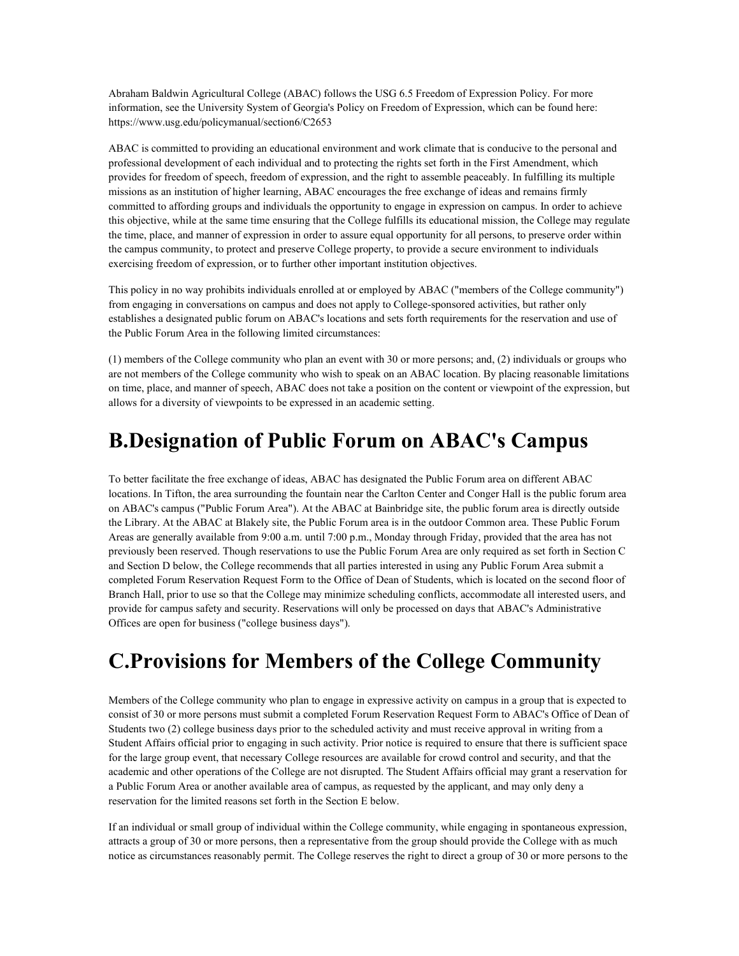Abraham Baldwin Agricultural College (ABAC) follows the USG 6.5 Freedom of Expression Policy. For more information, see the University System of Georgia's Policy on Freedom of Expression, which can be found here: https://www.usg.edu/policymanual/section6/C2653

ABAC is committed to providing an educational environment and work climate that is conducive to the personal and professional development of each individual and to protecting the rights set forth in the First Amendment, which provides for freedom of speech, freedom of expression, and the right to assemble peaceably. In fulfilling its multiple missions as an institution of higher learning, ABAC encourages the free exchange of ideas and remains firmly committed to affording groups and individuals the opportunity to engage in expression on campus. In order to achieve this objective, while at the same time ensuring that the College fulfills its educational mission, the College may regulate the time, place, and manner of expression in order to assure equal opportunity for all persons, to preserve order within the campus community, to protect and preserve College property, to provide a secure environment to individuals exercising freedom of expression, or to further other important institution objectives.

This policy in no way prohibits individuals enrolled at or employed by ABAC ("members of the College community") from engaging in conversations on campus and does not apply to College-sponsored activities, but rather only establishes a designated public forum on ABAC's locations and sets forth requirements for the reservation and use of the Public Forum Area in the following limited circumstances:

(1) members of the College community who plan an event with 30 or more persons; and, (2) individuals or groups who are not members of the College community who wish to speak on an ABAC location. By placing reasonable limitations on time, place, and manner of speech, ABAC does not take a position on the content or viewpoint of the expression, but allows for a diversity of viewpoints to be expressed in an academic setting.

#### **B.Designation of Public Forum on ABAC's Campus**

To better facilitate the free exchange of ideas, ABAC has designated the Public Forum area on different ABAC locations. In Tifton, the area surrounding the fountain near the Carlton Center and Conger Hall is the public forum area on ABAC's campus ("Public Forum Area"). At the ABAC at Bainbridge site, the public forum area is directly outside the Library. At the ABAC at Blakely site, the Public Forum area is in the outdoor Common area. These Public Forum Areas are generally available from 9:00 a.m. until 7:00 p.m., Monday through Friday, provided that the area has not previously been reserved. Though reservations to use the Public Forum Area are only required as set forth in Section C and Section D below, the College recommends that all parties interested in using any Public Forum Area submit a completed Forum Reservation Request Form to the Office of Dean of Students, which is located on the second floor of Branch Hall, prior to use so that the College may minimize scheduling conflicts, accommodate all interested users, and provide for campus safety and security. Reservations will only be processed on days that ABAC's Administrative Offices are open for business ("college business days").

### **C.Provisions for Members of the College Community**

Members of the College community who plan to engage in expressive activity on campus in a group that is expected to consist of 30 or more persons must submit a completed Forum Reservation Request Form to ABAC's Office of Dean of Students two (2) college business days prior to the scheduled activity and must receive approval in writing from a Student Affairs official prior to engaging in such activity. Prior notice is required to ensure that there is sufficient space for the large group event, that necessary College resources are available for crowd control and security, and that the academic and other operations of the College are not disrupted. The Student Affairs official may grant a reservation for a Public Forum Area or another available area of campus, as requested by the applicant, and may only deny a reservation for the limited reasons set forth in the Section E below.

If an individual or small group of individual within the College community, while engaging in spontaneous expression, attracts a group of 30 or more persons, then a representative from the group should provide the College with as much notice as circumstances reasonably permit. The College reserves the right to direct a group of 30 or more persons to the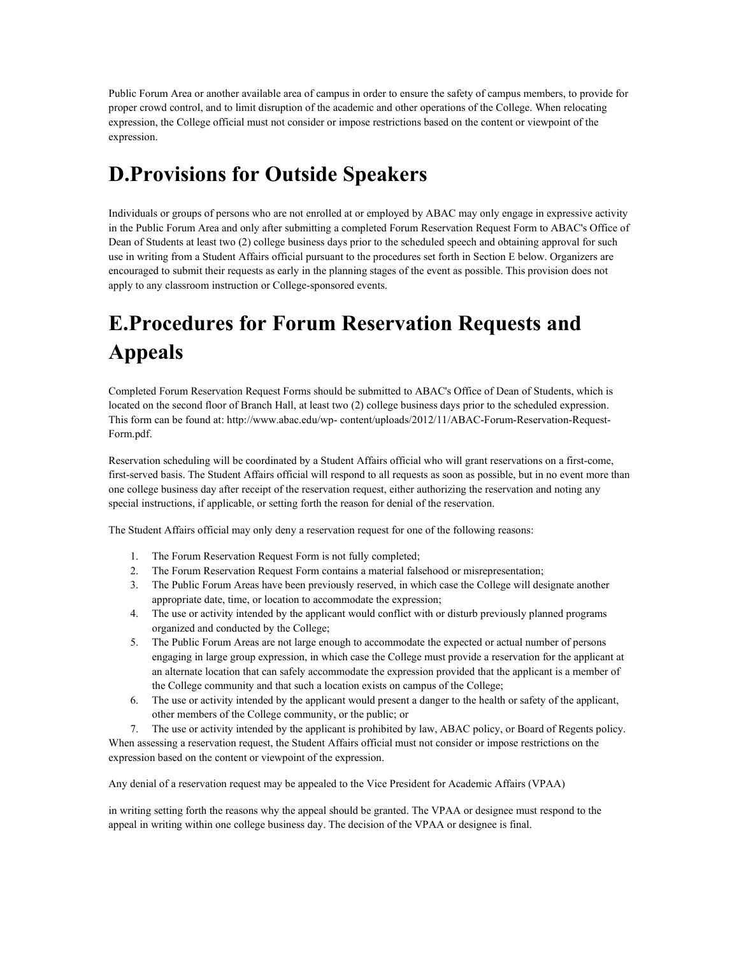Public Forum Area or another available area of campus in order to ensure the safety of campus members, to provide for proper crowd control, and to limit disruption of the academic and other operations of the College. When relocating expression, the College official must not consider or impose restrictions based on the content or viewpoint of the expression.

# **D.Provisions for Outside Speakers**

Individuals or groups of persons who are not enrolled at or employed by ABAC may only engage in expressive activity in the Public Forum Area and only after submitting a completed Forum Reservation Request Form to ABAC's Office of Dean of Students at least two (2) college business days prior to the scheduled speech and obtaining approval for such use in writing from a Student Affairs official pursuant to the procedures set forth in Section E below. Organizers are encouraged to submit their requests as early in the planning stages of the event as possible. This provision does not apply to any classroom instruction or College-sponsored events.

# **E.Procedures for Forum Reservation Requests and Appeals**

Completed Forum Reservation Request Forms should be submitted to ABAC's Office of Dean of Students, which is located on the second floor of Branch Hall, at least two (2) college business days prior to the scheduled expression. This form can be found at: http://www.abac.edu/wp- content/uploads/2012/11/ABAC-Forum-Reservation-Request-Form.pdf.

Reservation scheduling will be coordinated by a Student Affairs official who will grant reservations on a first-come, first-served basis. The Student Affairs official will respond to all requests as soon as possible, but in no event more than one college business day after receipt of the reservation request, either authorizing the reservation and noting any special instructions, if applicable, or setting forth the reason for denial of the reservation.

The Student Affairs official may only deny a reservation request for one of the following reasons:

- 1. The Forum Reservation Request Form is not fully completed;
- 2. The Forum Reservation Request Form contains a material falsehood or misrepresentation;
- 3. The Public Forum Areas have been previously reserved, in which case the College will designate another appropriate date, time, or location to accommodate the expression;
- 4. The use or activity intended by the applicant would conflict with or disturb previously planned programs organized and conducted by the College;
- 5. The Public Forum Areas are not large enough to accommodate the expected or actual number of persons engaging in large group expression, in which case the College must provide a reservation for the applicant at an alternate location that can safely accommodate the expression provided that the applicant is a member of the College community and that such a location exists on campus of the College;
- 6. The use or activity intended by the applicant would present a danger to the health or safety of the applicant, other members of the College community, or the public; or

7. The use or activity intended by the applicant is prohibited by law, ABAC policy, or Board of Regents policy. When assessing a reservation request, the Student Affairs official must not consider or impose restrictions on the expression based on the content or viewpoint of the expression.

Any denial of a reservation request may be appealed to the Vice President for Academic Affairs (VPAA)

in writing setting forth the reasons why the appeal should be granted. The VPAA or designee must respond to the appeal in writing within one college business day. The decision of the VPAA or designee is final.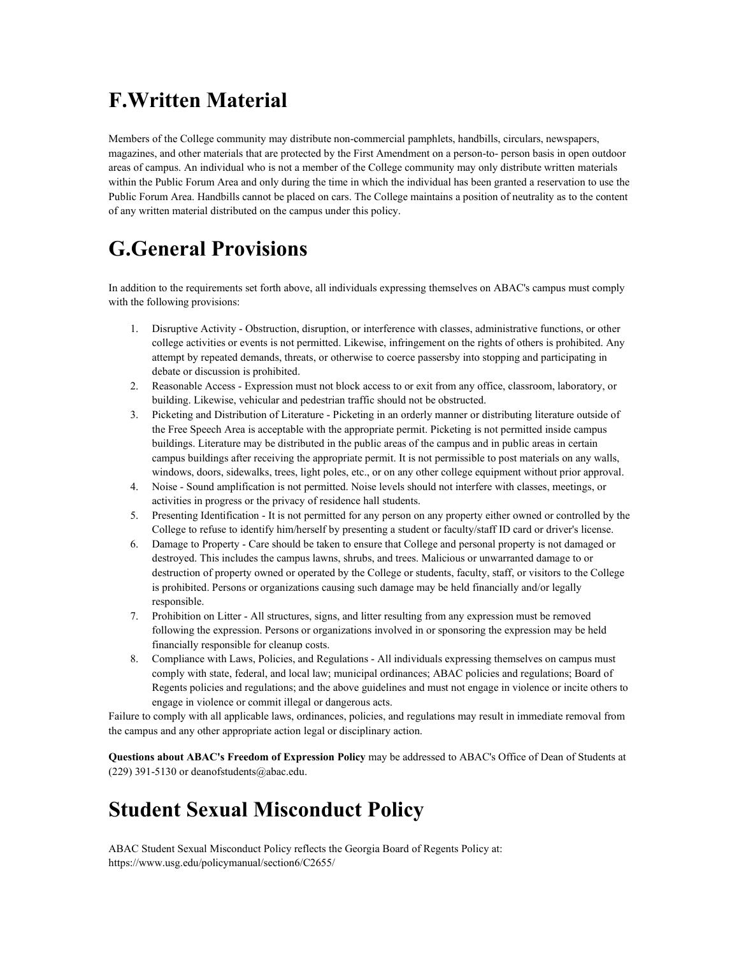# **F.Written Material**

Members of the College community may distribute non-commercial pamphlets, handbills, circulars, newspapers, magazines, and other materials that are protected by the First Amendment on a person-to- person basis in open outdoor areas of campus. An individual who is not a member of the College community may only distribute written materials within the Public Forum Area and only during the time in which the individual has been granted a reservation to use the Public Forum Area. Handbills cannot be placed on cars. The College maintains a position of neutrality as to the content of any written material distributed on the campus under this policy.

# **G.General Provisions**

In addition to the requirements set forth above, all individuals expressing themselves on ABAC's campus must comply with the following provisions:

- 1. Disruptive Activity Obstruction, disruption, or interference with classes, administrative functions, or other college activities or events is not permitted. Likewise, infringement on the rights of others is prohibited. Any attempt by repeated demands, threats, or otherwise to coerce passersby into stopping and participating in debate or discussion is prohibited.
- 2. Reasonable Access Expression must not block access to or exit from any office, classroom, laboratory, or building. Likewise, vehicular and pedestrian traffic should not be obstructed.
- 3. Picketing and Distribution of Literature Picketing in an orderly manner or distributing literature outside of the Free Speech Area is acceptable with the appropriate permit. Picketing is not permitted inside campus buildings. Literature may be distributed in the public areas of the campus and in public areas in certain campus buildings after receiving the appropriate permit. It is not permissible to post materials on any walls, windows, doors, sidewalks, trees, light poles, etc., or on any other college equipment without prior approval.
- 4. Noise Sound amplification is not permitted. Noise levels should not interfere with classes, meetings, or activities in progress or the privacy of residence hall students.
- 5. Presenting Identification It is not permitted for any person on any property either owned or controlled by the College to refuse to identify him/herself by presenting a student or faculty/staff ID card or driver's license.
- 6. Damage to Property Care should be taken to ensure that College and personal property is not damaged or destroyed. This includes the campus lawns, shrubs, and trees. Malicious or unwarranted damage to or destruction of property owned or operated by the College or students, faculty, staff, or visitors to the College is prohibited. Persons or organizations causing such damage may be held financially and/or legally responsible.
- 7. Prohibition on Litter All structures, signs, and litter resulting from any expression must be removed following the expression. Persons or organizations involved in or sponsoring the expression may be held financially responsible for cleanup costs.
- 8. Compliance with Laws, Policies, and Regulations All individuals expressing themselves on campus must comply with state, federal, and local law; municipal ordinances; ABAC policies and regulations; Board of Regents policies and regulations; and the above guidelines and must not engage in violence or incite others to engage in violence or commit illegal or dangerous acts.

Failure to comply with all applicable laws, ordinances, policies, and regulations may result in immediate removal from the campus and any other appropriate action legal or disciplinary action.

**Questions about ABAC's Freedom of Expression Policy** may be addressed to ABAC's Office of Dean of Students at (229) 391-5130 or deanofstudents@abac.edu.

# **Student Sexual Misconduct Policy**

ABAC Student Sexual Misconduct Policy reflects the Georgia Board of Regents Policy at: https://www.usg.edu/policymanual/section6/C2655/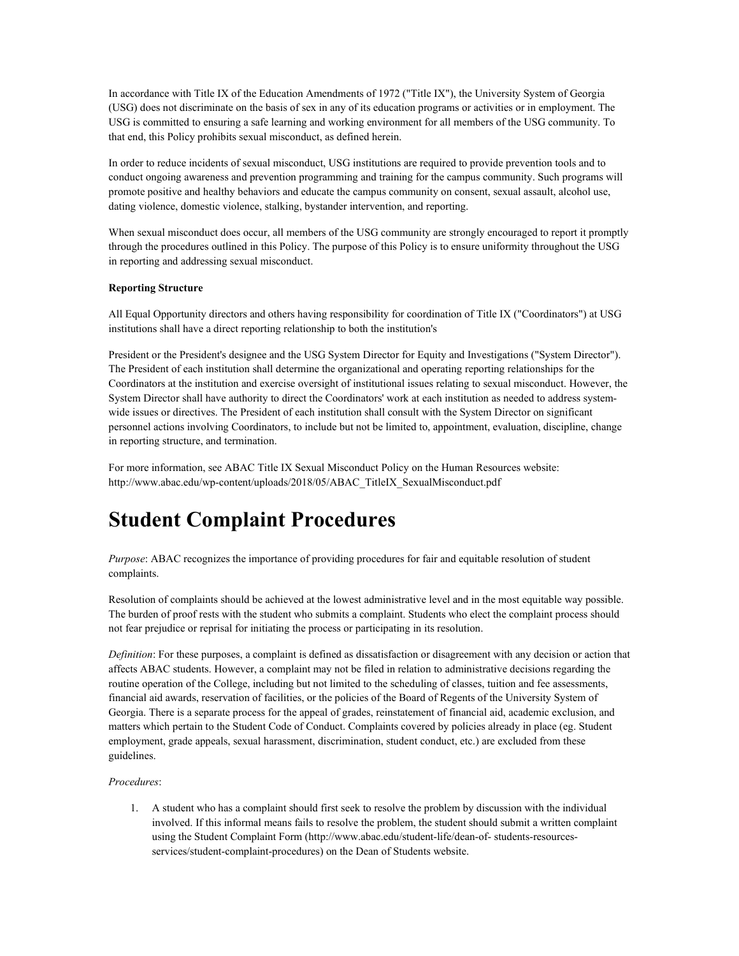In accordance with Title IX of the Education Amendments of 1972 ("Title IX"), the University System of Georgia (USG) does not discriminate on the basis of sex in any of its education programs or activities or in employment. The USG is committed to ensuring a safe learning and working environment for all members of the USG community. To that end, this Policy prohibits sexual misconduct, as defined herein.

In order to reduce incidents of sexual misconduct, USG institutions are required to provide prevention tools and to conduct ongoing awareness and prevention programming and training for the campus community. Such programs will promote positive and healthy behaviors and educate the campus community on consent, sexual assault, alcohol use, dating violence, domestic violence, stalking, bystander intervention, and reporting.

When sexual misconduct does occur, all members of the USG community are strongly encouraged to report it promptly through the procedures outlined in this Policy. The purpose of this Policy is to ensure uniformity throughout the USG in reporting and addressing sexual misconduct.

#### **Reporting Structure**

All Equal Opportunity directors and others having responsibility for coordination of Title IX ("Coordinators") at USG institutions shall have a direct reporting relationship to both the institution's

President or the President's designee and the USG System Director for Equity and Investigations ("System Director"). The President of each institution shall determine the organizational and operating reporting relationships for the Coordinators at the institution and exercise oversight of institutional issues relating to sexual misconduct. However, the System Director shall have authority to direct the Coordinators' work at each institution as needed to address systemwide issues or directives. The President of each institution shall consult with the System Director on significant personnel actions involving Coordinators, to include but not be limited to, appointment, evaluation, discipline, change in reporting structure, and termination.

For more information, see ABAC Title IX Sexual Misconduct Policy on the Human Resources website: http://www.abac.edu/wp-content/uploads/2018/05/ABAC\_TitleIX\_SexualMisconduct.pdf

#### **Student Complaint Procedures**

*Purpose*: ABAC recognizes the importance of providing procedures for fair and equitable resolution of student complaints.

Resolution of complaints should be achieved at the lowest administrative level and in the most equitable way possible. The burden of proof rests with the student who submits a complaint. Students who elect the complaint process should not fear prejudice or reprisal for initiating the process or participating in its resolution.

*Definition*: For these purposes, a complaint is defined as dissatisfaction or disagreement with any decision or action that affects ABAC students. However, a complaint may not be filed in relation to administrative decisions regarding the routine operation of the College, including but not limited to the scheduling of classes, tuition and fee assessments, financial aid awards, reservation of facilities, or the policies of the Board of Regents of the University System of Georgia. There is a separate process for the appeal of grades, reinstatement of financial aid, academic exclusion, and matters which pertain to the Student Code of Conduct. Complaints covered by policies already in place (eg. Student employment, grade appeals, sexual harassment, discrimination, student conduct, etc.) are excluded from these guidelines.

#### *Procedures*:

1. A student who has a complaint should first seek to resolve the problem by discussion with the individual involved. If this informal means fails to resolve the problem, the student should submit a written complaint using the Student Complaint Form (http://www.abac.edu/student-life/dean-of- students-resourcesservices/student-complaint-procedures) on the Dean of Students website.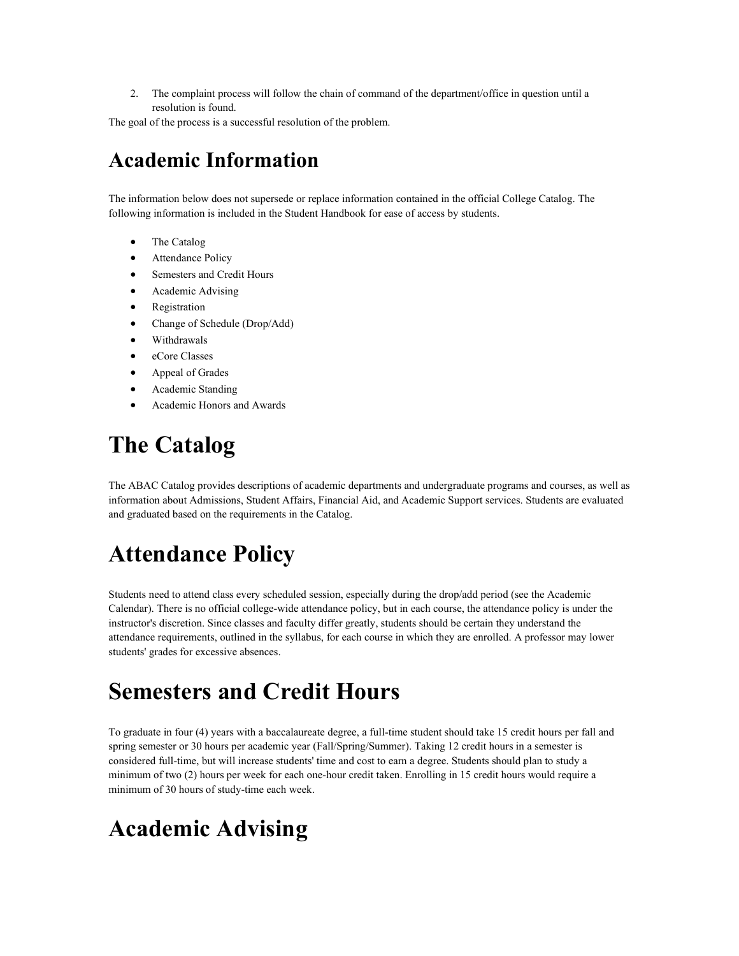2. The complaint process will follow the chain of command of the department/office in question until a resolution is found.

The goal of the process is a successful resolution of the problem.

# **Academic Information**

The information below does not supersede or replace information contained in the official College Catalog. The following information is included in the Student Handbook for ease of access by students.

- The Catalog
- Attendance Policy
- Semesters and Credit Hours
- Academic Advising
- Registration
- Change of Schedule (Drop/Add)
- Withdrawals
- eCore Classes
- Appeal of Grades
- Academic Standing
- Academic Honors and Awards

# **The Catalog**

The ABAC Catalog provides descriptions of academic departments and undergraduate programs and courses, as well as information about Admissions, Student Affairs, Financial Aid, and Academic Support services. Students are evaluated and graduated based on the requirements in the Catalog.

# **Attendance Policy**

Students need to attend class every scheduled session, especially during the drop/add period (see the Academic Calendar). There is no official college-wide attendance policy, but in each course, the attendance policy is under the instructor's discretion. Since classes and faculty differ greatly, students should be certain they understand the attendance requirements, outlined in the syllabus, for each course in which they are enrolled. A professor may lower students' grades for excessive absences.

# **Semesters and Credit Hours**

To graduate in four (4) years with a baccalaureate degree, a full-time student should take 15 credit hours per fall and spring semester or 30 hours per academic year (Fall/Spring/Summer). Taking 12 credit hours in a semester is considered full-time, but will increase students' time and cost to earn a degree. Students should plan to study a minimum of two (2) hours per week for each one-hour credit taken. Enrolling in 15 credit hours would require a minimum of 30 hours of study-time each week.

# **Academic Advising**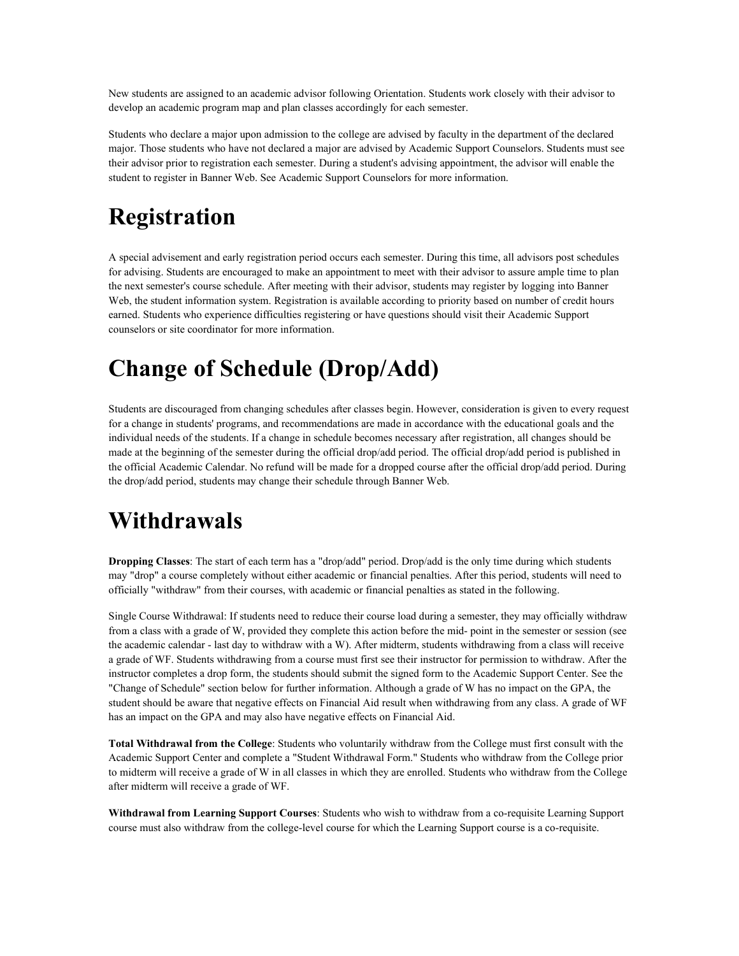New students are assigned to an academic advisor following Orientation. Students work closely with their advisor to develop an academic program map and plan classes accordingly for each semester.

Students who declare a major upon admission to the college are advised by faculty in the department of the declared major. Those students who have not declared a major are advised by Academic Support Counselors. Students must see their advisor prior to registration each semester. During a student's advising appointment, the advisor will enable the student to register in Banner Web. See Academic Support Counselors for more information.

# **Registration**

A special advisement and early registration period occurs each semester. During this time, all advisors post schedules for advising. Students are encouraged to make an appointment to meet with their advisor to assure ample time to plan the next semester's course schedule. After meeting with their advisor, students may register by logging into Banner Web, the student information system. Registration is available according to priority based on number of credit hours earned. Students who experience difficulties registering or have questions should visit their Academic Support counselors or site coordinator for more information.

# **Change of Schedule (Drop/Add)**

Students are discouraged from changing schedules after classes begin. However, consideration is given to every request for a change in students' programs, and recommendations are made in accordance with the educational goals and the individual needs of the students. If a change in schedule becomes necessary after registration, all changes should be made at the beginning of the semester during the official drop/add period. The official drop/add period is published in the official Academic Calendar. No refund will be made for a dropped course after the official drop/add period. During the drop/add period, students may change their schedule through Banner Web.

# **Withdrawals**

**Dropping Classes**: The start of each term has a "drop/add" period. Drop/add is the only time during which students may "drop" a course completely without either academic or financial penalties. After this period, students will need to officially "withdraw" from their courses, with academic or financial penalties as stated in the following.

Single Course Withdrawal: If students need to reduce their course load during a semester, they may officially withdraw from a class with a grade of W, provided they complete this action before the mid- point in the semester or session (see the academic calendar - last day to withdraw with a W). After midterm, students withdrawing from a class will receive a grade of WF. Students withdrawing from a course must first see their instructor for permission to withdraw. After the instructor completes a drop form, the students should submit the signed form to the Academic Support Center. See the "Change of Schedule" section below for further information. Although a grade of W has no impact on the GPA, the student should be aware that negative effects on Financial Aid result when withdrawing from any class. A grade of WF has an impact on the GPA and may also have negative effects on Financial Aid.

**Total Withdrawal from the College**: Students who voluntarily withdraw from the College must first consult with the Academic Support Center and complete a "Student Withdrawal Form." Students who withdraw from the College prior to midterm will receive a grade of W in all classes in which they are enrolled. Students who withdraw from the College after midterm will receive a grade of WF.

**Withdrawal from Learning Support Courses**: Students who wish to withdraw from a co-requisite Learning Support course must also withdraw from the college-level course for which the Learning Support course is a co-requisite.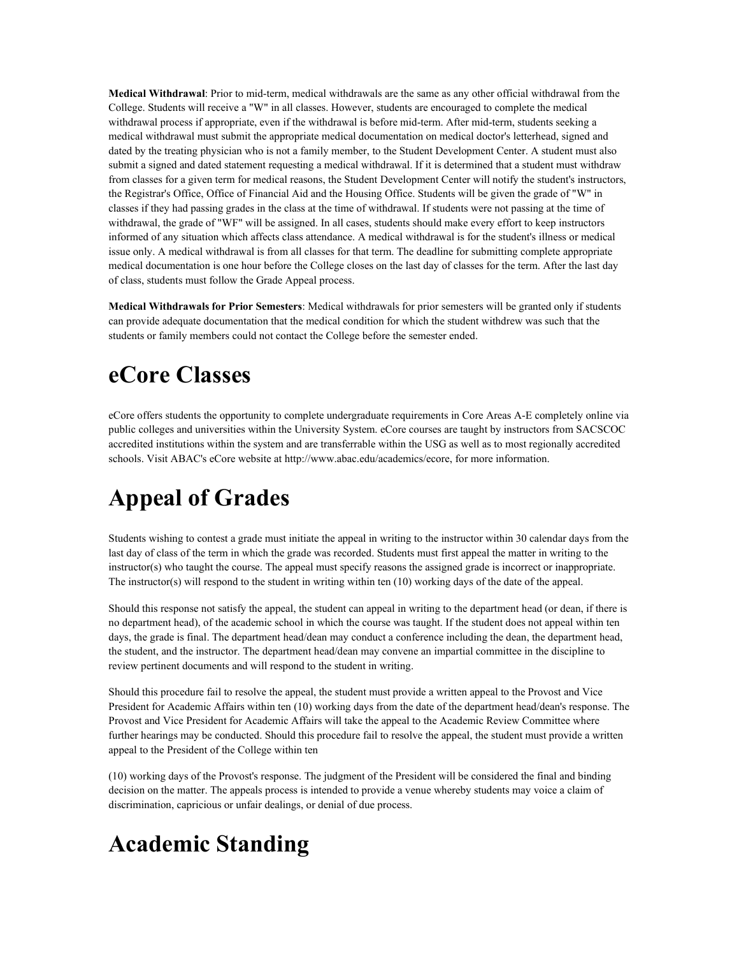**Medical Withdrawal**: Prior to mid-term, medical withdrawals are the same as any other official withdrawal from the College. Students will receive a "W" in all classes. However, students are encouraged to complete the medical withdrawal process if appropriate, even if the withdrawal is before mid-term. After mid-term, students seeking a medical withdrawal must submit the appropriate medical documentation on medical doctor's letterhead, signed and dated by the treating physician who is not a family member, to the Student Development Center. A student must also submit a signed and dated statement requesting a medical withdrawal. If it is determined that a student must withdraw from classes for a given term for medical reasons, the Student Development Center will notify the student's instructors, the Registrar's Office, Office of Financial Aid and the Housing Office. Students will be given the grade of "W" in classes if they had passing grades in the class at the time of withdrawal. If students were not passing at the time of withdrawal, the grade of "WF" will be assigned. In all cases, students should make every effort to keep instructors informed of any situation which affects class attendance. A medical withdrawal is for the student's illness or medical issue only. A medical withdrawal is from all classes for that term. The deadline for submitting complete appropriate medical documentation is one hour before the College closes on the last day of classes for the term. After the last day of class, students must follow the Grade Appeal process.

**Medical Withdrawals for Prior Semesters**: Medical withdrawals for prior semesters will be granted only if students can provide adequate documentation that the medical condition for which the student withdrew was such that the students or family members could not contact the College before the semester ended.

# **eCore Classes**

eCore offers students the opportunity to complete undergraduate requirements in Core Areas A-E completely online via public colleges and universities within the University System. eCore courses are taught by instructors from SACSCOC accredited institutions within the system and are transferrable within the USG as well as to most regionally accredited schools. Visit ABAC's eCore website at http://www.abac.edu/academics/ecore, for more information.

# **Appeal of Grades**

Students wishing to contest a grade must initiate the appeal in writing to the instructor within 30 calendar days from the last day of class of the term in which the grade was recorded. Students must first appeal the matter in writing to the instructor(s) who taught the course. The appeal must specify reasons the assigned grade is incorrect or inappropriate. The instructor(s) will respond to the student in writing within ten (10) working days of the date of the appeal.

Should this response not satisfy the appeal, the student can appeal in writing to the department head (or dean, if there is no department head), of the academic school in which the course was taught. If the student does not appeal within ten days, the grade is final. The department head/dean may conduct a conference including the dean, the department head, the student, and the instructor. The department head/dean may convene an impartial committee in the discipline to review pertinent documents and will respond to the student in writing.

Should this procedure fail to resolve the appeal, the student must provide a written appeal to the Provost and Vice President for Academic Affairs within ten (10) working days from the date of the department head/dean's response. The Provost and Vice President for Academic Affairs will take the appeal to the Academic Review Committee where further hearings may be conducted. Should this procedure fail to resolve the appeal, the student must provide a written appeal to the President of the College within ten

(10) working days of the Provost's response. The judgment of the President will be considered the final and binding decision on the matter. The appeals process is intended to provide a venue whereby students may voice a claim of discrimination, capricious or unfair dealings, or denial of due process.

# **Academic Standing**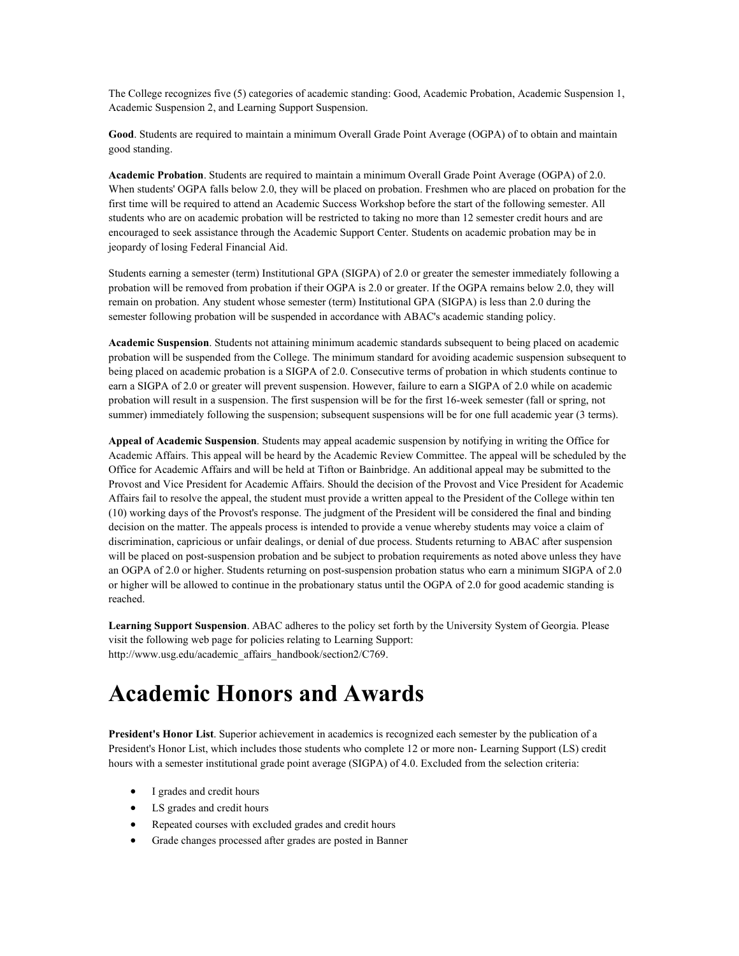The College recognizes five (5) categories of academic standing: Good, Academic Probation, Academic Suspension 1, Academic Suspension 2, and Learning Support Suspension.

**Good**. Students are required to maintain a minimum Overall Grade Point Average (OGPA) of to obtain and maintain good standing.

**Academic Probation**. Students are required to maintain a minimum Overall Grade Point Average (OGPA) of 2.0. When students' OGPA falls below 2.0, they will be placed on probation. Freshmen who are placed on probation for the first time will be required to attend an Academic Success Workshop before the start of the following semester. All students who are on academic probation will be restricted to taking no more than 12 semester credit hours and are encouraged to seek assistance through the Academic Support Center. Students on academic probation may be in jeopardy of losing Federal Financial Aid.

Students earning a semester (term) Institutional GPA (SIGPA) of 2.0 or greater the semester immediately following a probation will be removed from probation if their OGPA is 2.0 or greater. If the OGPA remains below 2.0, they will remain on probation. Any student whose semester (term) Institutional GPA (SIGPA) is less than 2.0 during the semester following probation will be suspended in accordance with ABAC's academic standing policy.

**Academic Suspension**. Students not attaining minimum academic standards subsequent to being placed on academic probation will be suspended from the College. The minimum standard for avoiding academic suspension subsequent to being placed on academic probation is a SIGPA of 2.0. Consecutive terms of probation in which students continue to earn a SIGPA of 2.0 or greater will prevent suspension. However, failure to earn a SIGPA of 2.0 while on academic probation will result in a suspension. The first suspension will be for the first 16-week semester (fall or spring, not summer) immediately following the suspension; subsequent suspensions will be for one full academic year (3 terms).

**Appeal of Academic Suspension**. Students may appeal academic suspension by notifying in writing the Office for Academic Affairs. This appeal will be heard by the Academic Review Committee. The appeal will be scheduled by the Office for Academic Affairs and will be held at Tifton or Bainbridge. An additional appeal may be submitted to the Provost and Vice President for Academic Affairs. Should the decision of the Provost and Vice President for Academic Affairs fail to resolve the appeal, the student must provide a written appeal to the President of the College within ten (10) working days of the Provost's response. The judgment of the President will be considered the final and binding decision on the matter. The appeals process is intended to provide a venue whereby students may voice a claim of discrimination, capricious or unfair dealings, or denial of due process. Students returning to ABAC after suspension will be placed on post-suspension probation and be subject to probation requirements as noted above unless they have an OGPA of 2.0 or higher. Students returning on post-suspension probation status who earn a minimum SIGPA of 2.0 or higher will be allowed to continue in the probationary status until the OGPA of 2.0 for good academic standing is reached.

**Learning Support Suspension**. ABAC adheres to the policy set forth by the University System of Georgia. Please visit the following web page for policies relating to Learning Support: http://www.usg.edu/academic\_affairs\_handbook/section2/C769.

# **Academic Honors and Awards**

**President's Honor List**. Superior achievement in academics is recognized each semester by the publication of a President's Honor List, which includes those students who complete 12 or more non- Learning Support (LS) credit hours with a semester institutional grade point average (SIGPA) of 4.0. Excluded from the selection criteria:

- I grades and credit hours
- LS grades and credit hours
- Repeated courses with excluded grades and credit hours
- Grade changes processed after grades are posted in Banner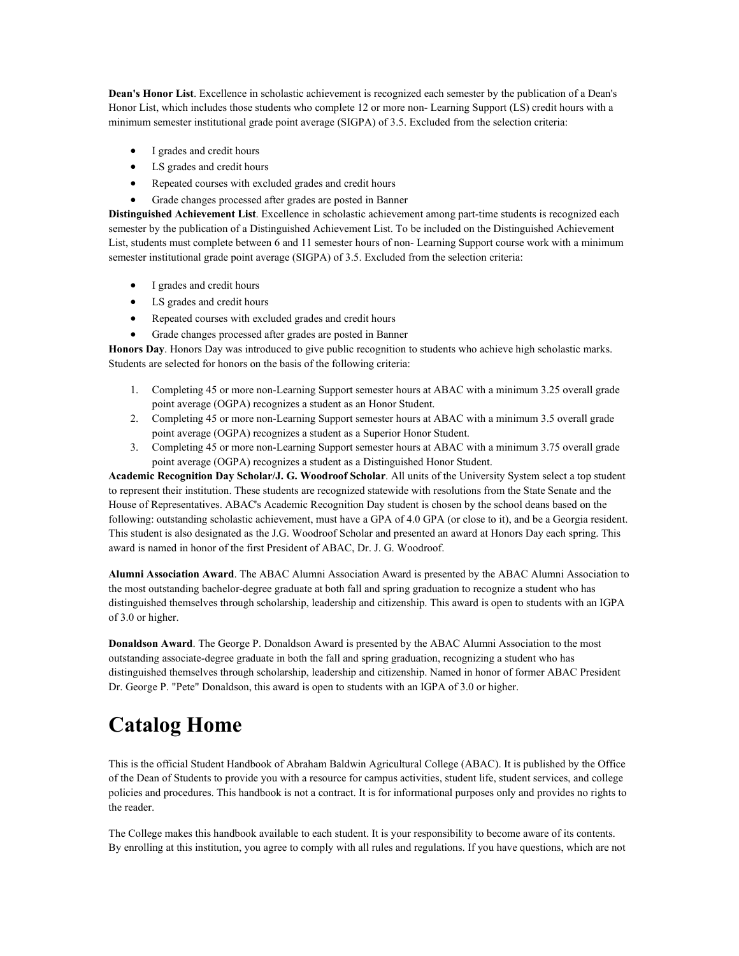**Dean's Honor List**. Excellence in scholastic achievement is recognized each semester by the publication of a Dean's Honor List, which includes those students who complete 12 or more non- Learning Support (LS) credit hours with a minimum semester institutional grade point average (SIGPA) of 3.5. Excluded from the selection criteria:

- I grades and credit hours
- LS grades and credit hours
- Repeated courses with excluded grades and credit hours
- Grade changes processed after grades are posted in Banner

**Distinguished Achievement List**. Excellence in scholastic achievement among part-time students is recognized each semester by the publication of a Distinguished Achievement List. To be included on the Distinguished Achievement List, students must complete between 6 and 11 semester hours of non- Learning Support course work with a minimum semester institutional grade point average (SIGPA) of 3.5. Excluded from the selection criteria:

- I grades and credit hours
- LS grades and credit hours
- Repeated courses with excluded grades and credit hours
- Grade changes processed after grades are posted in Banner

**Honors Day**. Honors Day was introduced to give public recognition to students who achieve high scholastic marks. Students are selected for honors on the basis of the following criteria:

- 1. Completing 45 or more non-Learning Support semester hours at ABAC with a minimum 3.25 overall grade point average (OGPA) recognizes a student as an Honor Student.
- 2. Completing 45 or more non-Learning Support semester hours at ABAC with a minimum 3.5 overall grade point average (OGPA) recognizes a student as a Superior Honor Student.
- 3. Completing 45 or more non-Learning Support semester hours at ABAC with a minimum 3.75 overall grade point average (OGPA) recognizes a student as a Distinguished Honor Student.

**Academic Recognition Day Scholar/J. G. Woodroof Scholar**. All units of the University System select a top student to represent their institution. These students are recognized statewide with resolutions from the State Senate and the House of Representatives. ABAC's Academic Recognition Day student is chosen by the school deans based on the following: outstanding scholastic achievement, must have a GPA of 4.0 GPA (or close to it), and be a Georgia resident. This student is also designated as the J.G. Woodroof Scholar and presented an award at Honors Day each spring. This award is named in honor of the first President of ABAC, Dr. J. G. Woodroof.

**Alumni Association Award**. The ABAC Alumni Association Award is presented by the ABAC Alumni Association to the most outstanding bachelor-degree graduate at both fall and spring graduation to recognize a student who has distinguished themselves through scholarship, leadership and citizenship. This award is open to students with an IGPA of 3.0 or higher.

**Donaldson Award**. The George P. Donaldson Award is presented by the ABAC Alumni Association to the most outstanding associate-degree graduate in both the fall and spring graduation, recognizing a student who has distinguished themselves through scholarship, leadership and citizenship. Named in honor of former ABAC President Dr. George P. "Pete" Donaldson, this award is open to students with an IGPA of 3.0 or higher.

# **Catalog Home**

This is the official Student Handbook of Abraham Baldwin Agricultural College (ABAC). It is published by the Office of the Dean of Students to provide you with a resource for campus activities, student life, student services, and college policies and procedures. This handbook is not a contract. It is for informational purposes only and provides no rights to the reader.

The College makes this handbook available to each student. It is your responsibility to become aware of its contents. By enrolling at this institution, you agree to comply with all rules and regulations. If you have questions, which are not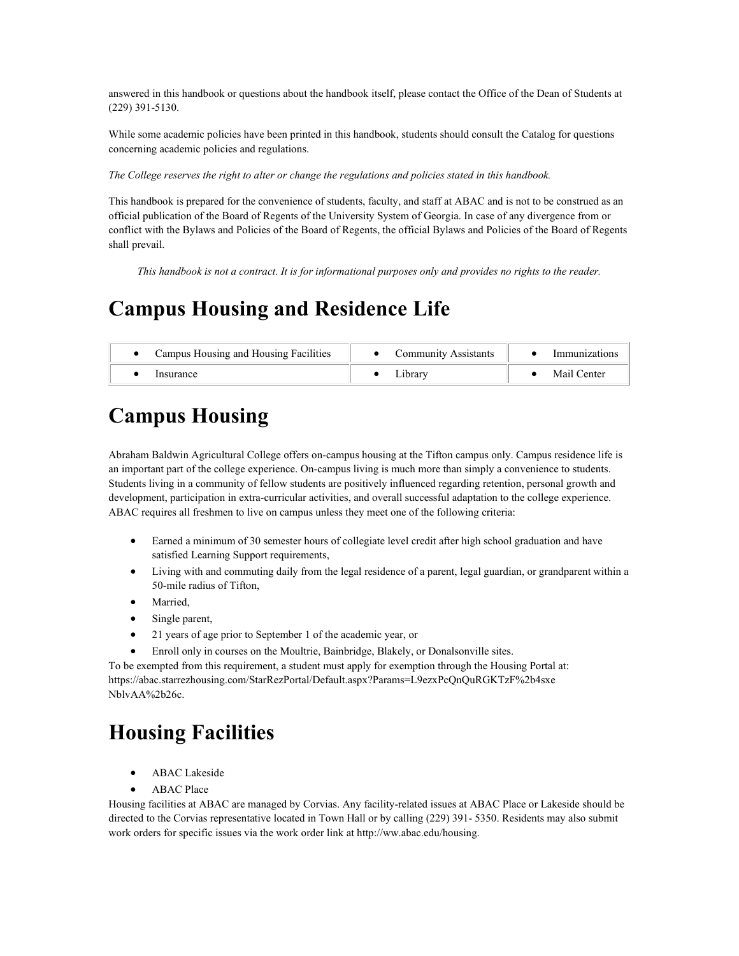answered in this handbook or questions about the handbook itself, please contact the Office of the Dean of Students at (229) 391-5130.

While some academic policies have been printed in this handbook, students should consult the Catalog for questions concerning academic policies and regulations.

*The College reserves the right to alter or change the regulations and policies stated in this handbook.*

This handbook is prepared for the convenience of students, faculty, and staff at ABAC and is not to be construed as an official publication of the Board of Regents of the University System of Georgia. In case of any divergence from or conflict with the Bylaws and Policies of the Board of Regents, the official Bylaws and Policies of the Board of Regents shall prevail.

*This handbook is not a contract. It is for informational purposes only and provides no rights to the reader.*

#### **Campus Housing and Residence Life**

| Campus Housing and Housing Facilities | Community Assistants | Immunizations |
|---------------------------------------|----------------------|---------------|
| Insurance                             | librarv              | Mail Center   |

#### **Campus Housing**

Abraham Baldwin Agricultural College offers on-campus housing at the Tifton campus only. Campus residence life is an important part of the college experience. On-campus living is much more than simply a convenience to students. Students living in a community of fellow students are positively influenced regarding retention, personal growth and development, participation in extra-curricular activities, and overall successful adaptation to the college experience. ABAC requires all freshmen to live on campus unless they meet one of the following criteria:

- Earned a minimum of 30 semester hours of collegiate level credit after high school graduation and have satisfied Learning Support requirements,
- Living with and commuting daily from the legal residence of a parent, legal guardian, or grandparent within a 50-mile radius of Tifton,
- Married,
- Single parent,
- 21 years of age prior to September 1 of the academic year, or
- Enroll only in courses on the Moultrie, Bainbridge, Blakely, or Donalsonville sites.

To be exempted from this requirement, a student must apply for exemption through the Housing Portal at: https://abac.starrezhousing.com/StarRezPortal/Default.aspx?Params=L9ezxPcQnQuRGKTzF%2b4sxe NblvAA%2b26c.

#### **Housing Facilities**

- ABAC Lakeside
- **ABAC Place**

Housing facilities at ABAC are managed by Corvias. Any facility-related issues at ABAC Place or Lakeside should be directed to the Corvias representative located in Town Hall or by calling (229) 391- 5350. Residents may also submit work orders for specific issues via the work order link at http://ww.abac.edu/housing.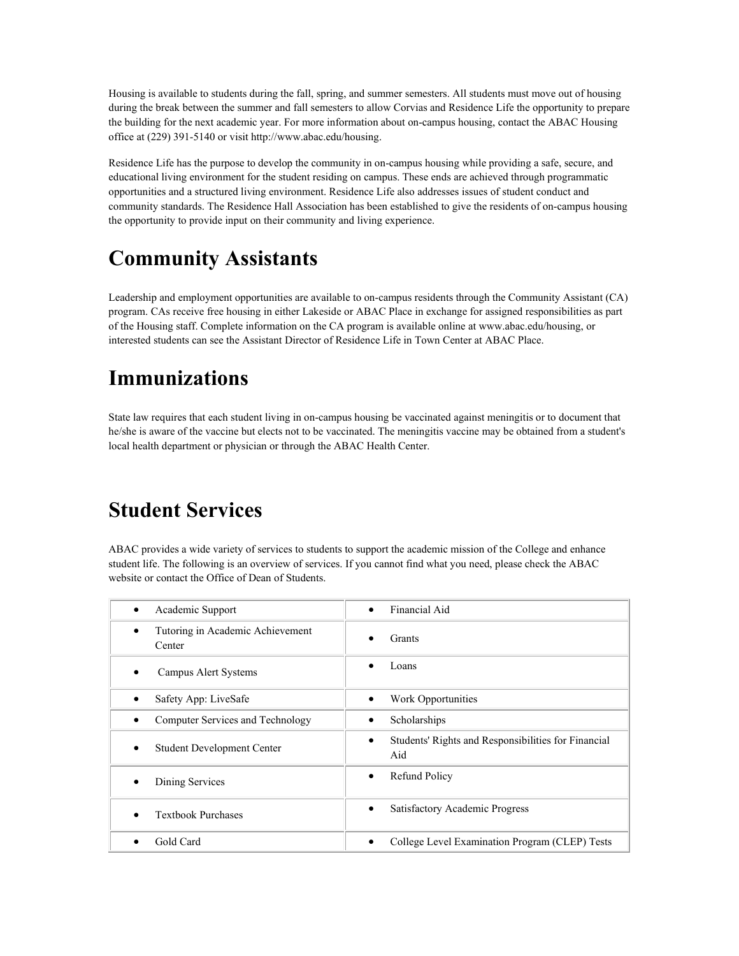Housing is available to students during the fall, spring, and summer semesters. All students must move out of housing during the break between the summer and fall semesters to allow Corvias and Residence Life the opportunity to prepare the building for the next academic year. For more information about on-campus housing, contact the ABAC Housing office at (229) 391-5140 or visit http://www.abac.edu/housing.

Residence Life has the purpose to develop the community in on-campus housing while providing a safe, secure, and educational living environment for the student residing on campus. These ends are achieved through programmatic opportunities and a structured living environment. Residence Life also addresses issues of student conduct and community standards. The Residence Hall Association has been established to give the residents of on-campus housing the opportunity to provide input on their community and living experience.

## **Community Assistants**

Leadership and employment opportunities are available to on-campus residents through the Community Assistant (CA) program. CAs receive free housing in either Lakeside or ABAC Place in exchange for assigned responsibilities as part of the Housing staff. Complete information on the CA program is available online at www.abac.edu/housing, or interested students can see the Assistant Director of Residence Life in Town Center at ABAC Place.

# **Immunizations**

State law requires that each student living in on-campus housing be vaccinated against meningitis or to document that he/she is aware of the vaccine but elects not to be vaccinated. The meningitis vaccine may be obtained from a student's local health department or physician or through the ABAC Health Center.

### **Student Services**

ABAC provides a wide variety of services to students to support the academic mission of the College and enhance student life. The following is an overview of services. If you cannot find what you need, please check the ABAC website or contact the Office of Dean of Students.

| Academic Support                           | Financial Aid<br>٠                                              |
|--------------------------------------------|-----------------------------------------------------------------|
| Tutoring in Academic Achievement<br>Center | <b>Grants</b>                                                   |
| Campus Alert Systems                       | Loans                                                           |
| Safety App: LiveSafe<br>$\bullet$          | Work Opportunities<br>$\bullet$                                 |
| Computer Services and Technology           | Scholarships<br>$\bullet$                                       |
| Student Development Center                 | Students' Rights and Responsibilities for Financial<br>٠<br>Aid |
| Dining Services                            | Refund Policy<br>$\bullet$                                      |
| <b>Textbook Purchases</b>                  | Satisfactory Academic Progress                                  |
| Gold Card                                  | College Level Examination Program (CLEP) Tests<br>٠             |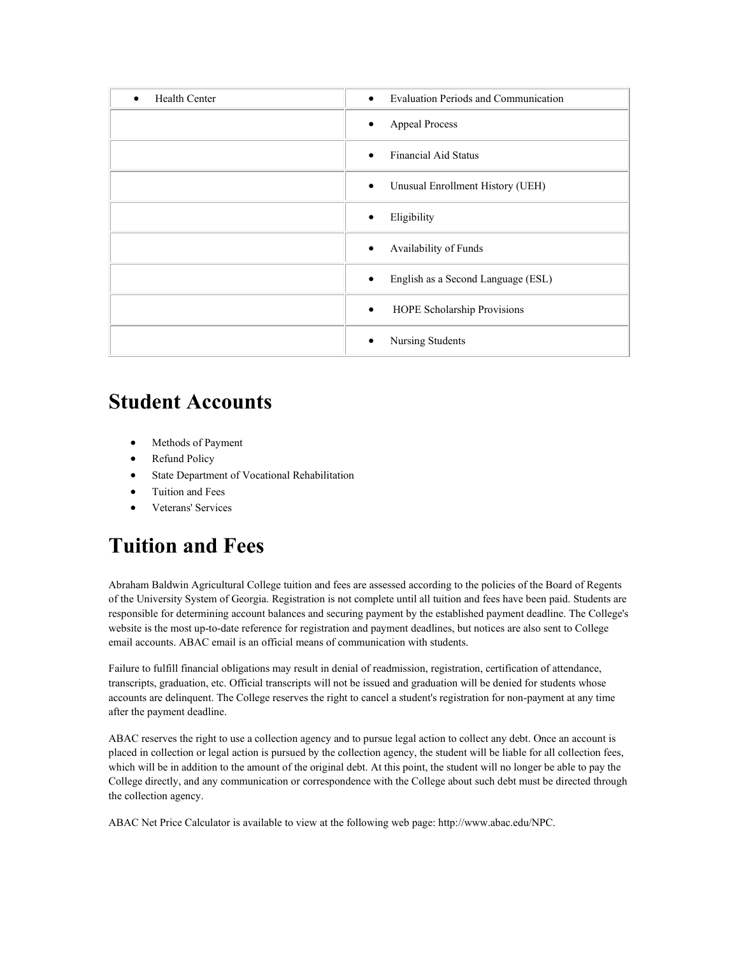| <b>Health Center</b> | <b>Evaluation Periods and Communication</b><br>$\bullet$ |
|----------------------|----------------------------------------------------------|
|                      | <b>Appeal Process</b><br>٠                               |
|                      | <b>Financial Aid Status</b><br>$\bullet$                 |
|                      | Unusual Enrollment History (UEH)<br>$\bullet$            |
|                      | Eligibility<br>٠                                         |
|                      | Availability of Funds<br>$\bullet$                       |
|                      | English as a Second Language (ESL)<br>$\bullet$          |
|                      | HOPE Scholarship Provisions<br>$\bullet$                 |
|                      | Nursing Students<br>٠                                    |

## **Student Accounts**

- Methods of Payment
- Refund Policy
- State Department of Vocational Rehabilitation
- Tuition and Fees
- Veterans' Services

### **Tuition and Fees**

Abraham Baldwin Agricultural College tuition and fees are assessed according to the policies of the Board of Regents of the University System of Georgia. Registration is not complete until all tuition and fees have been paid. Students are responsible for determining account balances and securing payment by the established payment deadline. The College's website is the most up-to-date reference for registration and payment deadlines, but notices are also sent to College email accounts. ABAC email is an official means of communication with students.

Failure to fulfill financial obligations may result in denial of readmission, registration, certification of attendance, transcripts, graduation, etc. Official transcripts will not be issued and graduation will be denied for students whose accounts are delinquent. The College reserves the right to cancel a student's registration for non-payment at any time after the payment deadline.

ABAC reserves the right to use a collection agency and to pursue legal action to collect any debt. Once an account is placed in collection or legal action is pursued by the collection agency, the student will be liable for all collection fees, which will be in addition to the amount of the original debt. At this point, the student will no longer be able to pay the College directly, and any communication or correspondence with the College about such debt must be directed through the collection agency.

ABAC Net Price Calculator is available to view at the following web page: http://www.abac.edu/NPC.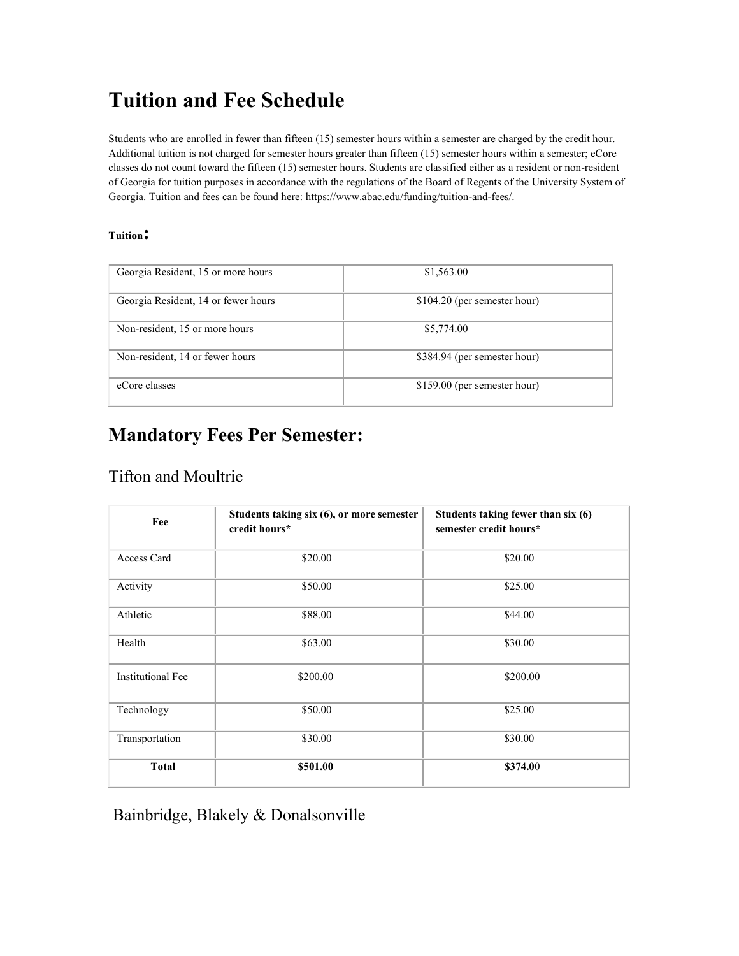# **Tuition and Fee Schedule**

Students who are enrolled in fewer than fifteen (15) semester hours within a semester are charged by the credit hour. Additional tuition is not charged for semester hours greater than fifteen (15) semester hours within a semester; eCore classes do not count toward the fifteen (15) semester hours. Students are classified either as a resident or non-resident of Georgia for tuition purposes in accordance with the regulations of the Board of Regents of the University System of Georgia. Tuition and fees can be found here: https://www.abac.edu/funding/tuition-and-fees/.

#### **Tuition:**

| Georgia Resident, 15 or more hours  | \$1,563.00                   |
|-------------------------------------|------------------------------|
| Georgia Resident, 14 or fewer hours | \$104.20 (per semester hour) |
| Non-resident, 15 or more hours      | \$5,774.00                   |
| Non-resident, 14 or fewer hours     | \$384.94 (per semester hour) |
| eCore classes                       | \$159.00 (per semester hour) |

#### **Mandatory Fees Per Semester:**

#### Tifton and Moultrie

| Fee                      | Students taking six (6), or more semester<br>credit hours* | Students taking fewer than six (6)<br>semester credit hours* |
|--------------------------|------------------------------------------------------------|--------------------------------------------------------------|
| Access Card              | \$20.00                                                    | \$20.00                                                      |
| Activity                 | \$50.00                                                    | \$25.00                                                      |
| Athletic                 | \$88.00                                                    | \$44.00                                                      |
| Health                   | \$63.00                                                    | \$30.00                                                      |
| <b>Institutional Fee</b> | \$200.00                                                   | \$200.00                                                     |
| Technology               | \$50.00                                                    | \$25.00                                                      |
| Transportation           | \$30.00                                                    | \$30.00                                                      |
| <b>Total</b>             | \$501.00                                                   | \$374.00                                                     |

Bainbridge, Blakely & Donalsonville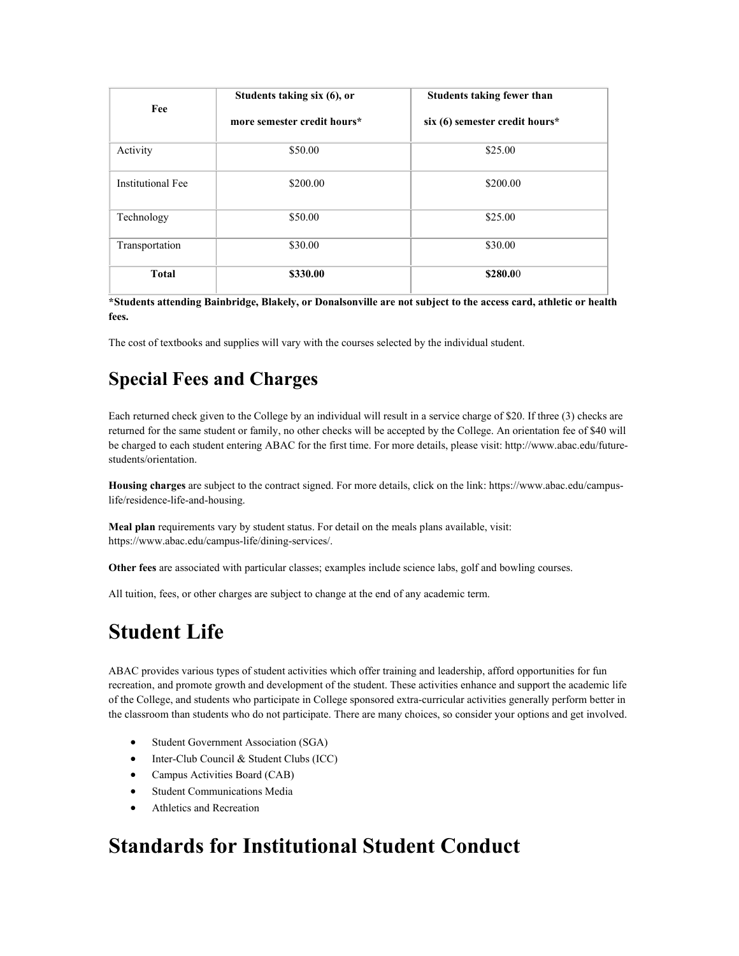| Fee               | Students taking six (6), or | <b>Students taking fewer than</b> |  |
|-------------------|-----------------------------|-----------------------------------|--|
|                   | more semester credit hours* | six (6) semester credit hours*    |  |
| Activity          | \$50.00                     | \$25.00                           |  |
| Institutional Fee | \$200.00                    | \$200.00                          |  |
| Technology        | \$50.00                     | \$25.00                           |  |
| Transportation    | \$30.00                     | \$30.00                           |  |
| <b>Total</b>      | \$330.00                    | \$280.00                          |  |

**\*Students attending Bainbridge, Blakely, or Donalsonville are not subject to the access card, athletic or health fees.**

The cost of textbooks and supplies will vary with the courses selected by the individual student.

#### **Special Fees and Charges**

Each returned check given to the College by an individual will result in a service charge of \$20. If three (3) checks are returned for the same student or family, no other checks will be accepted by the College. An orientation fee of \$40 will be charged to each student entering ABAC for the first time. For more details, please visit: http://www.abac.edu/futurestudents/orientation.

**Housing charges** are subject to the contract signed. For more details, click on the link: https://www.abac.edu/campuslife/residence-life-and-housing.

**Meal plan** requirements vary by student status. For detail on the meals plans available, visit: https://www.abac.edu/campus-life/dining-services/.

**Other fees** are associated with particular classes; examples include science labs, golf and bowling courses.

All tuition, fees, or other charges are subject to change at the end of any academic term.

### **Student Life**

ABAC provides various types of student activities which offer training and leadership, afford opportunities for fun recreation, and promote growth and development of the student. These activities enhance and support the academic life of the College, and students who participate in College sponsored extra-curricular activities generally perform better in the classroom than students who do not participate. There are many choices, so consider your options and get involved.

- Student Government Association (SGA)
- Inter-Club Council & Student Clubs (ICC)
- Campus Activities Board (CAB)
- Student Communications Media
- Athletics and Recreation

#### **Standards for Institutional Student Conduct**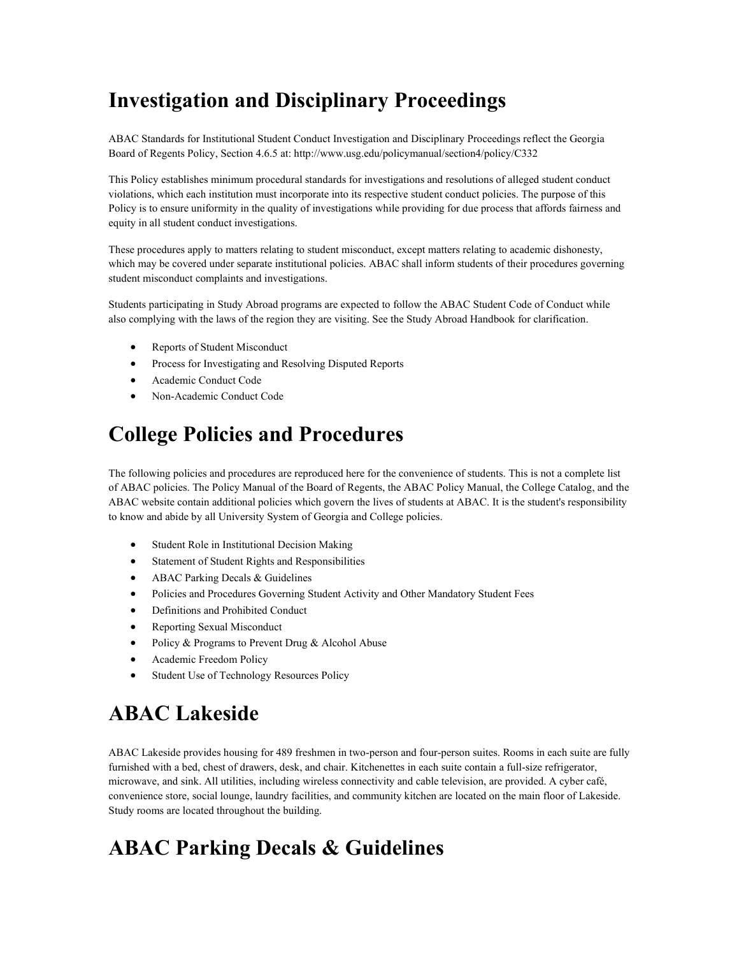# **Investigation and Disciplinary Proceedings**

ABAC Standards for Institutional Student Conduct Investigation and Disciplinary Proceedings reflect the Georgia Board of Regents Policy, Section 4.6.5 at: http://www.usg.edu/policymanual/section4/policy/C332

This Policy establishes minimum procedural standards for investigations and resolutions of alleged student conduct violations, which each institution must incorporate into its respective student conduct policies. The purpose of this Policy is to ensure uniformity in the quality of investigations while providing for due process that affords fairness and equity in all student conduct investigations.

These procedures apply to matters relating to student misconduct, except matters relating to academic dishonesty, which may be covered under separate institutional policies. ABAC shall inform students of their procedures governing student misconduct complaints and investigations.

Students participating in Study Abroad programs are expected to follow the ABAC Student Code of Conduct while also complying with the laws of the region they are visiting. See the Study Abroad Handbook for clarification.

- Reports of Student Misconduct
- Process for Investigating and Resolving Disputed Reports
- Academic Conduct Code
- Non-Academic Conduct Code

# **College Policies and Procedures**

The following policies and procedures are reproduced here for the convenience of students. This is not a complete list of ABAC policies. The Policy Manual of the Board of Regents, the ABAC Policy Manual, the College Catalog, and the ABAC website contain additional policies which govern the lives of students at ABAC. It is the student's responsibility to know and abide by all University System of Georgia and College policies.

- Student Role in Institutional Decision Making
- Statement of Student Rights and Responsibilities
- ABAC Parking Decals & Guidelines
- Policies and Procedures Governing Student Activity and Other Mandatory Student Fees
- Definitions and Prohibited Conduct
- Reporting Sexual Misconduct
- Policy & Programs to Prevent Drug & Alcohol Abuse
- Academic Freedom Policy
- Student Use of Technology Resources Policy

# **ABAC Lakeside**

ABAC Lakeside provides housing for 489 freshmen in two-person and four-person suites. Rooms in each suite are fully furnished with a bed, chest of drawers, desk, and chair. Kitchenettes in each suite contain a full-size refrigerator, microwave, and sink. All utilities, including wireless connectivity and cable television, are provided. A cyber café, convenience store, social lounge, laundry facilities, and community kitchen are located on the main floor of Lakeside. Study rooms are located throughout the building.

### **ABAC Parking Decals & Guidelines**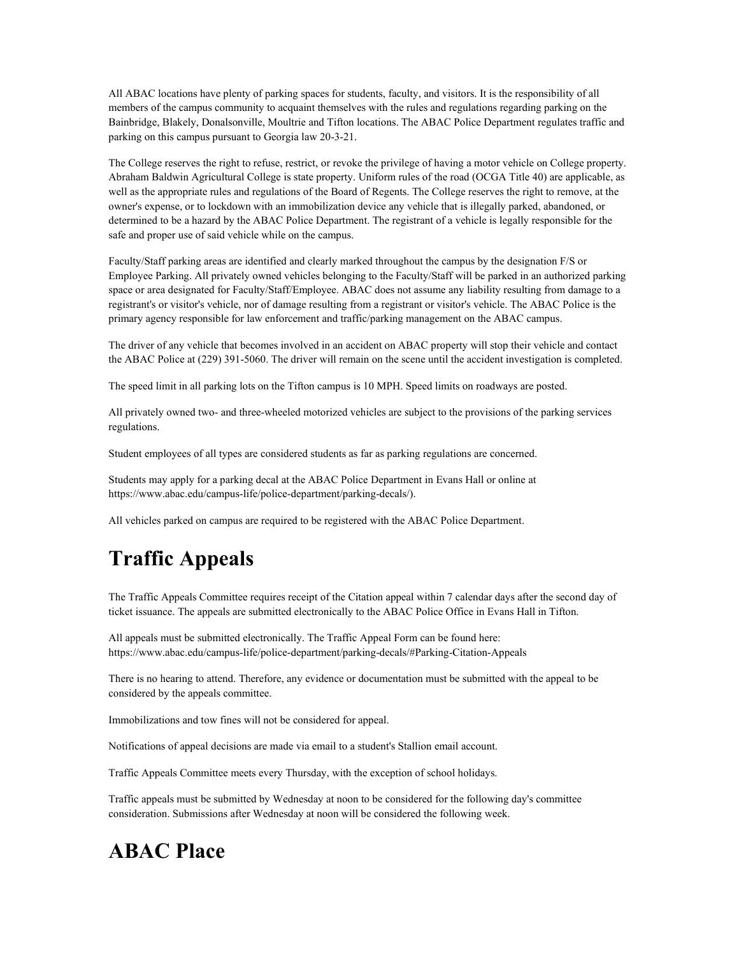All ABAC locations have plenty of parking spaces for students, faculty, and visitors. It is the responsibility of all members of the campus community to acquaint themselves with the rules and regulations regarding parking on the Bainbridge, Blakely, Donalsonville, Moultrie and Tifton locations. The ABAC Police Department regulates traffic and parking on this campus pursuant to Georgia law 20-3-21.

The College reserves the right to refuse, restrict, or revoke the privilege of having a motor vehicle on College property. Abraham Baldwin Agricultural College is state property. Uniform rules of the road (OCGA Title 40) are applicable, as well as the appropriate rules and regulations of the Board of Regents. The College reserves the right to remove, at the owner's expense, or to lockdown with an immobilization device any vehicle that is illegally parked, abandoned, or determined to be a hazard by the ABAC Police Department. The registrant of a vehicle is legally responsible for the safe and proper use of said vehicle while on the campus.

Faculty/Staff parking areas are identified and clearly marked throughout the campus by the designation F/S or Employee Parking. All privately owned vehicles belonging to the Faculty/Staff will be parked in an authorized parking space or area designated for Faculty/Staff/Employee. ABAC does not assume any liability resulting from damage to a registrant's or visitor's vehicle, nor of damage resulting from a registrant or visitor's vehicle. The ABAC Police is the primary agency responsible for law enforcement and traffic/parking management on the ABAC campus.

The driver of any vehicle that becomes involved in an accident on ABAC property will stop their vehicle and contact the ABAC Police at (229) 391-5060. The driver will remain on the scene until the accident investigation is completed.

The speed limit in all parking lots on the Tifton campus is 10 MPH. Speed limits on roadways are posted.

All privately owned two- and three-wheeled motorized vehicles are subject to the provisions of the parking services regulations.

Student employees of all types are considered students as far as parking regulations are concerned.

Students may apply for a parking decal at the ABAC Police Department in Evans Hall or online at https://www.abac.edu/campus-life/police-department/parking-decals/).

All vehicles parked on campus are required to be registered with the ABAC Police Department.

# **Traffic Appeals**

The Traffic Appeals Committee requires receipt of the Citation appeal within 7 calendar days after the second day of ticket issuance. The appeals are submitted electronically to the ABAC Police Office in Evans Hall in Tifton.

All appeals must be submitted electronically. The Traffic Appeal Form can be found here: https://www.abac.edu/campus-life/police-department/parking-decals/#Parking-Citation-Appeals

There is no hearing to attend. Therefore, any evidence or documentation must be submitted with the appeal to be considered by the appeals committee.

Immobilizations and tow fines will not be considered for appeal.

Notifications of appeal decisions are made via email to a student's Stallion email account.

Traffic Appeals Committee meets every Thursday, with the exception of school holidays.

Traffic appeals must be submitted by Wednesday at noon to be considered for the following day's committee consideration. Submissions after Wednesday at noon will be considered the following week.

### **ABAC Place**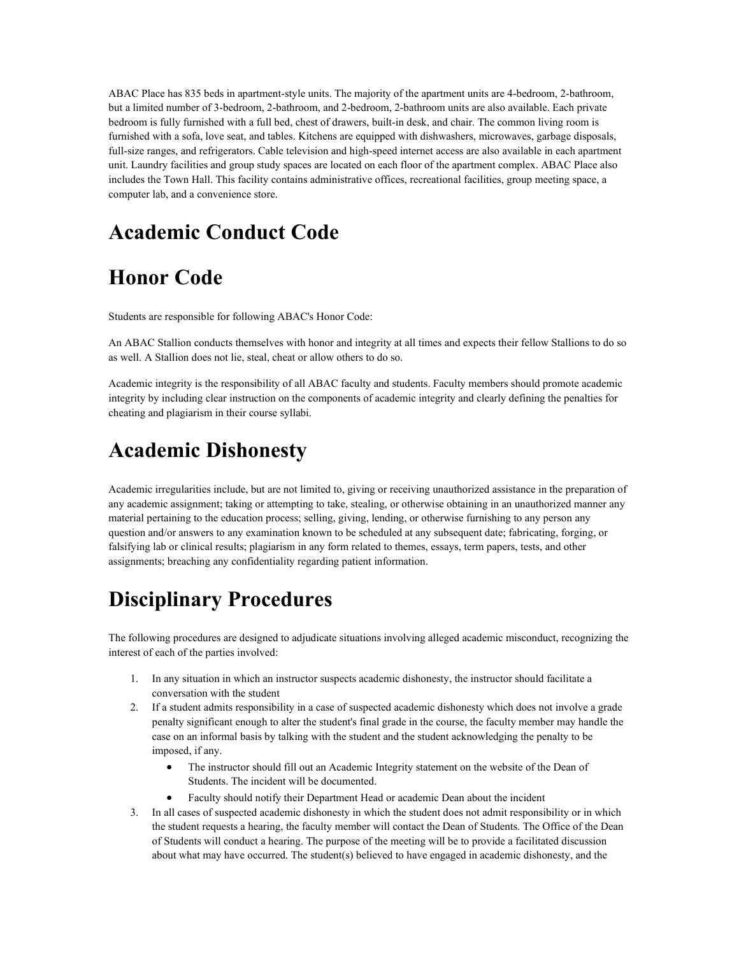ABAC Place has 835 beds in apartment-style units. The majority of the apartment units are 4-bedroom, 2-bathroom, but a limited number of 3-bedroom, 2-bathroom, and 2-bedroom, 2-bathroom units are also available. Each private bedroom is fully furnished with a full bed, chest of drawers, built-in desk, and chair. The common living room is furnished with a sofa, love seat, and tables. Kitchens are equipped with dishwashers, microwaves, garbage disposals, full-size ranges, and refrigerators. Cable television and high-speed internet access are also available in each apartment unit. Laundry facilities and group study spaces are located on each floor of the apartment complex. ABAC Place also includes the Town Hall. This facility contains administrative offices, recreational facilities, group meeting space, a computer lab, and a convenience store.

### **Academic Conduct Code**

# **Honor Code**

Students are responsible for following ABAC's Honor Code:

An ABAC Stallion conducts themselves with honor and integrity at all times and expects their fellow Stallions to do so as well. A Stallion does not lie, steal, cheat or allow others to do so.

Academic integrity is the responsibility of all ABAC faculty and students. Faculty members should promote academic integrity by including clear instruction on the components of academic integrity and clearly defining the penalties for cheating and plagiarism in their course syllabi.

#### **Academic Dishonesty**

Academic irregularities include, but are not limited to, giving or receiving unauthorized assistance in the preparation of any academic assignment; taking or attempting to take, stealing, or otherwise obtaining in an unauthorized manner any material pertaining to the education process; selling, giving, lending, or otherwise furnishing to any person any question and/or answers to any examination known to be scheduled at any subsequent date; fabricating, forging, or falsifying lab or clinical results; plagiarism in any form related to themes, essays, term papers, tests, and other assignments; breaching any confidentiality regarding patient information.

# **Disciplinary Procedures**

The following procedures are designed to adjudicate situations involving alleged academic misconduct, recognizing the interest of each of the parties involved:

- 1. In any situation in which an instructor suspects academic dishonesty, the instructor should facilitate a conversation with the student
- 2. If a student admits responsibility in a case of suspected academic dishonesty which does not involve a grade penalty significant enough to alter the student's final grade in the course, the faculty member may handle the case on an informal basis by talking with the student and the student acknowledging the penalty to be imposed, if any.
	- The instructor should fill out an Academic Integrity statement on the website of the Dean of Students. The incident will be documented.
	- Faculty should notify their Department Head or academic Dean about the incident
- 3. In all cases of suspected academic dishonesty in which the student does not admit responsibility or in which the student requests a hearing, the faculty member will contact the Dean of Students. The Office of the Dean of Students will conduct a hearing. The purpose of the meeting will be to provide a facilitated discussion about what may have occurred. The student(s) believed to have engaged in academic dishonesty, and the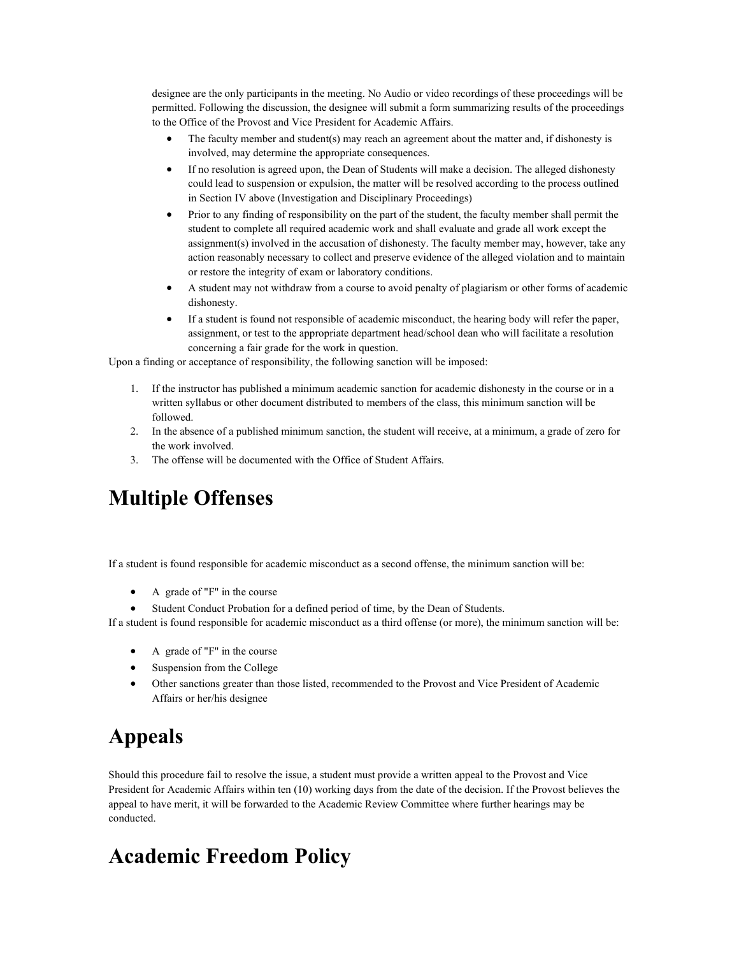designee are the only participants in the meeting. No Audio or video recordings of these proceedings will be permitted. Following the discussion, the designee will submit a form summarizing results of the proceedings to the Office of the Provost and Vice President for Academic Affairs.

- The faculty member and student(s) may reach an agreement about the matter and, if dishonesty is involved, may determine the appropriate consequences.
- If no resolution is agreed upon, the Dean of Students will make a decision. The alleged dishonesty could lead to suspension or expulsion, the matter will be resolved according to the process outlined in Section IV above (Investigation and Disciplinary Proceedings)
- Prior to any finding of responsibility on the part of the student, the faculty member shall permit the student to complete all required academic work and shall evaluate and grade all work except the assignment(s) involved in the accusation of dishonesty. The faculty member may, however, take any action reasonably necessary to collect and preserve evidence of the alleged violation and to maintain or restore the integrity of exam or laboratory conditions.
- A student may not withdraw from a course to avoid penalty of plagiarism or other forms of academic dishonesty.
- If a student is found not responsible of academic misconduct, the hearing body will refer the paper, assignment, or test to the appropriate department head/school dean who will facilitate a resolution concerning a fair grade for the work in question.

Upon a finding or acceptance of responsibility, the following sanction will be imposed:

- 1. If the instructor has published a minimum academic sanction for academic dishonesty in the course or in a written syllabus or other document distributed to members of the class, this minimum sanction will be followed.
- 2. In the absence of a published minimum sanction, the student will receive, at a minimum, a grade of zero for the work involved.
- 3. The offense will be documented with the Office of Student Affairs.

### **Multiple Offenses**

If a student is found responsible for academic misconduct as a second offense, the minimum sanction will be:

- A grade of "F" in the course
- Student Conduct Probation for a defined period of time, by the Dean of Students.

If a student is found responsible for academic misconduct as a third offense (or more), the minimum sanction will be:

- A grade of "F" in the course
- Suspension from the College
- Other sanctions greater than those listed, recommended to the Provost and Vice President of Academic Affairs or her/his designee

### **Appeals**

Should this procedure fail to resolve the issue, a student must provide a written appeal to the Provost and Vice President for Academic Affairs within ten (10) working days from the date of the decision. If the Provost believes the appeal to have merit, it will be forwarded to the Academic Review Committee where further hearings may be conducted.

#### **Academic Freedom Policy**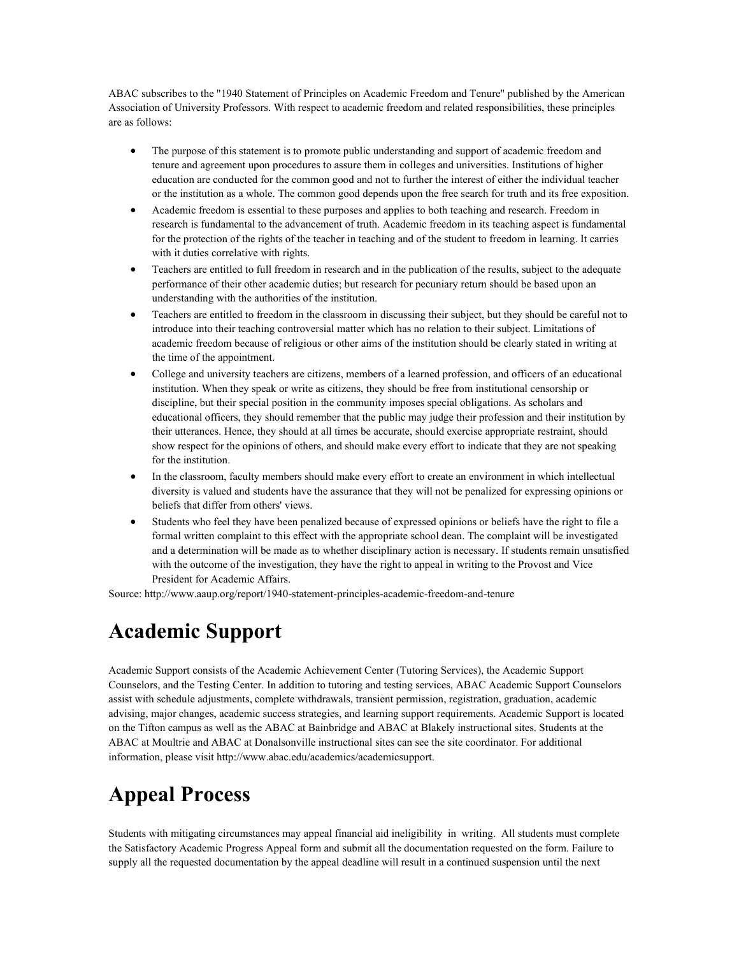ABAC subscribes to the "1940 Statement of Principles on Academic Freedom and Tenure" published by the American Association of University Professors. With respect to academic freedom and related responsibilities, these principles are as follows:

- The purpose of this statement is to promote public understanding and support of academic freedom and tenure and agreement upon procedures to assure them in colleges and universities. Institutions of higher education are conducted for the common good and not to further the interest of either the individual teacher or the institution as a whole. The common good depends upon the free search for truth and its free exposition.
- Academic freedom is essential to these purposes and applies to both teaching and research. Freedom in research is fundamental to the advancement of truth. Academic freedom in its teaching aspect is fundamental for the protection of the rights of the teacher in teaching and of the student to freedom in learning. It carries with it duties correlative with rights.
- Teachers are entitled to full freedom in research and in the publication of the results, subject to the adequate performance of their other academic duties; but research for pecuniary return should be based upon an understanding with the authorities of the institution.
- Teachers are entitled to freedom in the classroom in discussing their subject, but they should be careful not to introduce into their teaching controversial matter which has no relation to their subject. Limitations of academic freedom because of religious or other aims of the institution should be clearly stated in writing at the time of the appointment.
- College and university teachers are citizens, members of a learned profession, and officers of an educational institution. When they speak or write as citizens, they should be free from institutional censorship or discipline, but their special position in the community imposes special obligations. As scholars and educational officers, they should remember that the public may judge their profession and their institution by their utterances. Hence, they should at all times be accurate, should exercise appropriate restraint, should show respect for the opinions of others, and should make every effort to indicate that they are not speaking for the institution.
- In the classroom, faculty members should make every effort to create an environment in which intellectual diversity is valued and students have the assurance that they will not be penalized for expressing opinions or beliefs that differ from others' views.
- Students who feel they have been penalized because of expressed opinions or beliefs have the right to file a formal written complaint to this effect with the appropriate school dean. The complaint will be investigated and a determination will be made as to whether disciplinary action is necessary. If students remain unsatisfied with the outcome of the investigation, they have the right to appeal in writing to the Provost and Vice President for Academic Affairs.

Source: http://www.aaup.org/report/1940-statement-principles-academic-freedom-and-tenure

# **Academic Support**

Academic Support consists of the Academic Achievement Center (Tutoring Services), the Academic Support Counselors, and the Testing Center. In addition to tutoring and testing services, ABAC Academic Support Counselors assist with schedule adjustments, complete withdrawals, transient permission, registration, graduation, academic advising, major changes, academic success strategies, and learning support requirements. Academic Support is located on the Tifton campus as well as the ABAC at Bainbridge and ABAC at Blakely instructional sites. Students at the ABAC at Moultrie and ABAC at Donalsonville instructional sites can see the site coordinator. For additional information, please visit http://www.abac.edu/academics/academicsupport.

# **Appeal Process**

Students with mitigating circumstances may appeal financial aid ineligibility in writing. All students must complete the Satisfactory Academic Progress Appeal form and submit all the documentation requested on the form. Failure to supply all the requested documentation by the appeal deadline will result in a continued suspension until the next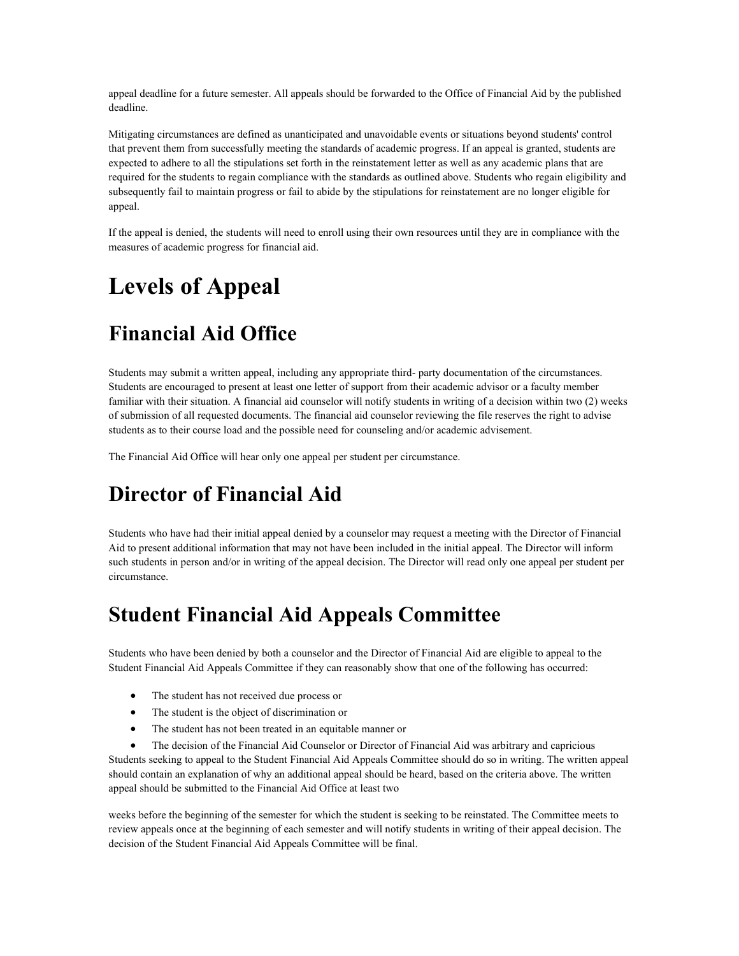appeal deadline for a future semester. All appeals should be forwarded to the Office of Financial Aid by the published deadline.

Mitigating circumstances are defined as unanticipated and unavoidable events or situations beyond students' control that prevent them from successfully meeting the standards of academic progress. If an appeal is granted, students are expected to adhere to all the stipulations set forth in the reinstatement letter as well as any academic plans that are required for the students to regain compliance with the standards as outlined above. Students who regain eligibility and subsequently fail to maintain progress or fail to abide by the stipulations for reinstatement are no longer eligible for appeal.

If the appeal is denied, the students will need to enroll using their own resources until they are in compliance with the measures of academic progress for financial aid.

# **Levels of Appeal**

# **Financial Aid Office**

Students may submit a written appeal, including any appropriate third- party documentation of the circumstances. Students are encouraged to present at least one letter of support from their academic advisor or a faculty member familiar with their situation. A financial aid counselor will notify students in writing of a decision within two (2) weeks of submission of all requested documents. The financial aid counselor reviewing the file reserves the right to advise students as to their course load and the possible need for counseling and/or academic advisement.

The Financial Aid Office will hear only one appeal per student per circumstance.

### **Director of Financial Aid**

Students who have had their initial appeal denied by a counselor may request a meeting with the Director of Financial Aid to present additional information that may not have been included in the initial appeal. The Director will inform such students in person and/or in writing of the appeal decision. The Director will read only one appeal per student per circumstance.

#### **Student Financial Aid Appeals Committee**

Students who have been denied by both a counselor and the Director of Financial Aid are eligible to appeal to the Student Financial Aid Appeals Committee if they can reasonably show that one of the following has occurred:

- The student has not received due process or
- The student is the object of discrimination or
- The student has not been treated in an equitable manner or
- The decision of the Financial Aid Counselor or Director of Financial Aid was arbitrary and capricious

Students seeking to appeal to the Student Financial Aid Appeals Committee should do so in writing. The written appeal should contain an explanation of why an additional appeal should be heard, based on the criteria above. The written appeal should be submitted to the Financial Aid Office at least two

weeks before the beginning of the semester for which the student is seeking to be reinstated. The Committee meets to review appeals once at the beginning of each semester and will notify students in writing of their appeal decision. The decision of the Student Financial Aid Appeals Committee will be final.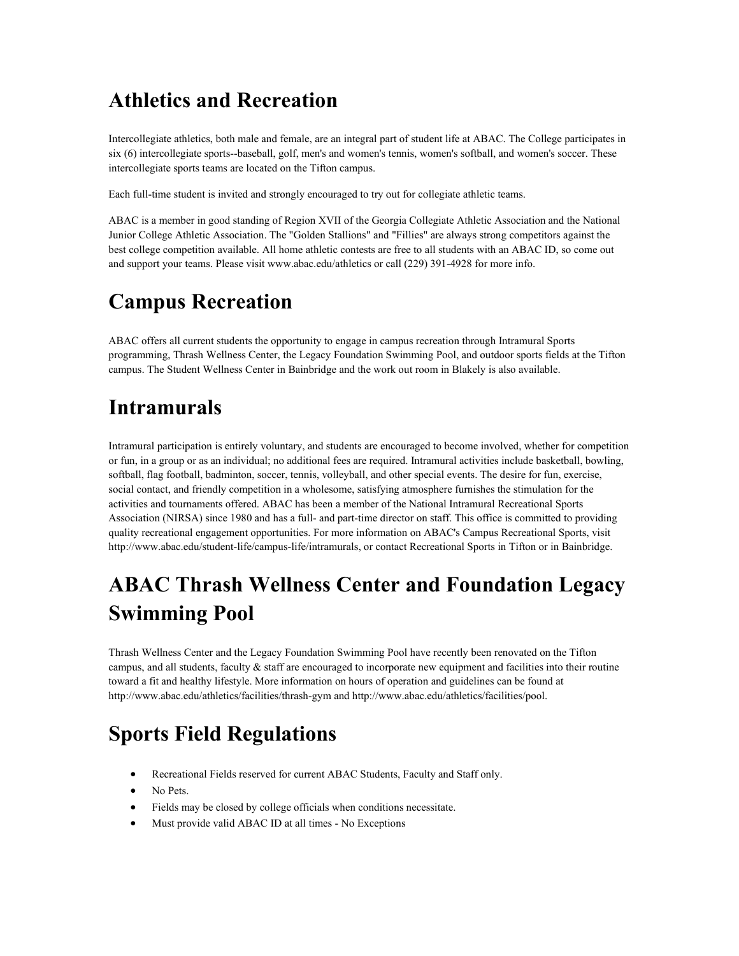# **Athletics and Recreation**

Intercollegiate athletics, both male and female, are an integral part of student life at ABAC. The College participates in six (6) intercollegiate sports--baseball, golf, men's and women's tennis, women's softball, and women's soccer. These intercollegiate sports teams are located on the Tifton campus.

Each full-time student is invited and strongly encouraged to try out for collegiate athletic teams.

ABAC is a member in good standing of Region XVII of the Georgia Collegiate Athletic Association and the National Junior College Athletic Association. The "Golden Stallions" and "Fillies" are always strong competitors against the best college competition available. All home athletic contests are free to all students with an ABAC ID, so come out and support your teams. Please visit www.abac.edu/athletics or call (229) 391-4928 for more info.

# **Campus Recreation**

ABAC offers all current students the opportunity to engage in campus recreation through Intramural Sports programming, Thrash Wellness Center, the Legacy Foundation Swimming Pool, and outdoor sports fields at the Tifton campus. The Student Wellness Center in Bainbridge and the work out room in Blakely is also available.

# **Intramurals**

Intramural participation is entirely voluntary, and students are encouraged to become involved, whether for competition or fun, in a group or as an individual; no additional fees are required. Intramural activities include basketball, bowling, softball, flag football, badminton, soccer, tennis, volleyball, and other special events. The desire for fun, exercise, social contact, and friendly competition in a wholesome, satisfying atmosphere furnishes the stimulation for the activities and tournaments offered. ABAC has been a member of the National Intramural Recreational Sports Association (NIRSA) since 1980 and has a full- and part-time director on staff. This office is committed to providing quality recreational engagement opportunities. For more information on ABAC's Campus Recreational Sports, visit http://www.abac.edu/student-life/campus-life/intramurals, or contact Recreational Sports in Tifton or in Bainbridge.

# **ABAC Thrash Wellness Center and Foundation Legacy Swimming Pool**

Thrash Wellness Center and the Legacy Foundation Swimming Pool have recently been renovated on the Tifton campus, and all students, faculty & staff are encouraged to incorporate new equipment and facilities into their routine toward a fit and healthy lifestyle. More information on hours of operation and guidelines can be found at http://www.abac.edu/athletics/facilities/thrash-gym and http://www.abac.edu/athletics/facilities/pool.

# **Sports Field Regulations**

- Recreational Fields reserved for current ABAC Students, Faculty and Staff only.
- No Pets.
- Fields may be closed by college officials when conditions necessitate.
- Must provide valid ABAC ID at all times No Exceptions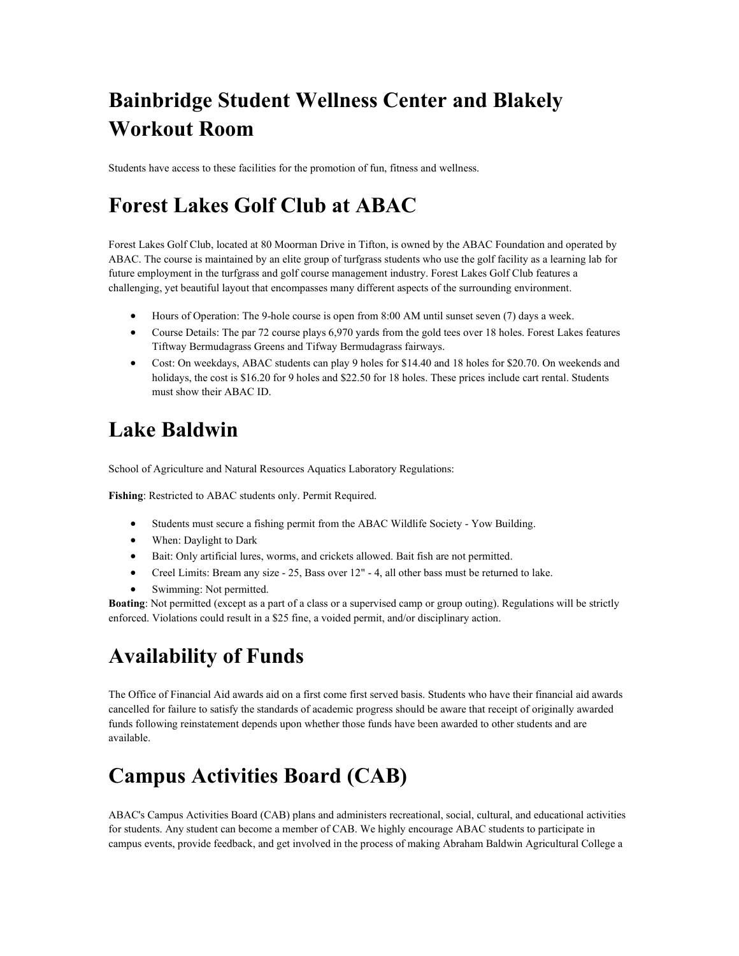# **Bainbridge Student Wellness Center and Blakely Workout Room**

Students have access to these facilities for the promotion of fun, fitness and wellness.

# **Forest Lakes Golf Club at ABAC**

Forest Lakes Golf Club, located at 80 Moorman Drive in Tifton, is owned by the ABAC Foundation and operated by ABAC. The course is maintained by an elite group of turfgrass students who use the golf facility as a learning lab for future employment in the turfgrass and golf course management industry. Forest Lakes Golf Club features a challenging, yet beautiful layout that encompasses many different aspects of the surrounding environment.

- Hours of Operation: The 9-hole course is open from 8:00 AM until sunset seven (7) days a week.
- Course Details: The par 72 course plays 6,970 yards from the gold tees over 18 holes. Forest Lakes features Tiftway Bermudagrass Greens and Tifway Bermudagrass fairways.
- Cost: On weekdays, ABAC students can play 9 holes for \$14.40 and 18 holes for \$20.70. On weekends and holidays, the cost is \$16.20 for 9 holes and \$22.50 for 18 holes. These prices include cart rental. Students must show their ABAC ID.

## **Lake Baldwin**

School of Agriculture and Natural Resources Aquatics Laboratory Regulations:

**Fishing**: Restricted to ABAC students only. Permit Required.

- Students must secure a fishing permit from the ABAC Wildlife Society Yow Building.
- When: Daylight to Dark
- Bait: Only artificial lures, worms, and crickets allowed. Bait fish are not permitted.
- Creel Limits: Bream any size 25, Bass over 12" 4, all other bass must be returned to lake.
- Swimming: Not permitted.

**Boating**: Not permitted (except as a part of a class or a supervised camp or group outing). Regulations will be strictly enforced. Violations could result in a \$25 fine, a voided permit, and/or disciplinary action.

### **Availability of Funds**

The Office of Financial Aid awards aid on a first come first served basis. Students who have their financial aid awards cancelled for failure to satisfy the standards of academic progress should be aware that receipt of originally awarded funds following reinstatement depends upon whether those funds have been awarded to other students and are available.

### **Campus Activities Board (CAB)**

ABAC's Campus Activities Board (CAB) plans and administers recreational, social, cultural, and educational activities for students. Any student can become a member of CAB. We highly encourage ABAC students to participate in campus events, provide feedback, and get involved in the process of making Abraham Baldwin Agricultural College a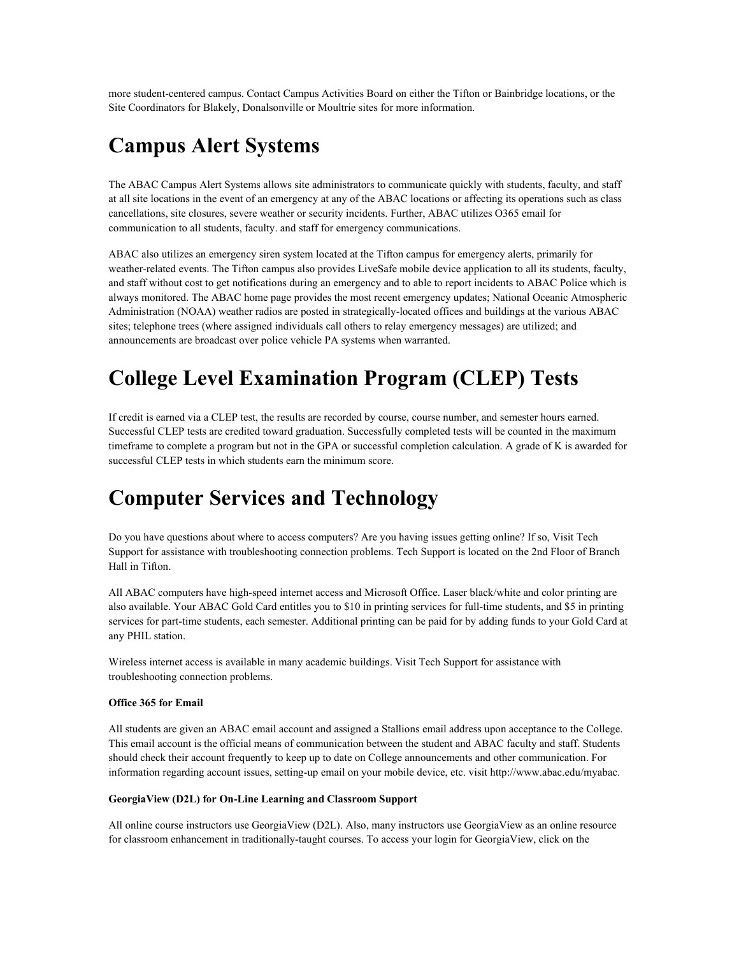more student-centered campus. Contact Campus Activities Board on either the Tifton or Bainbridge locations, or the Site Coordinators for Blakely, Donalsonville or Moultrie sites for more information.

### **Campus Alert Systems**

The ABAC Campus Alert Systems allows site administrators to communicate quickly with students, faculty, and staff at all site locations in the event of an emergency at any of the ABAC locations or affecting its operations such as class cancellations, site closures, severe weather or security incidents. Further, ABAC utilizes O365 email for communication to all students, faculty. and staff for emergency communications.

ABAC also utilizes an emergency siren system located at the Tifton campus for emergency alerts, primarily for weather-related events. The Tifton campus also provides LiveSafe mobile device application to all its students, faculty, and staff without cost to get notifications during an emergency and to able to report incidents to ABAC Police which is always monitored. The ABAC home page provides the most recent emergency updates; National Oceanic Atmospheric Administration (NOAA) weather radios are posted in strategically-located offices and buildings at the various ABAC sites; telephone trees (where assigned individuals call others to relay emergency messages) are utilized; and announcements are broadcast over police vehicle PA systems when warranted.

## **College Level Examination Program (CLEP) Tests**

If credit is earned via a CLEP test, the results are recorded by course, course number, and semester hours earned. Successful CLEP tests are credited toward graduation. Successfully completed tests will be counted in the maximum timeframe to complete a program but not in the GPA or successful completion calculation. A grade of K is awarded for successful CLEP tests in which students earn the minimum score.

#### **Computer Services and Technology**

Do you have questions about where to access computers? Are you having issues getting online? If so, Visit Tech Support for assistance with troubleshooting connection problems. Tech Support is located on the 2nd Floor of Branch Hall in Tifton.

All ABAC computers have high-speed internet access and Microsoft Office. Laser black/white and color printing are also available. Your ABAC Gold Card entitles you to \$10 in printing services for full-time students, and \$5 in printing services for part-time students, each semester. Additional printing can be paid for by adding funds to your Gold Card at any PHIL station.

Wireless internet access is available in many academic buildings. Visit Tech Support for assistance with troubleshooting connection problems.

#### **Office 365 for Email**

All students are given an ABAC email account and assigned a Stallions email address upon acceptance to the College. This email account is the official means of communication between the student and ABAC faculty and staff. Students should check their account frequently to keep up to date on College announcements and other communication. For information regarding account issues, setting-up email on your mobile device, etc. visit http://www.abac.edu/myabac.

#### **GeorgiaView (D2L) for On-Line Learning and Classroom Support**

All online course instructors use GeorgiaView (D2L). Also, many instructors use GeorgiaView as an online resource for classroom enhancement in traditionally-taught courses. To access your login for GeorgiaView, click on the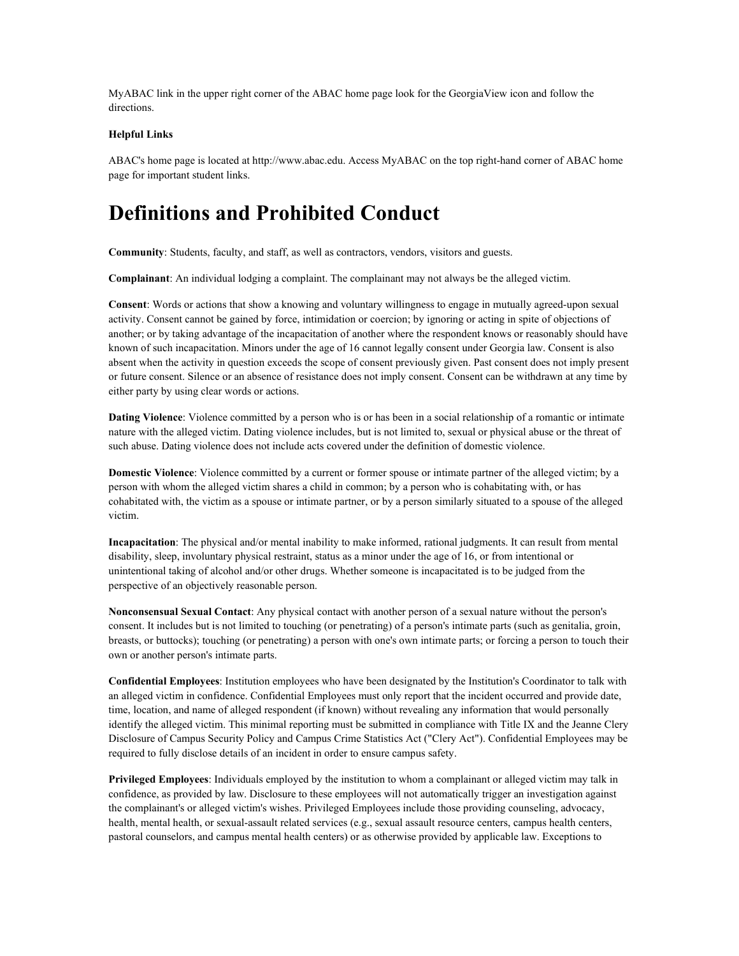MyABAC link in the upper right corner of the ABAC home page look for the GeorgiaView icon and follow the directions.

#### **Helpful Links**

ABAC's home page is located at http://www.abac.edu. Access MyABAC on the top right-hand corner of ABAC home page for important student links.

#### **Definitions and Prohibited Conduct**

**Community**: Students, faculty, and staff, as well as contractors, vendors, visitors and guests.

**Complainant**: An individual lodging a complaint. The complainant may not always be the alleged victim.

**Consent**: Words or actions that show a knowing and voluntary willingness to engage in mutually agreed-upon sexual activity. Consent cannot be gained by force, intimidation or coercion; by ignoring or acting in spite of objections of another; or by taking advantage of the incapacitation of another where the respondent knows or reasonably should have known of such incapacitation. Minors under the age of 16 cannot legally consent under Georgia law. Consent is also absent when the activity in question exceeds the scope of consent previously given. Past consent does not imply present or future consent. Silence or an absence of resistance does not imply consent. Consent can be withdrawn at any time by either party by using clear words or actions.

**Dating Violence**: Violence committed by a person who is or has been in a social relationship of a romantic or intimate nature with the alleged victim. Dating violence includes, but is not limited to, sexual or physical abuse or the threat of such abuse. Dating violence does not include acts covered under the definition of domestic violence.

**Domestic Violence**: Violence committed by a current or former spouse or intimate partner of the alleged victim; by a person with whom the alleged victim shares a child in common; by a person who is cohabitating with, or has cohabitated with, the victim as a spouse or intimate partner, or by a person similarly situated to a spouse of the alleged victim.

**Incapacitation**: The physical and/or mental inability to make informed, rational judgments. It can result from mental disability, sleep, involuntary physical restraint, status as a minor under the age of 16, or from intentional or unintentional taking of alcohol and/or other drugs. Whether someone is incapacitated is to be judged from the perspective of an objectively reasonable person.

**Nonconsensual Sexual Contact**: Any physical contact with another person of a sexual nature without the person's consent. It includes but is not limited to touching (or penetrating) of a person's intimate parts (such as genitalia, groin, breasts, or buttocks); touching (or penetrating) a person with one's own intimate parts; or forcing a person to touch their own or another person's intimate parts.

**Confidential Employees**: Institution employees who have been designated by the Institution's Coordinator to talk with an alleged victim in confidence. Confidential Employees must only report that the incident occurred and provide date, time, location, and name of alleged respondent (if known) without revealing any information that would personally identify the alleged victim. This minimal reporting must be submitted in compliance with Title IX and the Jeanne Clery Disclosure of Campus Security Policy and Campus Crime Statistics Act ("Clery Act"). Confidential Employees may be required to fully disclose details of an incident in order to ensure campus safety.

**Privileged Employees**: Individuals employed by the institution to whom a complainant or alleged victim may talk in confidence, as provided by law. Disclosure to these employees will not automatically trigger an investigation against the complainant's or alleged victim's wishes. Privileged Employees include those providing counseling, advocacy, health, mental health, or sexual-assault related services (e.g., sexual assault resource centers, campus health centers, pastoral counselors, and campus mental health centers) or as otherwise provided by applicable law. Exceptions to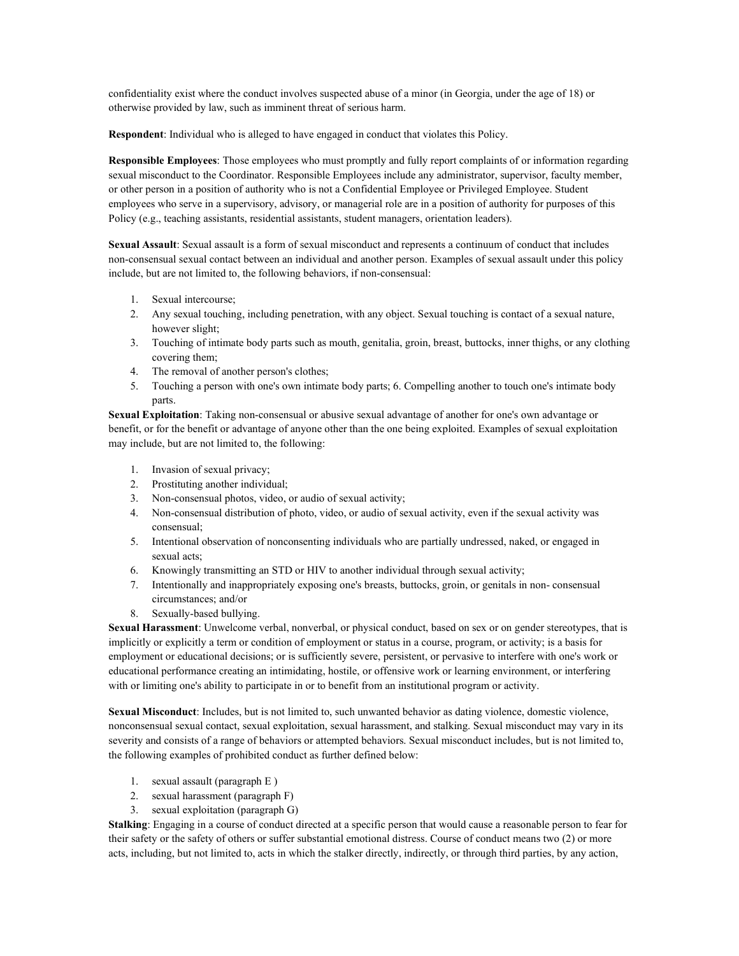confidentiality exist where the conduct involves suspected abuse of a minor (in Georgia, under the age of 18) or otherwise provided by law, such as imminent threat of serious harm.

**Respondent**: Individual who is alleged to have engaged in conduct that violates this Policy.

**Responsible Employees**: Those employees who must promptly and fully report complaints of or information regarding sexual misconduct to the Coordinator. Responsible Employees include any administrator, supervisor, faculty member, or other person in a position of authority who is not a Confidential Employee or Privileged Employee. Student employees who serve in a supervisory, advisory, or managerial role are in a position of authority for purposes of this Policy (e.g., teaching assistants, residential assistants, student managers, orientation leaders).

**Sexual Assault**: Sexual assault is a form of sexual misconduct and represents a continuum of conduct that includes non-consensual sexual contact between an individual and another person. Examples of sexual assault under this policy include, but are not limited to, the following behaviors, if non-consensual:

- 1. Sexual intercourse;
- 2. Any sexual touching, including penetration, with any object. Sexual touching is contact of a sexual nature, however slight;
- 3. Touching of intimate body parts such as mouth, genitalia, groin, breast, buttocks, inner thighs, or any clothing covering them;
- 4. The removal of another person's clothes;
- 5. Touching a person with one's own intimate body parts; 6. Compelling another to touch one's intimate body parts.

**Sexual Exploitation**: Taking non-consensual or abusive sexual advantage of another for one's own advantage or benefit, or for the benefit or advantage of anyone other than the one being exploited. Examples of sexual exploitation may include, but are not limited to, the following:

- 1. Invasion of sexual privacy;
- 2. Prostituting another individual;
- 3. Non-consensual photos, video, or audio of sexual activity;
- 4. Non-consensual distribution of photo, video, or audio of sexual activity, even if the sexual activity was consensual;
- 5. Intentional observation of nonconsenting individuals who are partially undressed, naked, or engaged in sexual acts;
- 6. Knowingly transmitting an STD or HIV to another individual through sexual activity;
- 7. Intentionally and inappropriately exposing one's breasts, buttocks, groin, or genitals in non- consensual circumstances; and/or
- 8. Sexually-based bullying.

**Sexual Harassment**: Unwelcome verbal, nonverbal, or physical conduct, based on sex or on gender stereotypes, that is implicitly or explicitly a term or condition of employment or status in a course, program, or activity; is a basis for employment or educational decisions; or is sufficiently severe, persistent, or pervasive to interfere with one's work or educational performance creating an intimidating, hostile, or offensive work or learning environment, or interfering with or limiting one's ability to participate in or to benefit from an institutional program or activity.

**Sexual Misconduct**: Includes, but is not limited to, such unwanted behavior as dating violence, domestic violence, nonconsensual sexual contact, sexual exploitation, sexual harassment, and stalking. Sexual misconduct may vary in its severity and consists of a range of behaviors or attempted behaviors. Sexual misconduct includes, but is not limited to, the following examples of prohibited conduct as further defined below:

- 1. sexual assault (paragraph E )
- 2. sexual harassment (paragraph F)
- 3. sexual exploitation (paragraph G)

**Stalking**: Engaging in a course of conduct directed at a specific person that would cause a reasonable person to fear for their safety or the safety of others or suffer substantial emotional distress. Course of conduct means two (2) or more acts, including, but not limited to, acts in which the stalker directly, indirectly, or through third parties, by any action,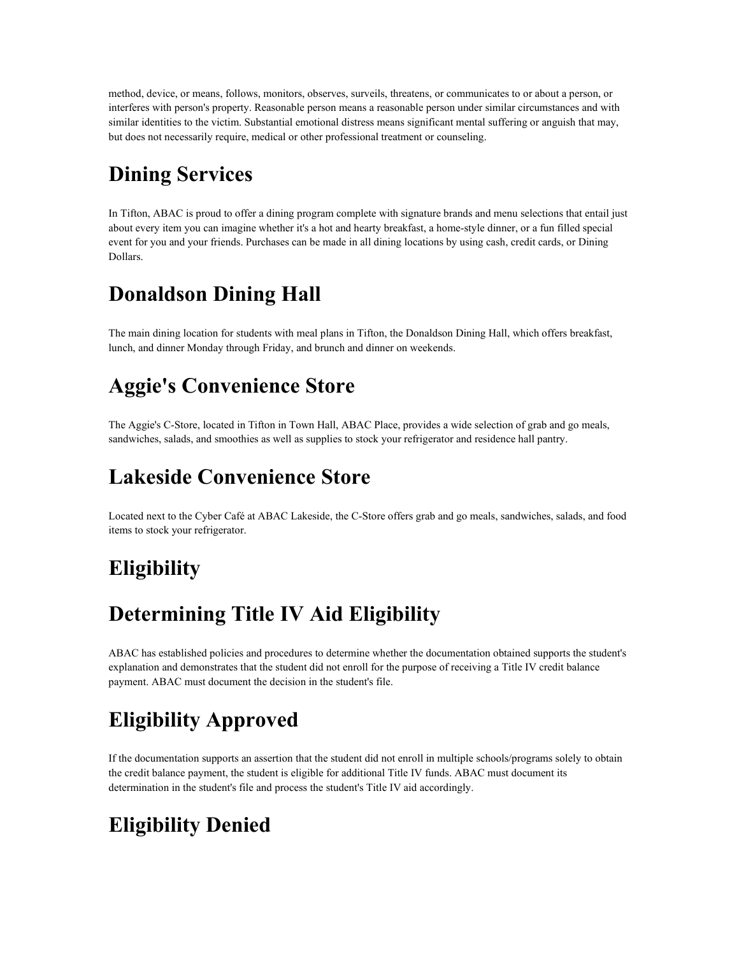method, device, or means, follows, monitors, observes, surveils, threatens, or communicates to or about a person, or interferes with person's property. Reasonable person means a reasonable person under similar circumstances and with similar identities to the victim. Substantial emotional distress means significant mental suffering or anguish that may, but does not necessarily require, medical or other professional treatment or counseling.

# **Dining Services**

In Tifton, ABAC is proud to offer a dining program complete with signature brands and menu selections that entail just about every item you can imagine whether it's a hot and hearty breakfast, a home-style dinner, or a fun filled special event for you and your friends. Purchases can be made in all dining locations by using cash, credit cards, or Dining Dollars.

# **Donaldson Dining Hall**

The main dining location for students with meal plans in Tifton, the Donaldson Dining Hall, which offers breakfast, lunch, and dinner Monday through Friday, and brunch and dinner on weekends.

# **Aggie's Convenience Store**

The Aggie's C-Store, located in Tifton in Town Hall, ABAC Place, provides a wide selection of grab and go meals, sandwiches, salads, and smoothies as well as supplies to stock your refrigerator and residence hall pantry.

# **Lakeside Convenience Store**

Located next to the Cyber Café at ABAC Lakeside, the C-Store offers grab and go meals, sandwiches, salads, and food items to stock your refrigerator.

# **Eligibility**

### **Determining Title IV Aid Eligibility**

ABAC has established policies and procedures to determine whether the documentation obtained supports the student's explanation and demonstrates that the student did not enroll for the purpose of receiving a Title IV credit balance payment. ABAC must document the decision in the student's file.

# **Eligibility Approved**

If the documentation supports an assertion that the student did not enroll in multiple schools/programs solely to obtain the credit balance payment, the student is eligible for additional Title IV funds. ABAC must document its determination in the student's file and process the student's Title IV aid accordingly.

# **Eligibility Denied**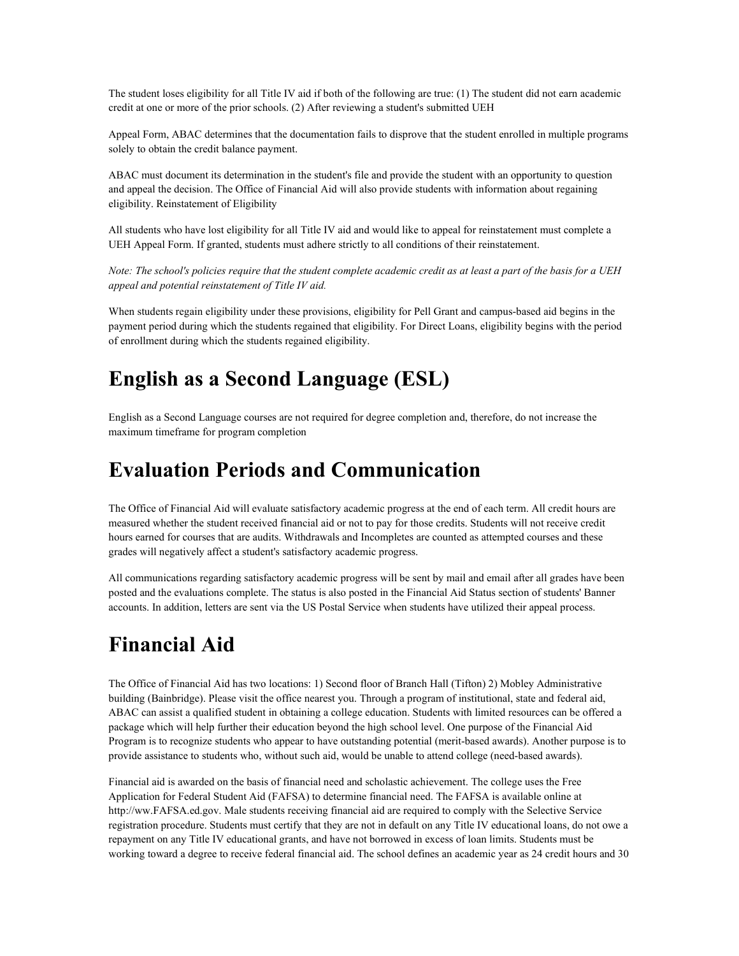The student loses eligibility for all Title IV aid if both of the following are true: (1) The student did not earn academic credit at one or more of the prior schools. (2) After reviewing a student's submitted UEH

Appeal Form, ABAC determines that the documentation fails to disprove that the student enrolled in multiple programs solely to obtain the credit balance payment.

ABAC must document its determination in the student's file and provide the student with an opportunity to question and appeal the decision. The Office of Financial Aid will also provide students with information about regaining eligibility. Reinstatement of Eligibility

All students who have lost eligibility for all Title IV aid and would like to appeal for reinstatement must complete a UEH Appeal Form. If granted, students must adhere strictly to all conditions of their reinstatement.

*Note: The school's policies require that the student complete academic credit as at least a part of the basis for a UEH appeal and potential reinstatement of Title IV aid.*

When students regain eligibility under these provisions, eligibility for Pell Grant and campus-based aid begins in the payment period during which the students regained that eligibility. For Direct Loans, eligibility begins with the period of enrollment during which the students regained eligibility.

#### **English as a Second Language (ESL)**

English as a Second Language courses are not required for degree completion and, therefore, do not increase the maximum timeframe for program completion

#### **Evaluation Periods and Communication**

The Office of Financial Aid will evaluate satisfactory academic progress at the end of each term. All credit hours are measured whether the student received financial aid or not to pay for those credits. Students will not receive credit hours earned for courses that are audits. Withdrawals and Incompletes are counted as attempted courses and these grades will negatively affect a student's satisfactory academic progress.

All communications regarding satisfactory academic progress will be sent by mail and email after all grades have been posted and the evaluations complete. The status is also posted in the Financial Aid Status section of students' Banner accounts. In addition, letters are sent via the US Postal Service when students have utilized their appeal process.

# **Financial Aid**

The Office of Financial Aid has two locations: 1) Second floor of Branch Hall (Tifton) 2) Mobley Administrative building (Bainbridge). Please visit the office nearest you. Through a program of institutional, state and federal aid, ABAC can assist a qualified student in obtaining a college education. Students with limited resources can be offered a package which will help further their education beyond the high school level. One purpose of the Financial Aid Program is to recognize students who appear to have outstanding potential (merit-based awards). Another purpose is to provide assistance to students who, without such aid, would be unable to attend college (need-based awards).

Financial aid is awarded on the basis of financial need and scholastic achievement. The college uses the Free Application for Federal Student Aid (FAFSA) to determine financial need. The FAFSA is available online at http://ww.FAFSA.ed.gov. Male students receiving financial aid are required to comply with the Selective Service registration procedure. Students must certify that they are not in default on any Title IV educational loans, do not owe a repayment on any Title IV educational grants, and have not borrowed in excess of loan limits. Students must be working toward a degree to receive federal financial aid. The school defines an academic year as 24 credit hours and 30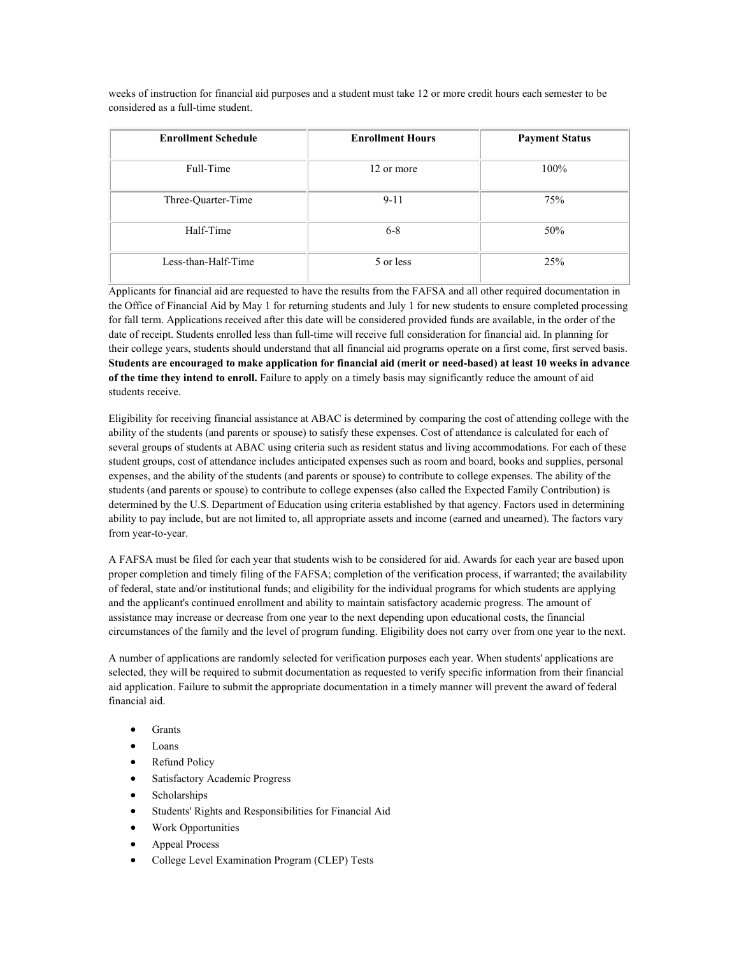weeks of instruction for financial aid purposes and a student must take 12 or more credit hours each semester to be considered as a full-time student.

| <b>Enrollment Schedule</b> | <b>Enrollment Hours</b> | <b>Payment Status</b> |  |
|----------------------------|-------------------------|-----------------------|--|
| Full-Time                  | 12 or more              | 100%                  |  |
| Three-Quarter-Time         | $9 - 11$                | 75%                   |  |
| Half-Time                  | $6 - 8$                 | 50%                   |  |
| Less-than-Half-Time        | 5 or less               | 25%                   |  |

Applicants for financial aid are requested to have the results from the FAFSA and all other required documentation in the Office of Financial Aid by May 1 for returning students and July 1 for new students to ensure completed processing for fall term. Applications received after this date will be considered provided funds are available, in the order of the date of receipt. Students enrolled less than full-time will receive full consideration for financial aid. In planning for their college years, students should understand that all financial aid programs operate on a first come, first served basis. **Students are encouraged to make application for financial aid (merit or need-based) at least 10 weeks in advance of the time they intend to enroll.** Failure to apply on a timely basis may significantly reduce the amount of aid students receive.

Eligibility for receiving financial assistance at ABAC is determined by comparing the cost of attending college with the ability of the students (and parents or spouse) to satisfy these expenses. Cost of attendance is calculated for each of several groups of students at ABAC using criteria such as resident status and living accommodations. For each of these student groups, cost of attendance includes anticipated expenses such as room and board, books and supplies, personal expenses, and the ability of the students (and parents or spouse) to contribute to college expenses. The ability of the students (and parents or spouse) to contribute to college expenses (also called the Expected Family Contribution) is determined by the U.S. Department of Education using criteria established by that agency. Factors used in determining ability to pay include, but are not limited to, all appropriate assets and income (earned and unearned). The factors vary from year-to-year.

A FAFSA must be filed for each year that students wish to be considered for aid. Awards for each year are based upon proper completion and timely filing of the FAFSA; completion of the verification process, if warranted; the availability of federal, state and/or institutional funds; and eligibility for the individual programs for which students are applying and the applicant's continued enrollment and ability to maintain satisfactory academic progress. The amount of assistance may increase or decrease from one year to the next depending upon educational costs, the financial circumstances of the family and the level of program funding. Eligibility does not carry over from one year to the next.

A number of applications are randomly selected for verification purposes each year. When students' applications are selected, they will be required to submit documentation as requested to verify specific information from their financial aid application. Failure to submit the appropriate documentation in a timely manner will prevent the award of federal financial aid.

- **Grants**
- Loans
- Refund Policy
- Satisfactory Academic Progress
- Scholarships
- Students' Rights and Responsibilities for Financial Aid
- Work Opportunities
- Appeal Process
- College Level Examination Program (CLEP) Tests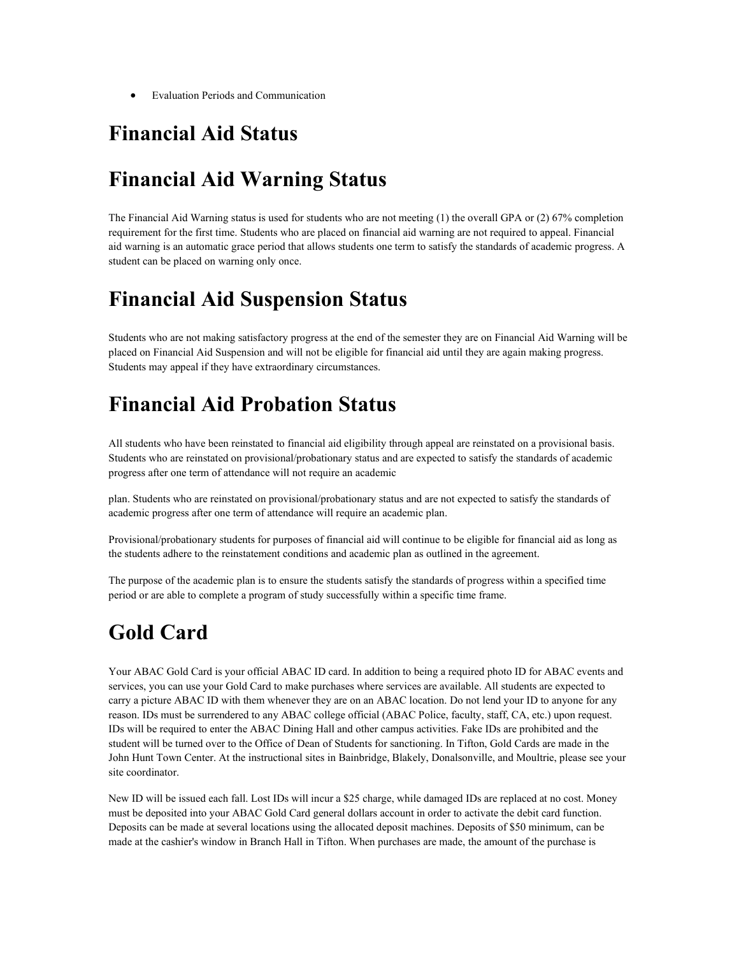• Evaluation Periods and Communication

# **Financial Aid Status**

#### **Financial Aid Warning Status**

The Financial Aid Warning status is used for students who are not meeting (1) the overall GPA or (2) 67% completion requirement for the first time. Students who are placed on financial aid warning are not required to appeal. Financial aid warning is an automatic grace period that allows students one term to satisfy the standards of academic progress. A student can be placed on warning only once.

#### **Financial Aid Suspension Status**

Students who are not making satisfactory progress at the end of the semester they are on Financial Aid Warning will be placed on Financial Aid Suspension and will not be eligible for financial aid until they are again making progress. Students may appeal if they have extraordinary circumstances.

### **Financial Aid Probation Status**

All students who have been reinstated to financial aid eligibility through appeal are reinstated on a provisional basis. Students who are reinstated on provisional/probationary status and are expected to satisfy the standards of academic progress after one term of attendance will not require an academic

plan. Students who are reinstated on provisional/probationary status and are not expected to satisfy the standards of academic progress after one term of attendance will require an academic plan.

Provisional/probationary students for purposes of financial aid will continue to be eligible for financial aid as long as the students adhere to the reinstatement conditions and academic plan as outlined in the agreement.

The purpose of the academic plan is to ensure the students satisfy the standards of progress within a specified time period or are able to complete a program of study successfully within a specific time frame.

# **Gold Card**

Your ABAC Gold Card is your official ABAC ID card. In addition to being a required photo ID for ABAC events and services, you can use your Gold Card to make purchases where services are available. All students are expected to carry a picture ABAC ID with them whenever they are on an ABAC location. Do not lend your ID to anyone for any reason. IDs must be surrendered to any ABAC college official (ABAC Police, faculty, staff, CA, etc.) upon request. IDs will be required to enter the ABAC Dining Hall and other campus activities. Fake IDs are prohibited and the student will be turned over to the Office of Dean of Students for sanctioning. In Tifton, Gold Cards are made in the John Hunt Town Center. At the instructional sites in Bainbridge, Blakely, Donalsonville, and Moultrie, please see your site coordinator.

New ID will be issued each fall. Lost IDs will incur a \$25 charge, while damaged IDs are replaced at no cost. Money must be deposited into your ABAC Gold Card general dollars account in order to activate the debit card function. Deposits can be made at several locations using the allocated deposit machines. Deposits of \$50 minimum, can be made at the cashier's window in Branch Hall in Tifton. When purchases are made, the amount of the purchase is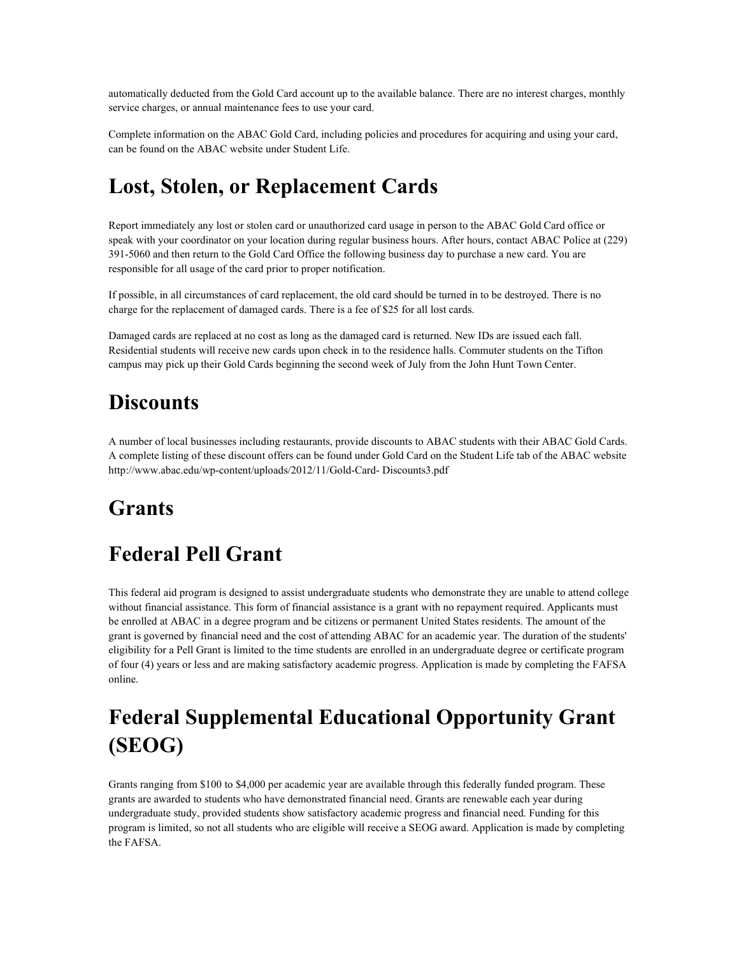automatically deducted from the Gold Card account up to the available balance. There are no interest charges, monthly service charges, or annual maintenance fees to use your card.

Complete information on the ABAC Gold Card, including policies and procedures for acquiring and using your card, can be found on the ABAC website under Student Life.

#### **Lost, Stolen, or Replacement Cards**

Report immediately any lost or stolen card or unauthorized card usage in person to the ABAC Gold Card office or speak with your coordinator on your location during regular business hours. After hours, contact ABAC Police at (229) 391-5060 and then return to the Gold Card Office the following business day to purchase a new card. You are responsible for all usage of the card prior to proper notification.

If possible, in all circumstances of card replacement, the old card should be turned in to be destroyed. There is no charge for the replacement of damaged cards. There is a fee of \$25 for all lost cards.

Damaged cards are replaced at no cost as long as the damaged card is returned. New IDs are issued each fall. Residential students will receive new cards upon check in to the residence halls. Commuter students on the Tifton campus may pick up their Gold Cards beginning the second week of July from the John Hunt Town Center.

### **Discounts**

A number of local businesses including restaurants, provide discounts to ABAC students with their ABAC Gold Cards. A complete listing of these discount offers can be found under Gold Card on the Student Life tab of the ABAC website http://www.abac.edu/wp-content/uploads/2012/11/Gold-Card- Discounts3.pdf

### **Grants**

# **Federal Pell Grant**

This federal aid program is designed to assist undergraduate students who demonstrate they are unable to attend college without financial assistance. This form of financial assistance is a grant with no repayment required. Applicants must be enrolled at ABAC in a degree program and be citizens or permanent United States residents. The amount of the grant is governed by financial need and the cost of attending ABAC for an academic year. The duration of the students' eligibility for a Pell Grant is limited to the time students are enrolled in an undergraduate degree or certificate program of four (4) years or less and are making satisfactory academic progress. Application is made by completing the FAFSA online.

# **Federal Supplemental Educational Opportunity Grant (SEOG)**

Grants ranging from \$100 to \$4,000 per academic year are available through this federally funded program. These grants are awarded to students who have demonstrated financial need. Grants are renewable each year during undergraduate study, provided students show satisfactory academic progress and financial need. Funding for this program is limited, so not all students who are eligible will receive a SEOG award. Application is made by completing the FAFSA.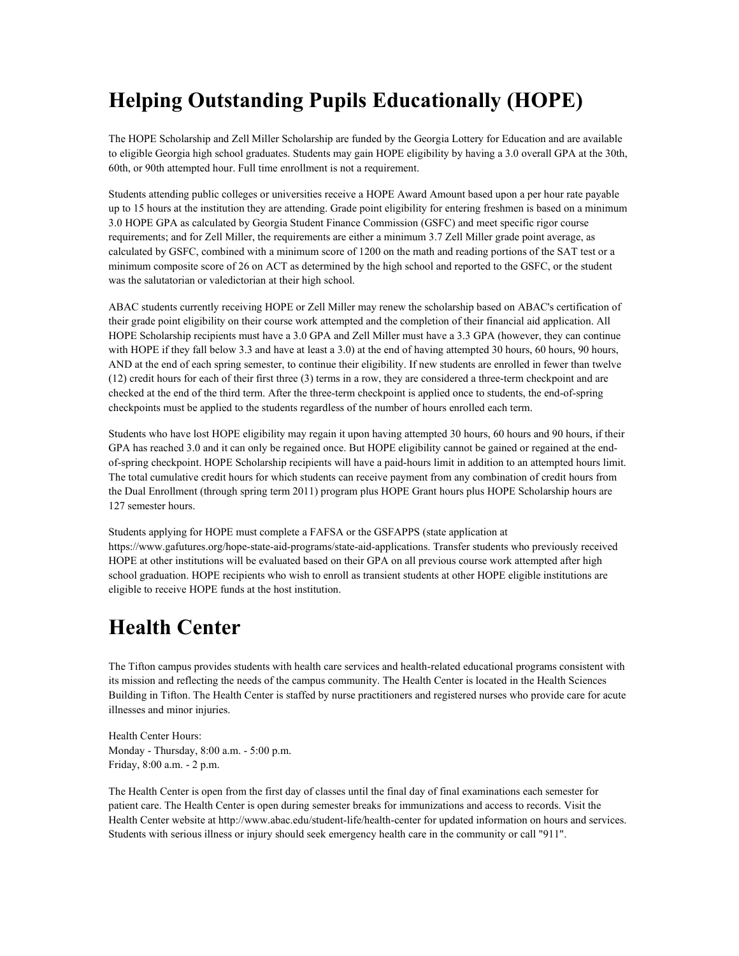# **Helping Outstanding Pupils Educationally (HOPE)**

The HOPE Scholarship and Zell Miller Scholarship are funded by the Georgia Lottery for Education and are available to eligible Georgia high school graduates. Students may gain HOPE eligibility by having a 3.0 overall GPA at the 30th, 60th, or 90th attempted hour. Full time enrollment is not a requirement.

Students attending public colleges or universities receive a HOPE Award Amount based upon a per hour rate payable up to 15 hours at the institution they are attending. Grade point eligibility for entering freshmen is based on a minimum 3.0 HOPE GPA as calculated by Georgia Student Finance Commission (GSFC) and meet specific rigor course requirements; and for Zell Miller, the requirements are either a minimum 3.7 Zell Miller grade point average, as calculated by GSFC, combined with a minimum score of 1200 on the math and reading portions of the SAT test or a minimum composite score of 26 on ACT as determined by the high school and reported to the GSFC, or the student was the salutatorian or valedictorian at their high school.

ABAC students currently receiving HOPE or Zell Miller may renew the scholarship based on ABAC's certification of their grade point eligibility on their course work attempted and the completion of their financial aid application. All HOPE Scholarship recipients must have a 3.0 GPA and Zell Miller must have a 3.3 GPA (however, they can continue with HOPE if they fall below 3.3 and have at least a 3.0) at the end of having attempted 30 hours, 60 hours, 90 hours, AND at the end of each spring semester, to continue their eligibility. If new students are enrolled in fewer than twelve (12) credit hours for each of their first three (3) terms in a row, they are considered a three-term checkpoint and are checked at the end of the third term. After the three-term checkpoint is applied once to students, the end-of-spring checkpoints must be applied to the students regardless of the number of hours enrolled each term.

Students who have lost HOPE eligibility may regain it upon having attempted 30 hours, 60 hours and 90 hours, if their GPA has reached 3.0 and it can only be regained once. But HOPE eligibility cannot be gained or regained at the endof-spring checkpoint. HOPE Scholarship recipients will have a paid-hours limit in addition to an attempted hours limit. The total cumulative credit hours for which students can receive payment from any combination of credit hours from the Dual Enrollment (through spring term 2011) program plus HOPE Grant hours plus HOPE Scholarship hours are 127 semester hours.

Students applying for HOPE must complete a FAFSA or the GSFAPPS (state application at https://www.gafutures.org/hope-state-aid-programs/state-aid-applications. Transfer students who previously received HOPE at other institutions will be evaluated based on their GPA on all previous course work attempted after high school graduation. HOPE recipients who wish to enroll as transient students at other HOPE eligible institutions are eligible to receive HOPE funds at the host institution.

#### **Health Center**

The Tifton campus provides students with health care services and health-related educational programs consistent with its mission and reflecting the needs of the campus community. The Health Center is located in the Health Sciences Building in Tifton. The Health Center is staffed by nurse practitioners and registered nurses who provide care for acute illnesses and minor injuries.

Health Center Hours: Monday - Thursday, 8:00 a.m. - 5:00 p.m. Friday, 8:00 a.m. - 2 p.m.

The Health Center is open from the first day of classes until the final day of final examinations each semester for patient care. The Health Center is open during semester breaks for immunizations and access to records. Visit the Health Center website at http://www.abac.edu/student-life/health-center for updated information on hours and services. Students with serious illness or injury should seek emergency health care in the community or call "911".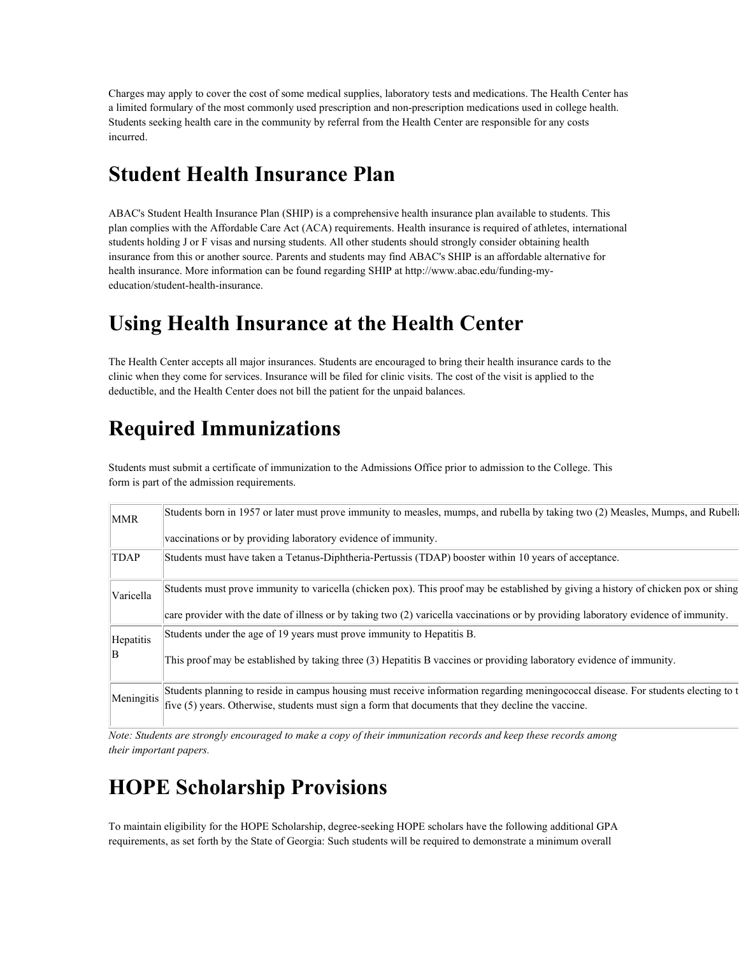Charges may apply to cover the cost of some medical supplies, laboratory tests and medications. The Health Center has a limited formulary of the most commonly used prescription and non-prescription medications used in college health. Students seeking health care in the community by referral from the Health Center are responsible for any costs incurred.

## **Student Health Insurance Plan**

ABAC's Student Health Insurance Plan (SHIP) is a comprehensive health insurance plan available to students. This plan complies with the Affordable Care Act (ACA) requirements. Health insurance is required of athletes, international students holding J or F visas and nursing students. All other students should strongly consider obtaining health insurance from this or another source. Parents and students may find ABAC's SHIP is an affordable alternative for health insurance. More information can be found regarding SHIP at http://www.abac.edu/funding-myeducation/student-health-insurance.

#### **Using Health Insurance at the Health Center**

The Health Center accepts all major insurances. Students are encouraged to bring their health insurance cards to the clinic when they come for services. Insurance will be filed for clinic visits. The cost of the visit is applied to the deductible, and the Health Center does not bill the patient for the unpaid balances.

# **Required Immunizations**

Students must submit a certificate of immunization to the Admissions Office prior to admission to the College. This form is part of the admission requirements.

| <b>MMR</b> | Students born in 1957 or later must prove immunity to measles, mumps, and rubella by taking two (2) Measles, Mumps, and Rubell                                                                                                             |
|------------|--------------------------------------------------------------------------------------------------------------------------------------------------------------------------------------------------------------------------------------------|
|            | vaccinations or by providing laboratory evidence of immunity.                                                                                                                                                                              |
| TDAP       | Students must have taken a Tetanus-Diphtheria-Pertussis (TDAP) booster within 10 years of acceptance.                                                                                                                                      |
| Varicella  | Students must prove immunity to varicella (chicken pox). This proof may be established by giving a history of chicken pox or shing                                                                                                         |
|            | care provider with the date of illness or by taking two (2) varicella vaccinations or by providing laboratory evidence of immunity.                                                                                                        |
| Hepatitis  | Students under the age of 19 years must prove immunity to Hepatitis B.                                                                                                                                                                     |
| B          | This proof may be established by taking three (3) Hepatitis B vaccines or providing laboratory evidence of immunity.                                                                                                                       |
| Meningitis | Students planning to reside in campus housing must receive information regarding meningococcal disease. For students electing to t<br>five $(5)$ years. Otherwise, students must sign a form that documents that they decline the vaccine. |
|            |                                                                                                                                                                                                                                            |

*Note: Students are strongly encouraged to make a copy of their immunization records and keep these records among their important papers.*

### **HOPE Scholarship Provisions**

To maintain eligibility for the HOPE Scholarship, degree-seeking HOPE scholars have the following additional GPA requirements, as set forth by the State of Georgia: Such students will be required to demonstrate a minimum overall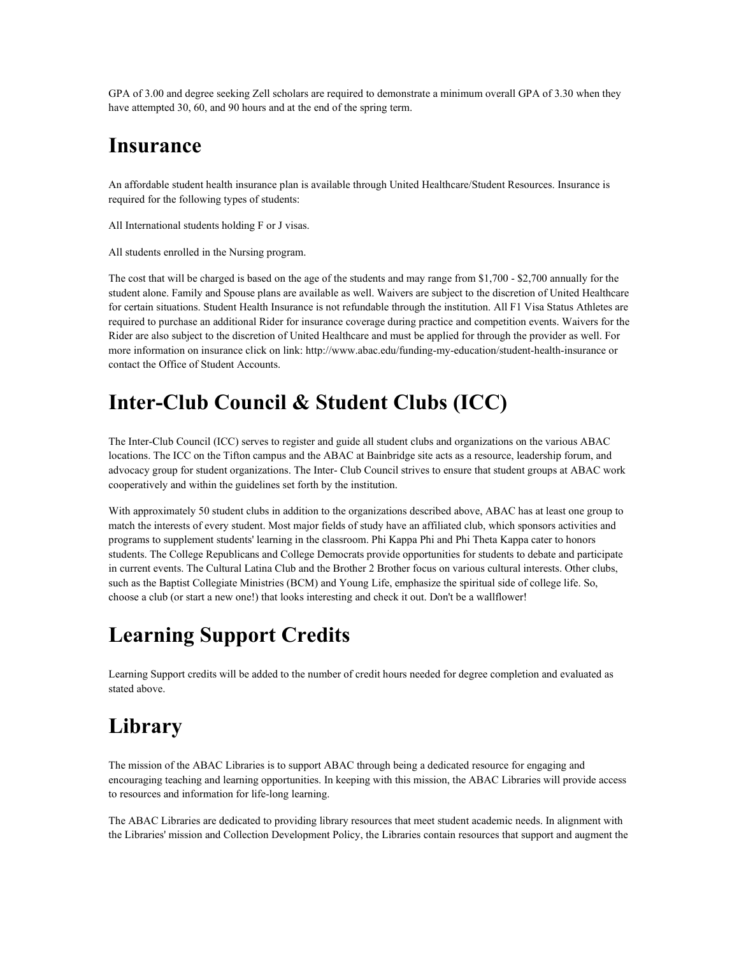GPA of 3.00 and degree seeking Zell scholars are required to demonstrate a minimum overall GPA of 3.30 when they have attempted 30, 60, and 90 hours and at the end of the spring term.

#### **Insurance**

An affordable student health insurance plan is available through United Healthcare/Student Resources. Insurance is required for the following types of students:

All International students holding F or J visas.

All students enrolled in the Nursing program.

The cost that will be charged is based on the age of the students and may range from \$1,700 - \$2,700 annually for the student alone. Family and Spouse plans are available as well. Waivers are subject to the discretion of United Healthcare for certain situations. Student Health Insurance is not refundable through the institution. All F1 Visa Status Athletes are required to purchase an additional Rider for insurance coverage during practice and competition events. Waivers for the Rider are also subject to the discretion of United Healthcare and must be applied for through the provider as well. For more information on insurance click on link: http://www.abac.edu/funding-my-education/student-health-insurance or contact the Office of Student Accounts.

# **Inter-Club Council & Student Clubs (ICC)**

The Inter-Club Council (ICC) serves to register and guide all student clubs and organizations on the various ABAC locations. The ICC on the Tifton campus and the ABAC at Bainbridge site acts as a resource, leadership forum, and advocacy group for student organizations. The Inter- Club Council strives to ensure that student groups at ABAC work cooperatively and within the guidelines set forth by the institution.

With approximately 50 student clubs in addition to the organizations described above, ABAC has at least one group to match the interests of every student. Most major fields of study have an affiliated club, which sponsors activities and programs to supplement students' learning in the classroom. Phi Kappa Phi and Phi Theta Kappa cater to honors students. The College Republicans and College Democrats provide opportunities for students to debate and participate in current events. The Cultural Latina Club and the Brother 2 Brother focus on various cultural interests. Other clubs, such as the Baptist Collegiate Ministries (BCM) and Young Life, emphasize the spiritual side of college life. So, choose a club (or start a new one!) that looks interesting and check it out. Don't be a wallflower!

# **Learning Support Credits**

Learning Support credits will be added to the number of credit hours needed for degree completion and evaluated as stated above.

# **Library**

The mission of the ABAC Libraries is to support ABAC through being a dedicated resource for engaging and encouraging teaching and learning opportunities. In keeping with this mission, the ABAC Libraries will provide access to resources and information for life-long learning.

The ABAC Libraries are dedicated to providing library resources that meet student academic needs. In alignment with the Libraries' mission and Collection Development Policy, the Libraries contain resources that support and augment the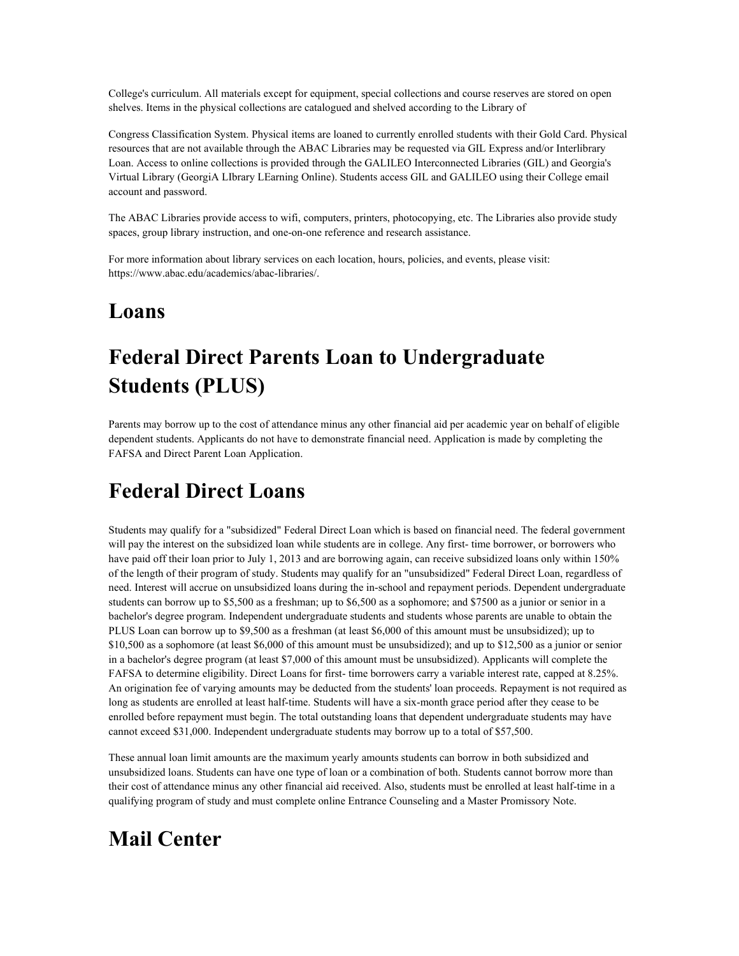College's curriculum. All materials except for equipment, special collections and course reserves are stored on open shelves. Items in the physical collections are catalogued and shelved according to the Library of

Congress Classification System. Physical items are loaned to currently enrolled students with their Gold Card. Physical resources that are not available through the ABAC Libraries may be requested via GIL Express and/or Interlibrary Loan. Access to online collections is provided through the GALILEO Interconnected Libraries (GIL) and Georgia's Virtual Library (GeorgiA LIbrary LEarning Online). Students access GIL and GALILEO using their College email account and password.

The ABAC Libraries provide access to wifi, computers, printers, photocopying, etc. The Libraries also provide study spaces, group library instruction, and one-on-one reference and research assistance.

For more information about library services on each location, hours, policies, and events, please visit: https://www.abac.edu/academics/abac-libraries/.

#### **Loans**

# **Federal Direct Parents Loan to Undergraduate Students (PLUS)**

Parents may borrow up to the cost of attendance minus any other financial aid per academic year on behalf of eligible dependent students. Applicants do not have to demonstrate financial need. Application is made by completing the FAFSA and Direct Parent Loan Application.

### **Federal Direct Loans**

Students may qualify for a "subsidized" Federal Direct Loan which is based on financial need. The federal government will pay the interest on the subsidized loan while students are in college. Any first- time borrower, or borrowers who have paid off their loan prior to July 1, 2013 and are borrowing again, can receive subsidized loans only within 150% of the length of their program of study. Students may qualify for an "unsubsidized" Federal Direct Loan, regardless of need. Interest will accrue on unsubsidized loans during the in-school and repayment periods. Dependent undergraduate students can borrow up to \$5,500 as a freshman; up to \$6,500 as a sophomore; and \$7500 as a junior or senior in a bachelor's degree program. Independent undergraduate students and students whose parents are unable to obtain the PLUS Loan can borrow up to \$9,500 as a freshman (at least \$6,000 of this amount must be unsubsidized); up to \$10,500 as a sophomore (at least \$6,000 of this amount must be unsubsidized); and up to \$12,500 as a junior or senior in a bachelor's degree program (at least \$7,000 of this amount must be unsubsidized). Applicants will complete the FAFSA to determine eligibility. Direct Loans for first- time borrowers carry a variable interest rate, capped at 8.25%. An origination fee of varying amounts may be deducted from the students' loan proceeds. Repayment is not required as long as students are enrolled at least half-time. Students will have a six-month grace period after they cease to be enrolled before repayment must begin. The total outstanding loans that dependent undergraduate students may have cannot exceed \$31,000. Independent undergraduate students may borrow up to a total of \$57,500.

These annual loan limit amounts are the maximum yearly amounts students can borrow in both subsidized and unsubsidized loans. Students can have one type of loan or a combination of both. Students cannot borrow more than their cost of attendance minus any other financial aid received. Also, students must be enrolled at least half-time in a qualifying program of study and must complete online Entrance Counseling and a Master Promissory Note.

# **Mail Center**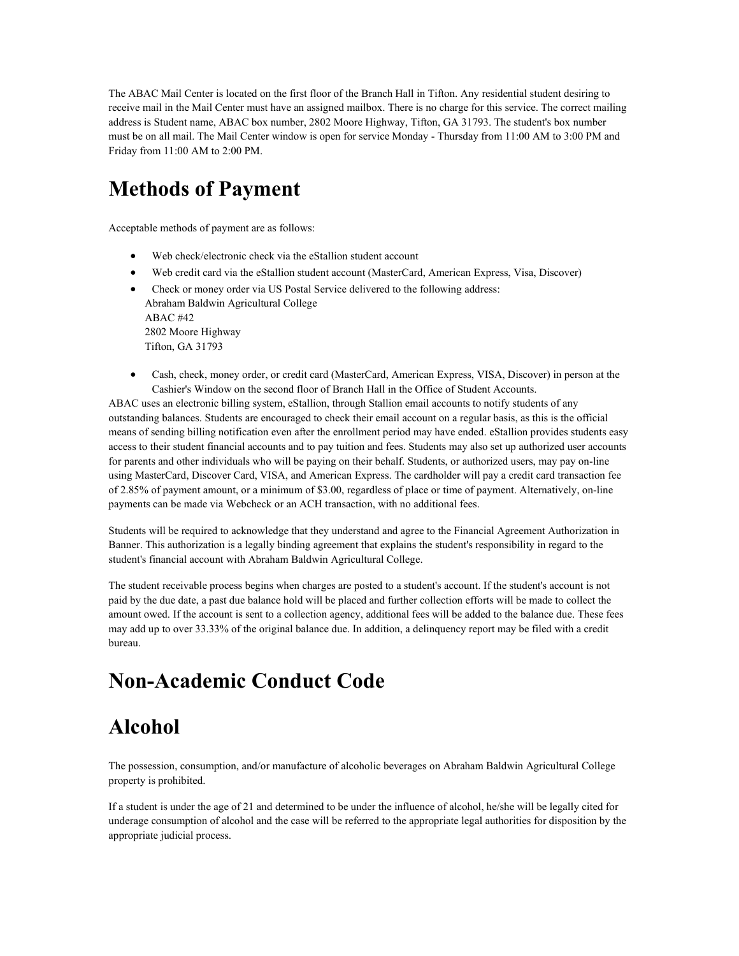The ABAC Mail Center is located on the first floor of the Branch Hall in Tifton. Any residential student desiring to receive mail in the Mail Center must have an assigned mailbox. There is no charge for this service. The correct mailing address is Student name, ABAC box number, 2802 Moore Highway, Tifton, GA 31793. The student's box number must be on all mail. The Mail Center window is open for service Monday - Thursday from 11:00 AM to 3:00 PM and Friday from 11:00 AM to 2:00 PM.

## **Methods of Payment**

Acceptable methods of payment are as follows:

- Web check/electronic check via the eStallion student account
- Web credit card via the eStallion student account (MasterCard, American Express, Visa, Discover)
- Check or money order via US Postal Service delivered to the following address: Abraham Baldwin Agricultural College ABAC #42 2802 Moore Highway Tifton, GA 31793
- Cash, check, money order, or credit card (MasterCard, American Express, VISA, Discover) in person at the Cashier's Window on the second floor of Branch Hall in the Office of Student Accounts.

ABAC uses an electronic billing system, eStallion, through Stallion email accounts to notify students of any outstanding balances. Students are encouraged to check their email account on a regular basis, as this is the official means of sending billing notification even after the enrollment period may have ended. eStallion provides students easy access to their student financial accounts and to pay tuition and fees. Students may also set up authorized user accounts for parents and other individuals who will be paying on their behalf. Students, or authorized users, may pay on-line using MasterCard, Discover Card, VISA, and American Express. The cardholder will pay a credit card transaction fee of 2.85% of payment amount, or a minimum of \$3.00, regardless of place or time of payment. Alternatively, on-line payments can be made via Webcheck or an ACH transaction, with no additional fees.

Students will be required to acknowledge that they understand and agree to the Financial Agreement Authorization in Banner. This authorization is a legally binding agreement that explains the student's responsibility in regard to the student's financial account with Abraham Baldwin Agricultural College.

The student receivable process begins when charges are posted to a student's account. If the student's account is not paid by the due date, a past due balance hold will be placed and further collection efforts will be made to collect the amount owed. If the account is sent to a collection agency, additional fees will be added to the balance due. These fees may add up to over 33.33% of the original balance due. In addition, a delinquency report may be filed with a credit bureau.

### **Non-Academic Conduct Code**

### **Alcohol**

The possession, consumption, and/or manufacture of alcoholic beverages on Abraham Baldwin Agricultural College property is prohibited.

If a student is under the age of 21 and determined to be under the influence of alcohol, he/she will be legally cited for underage consumption of alcohol and the case will be referred to the appropriate legal authorities for disposition by the appropriate judicial process.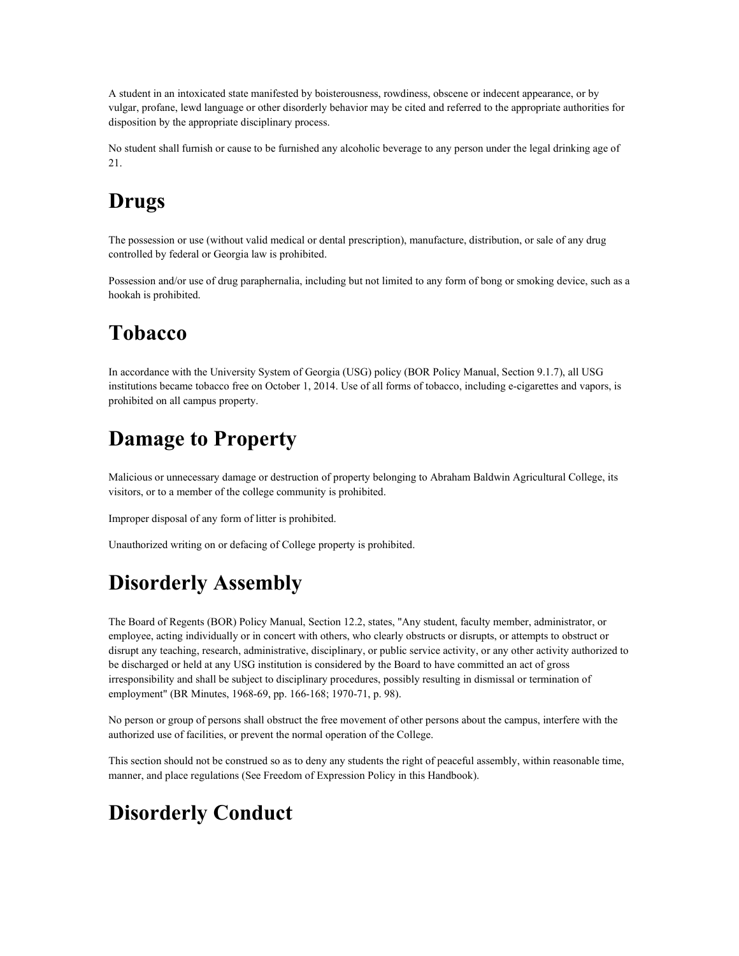A student in an intoxicated state manifested by boisterousness, rowdiness, obscene or indecent appearance, or by vulgar, profane, lewd language or other disorderly behavior may be cited and referred to the appropriate authorities for disposition by the appropriate disciplinary process.

No student shall furnish or cause to be furnished any alcoholic beverage to any person under the legal drinking age of 21.

# **Drugs**

The possession or use (without valid medical or dental prescription), manufacture, distribution, or sale of any drug controlled by federal or Georgia law is prohibited.

Possession and/or use of drug paraphernalia, including but not limited to any form of bong or smoking device, such as a hookah is prohibited.

# **Tobacco**

In accordance with the University System of Georgia (USG) policy (BOR Policy Manual, Section 9.1.7), all USG institutions became tobacco free on October 1, 2014. Use of all forms of tobacco, including e-cigarettes and vapors, is prohibited on all campus property.

# **Damage to Property**

Malicious or unnecessary damage or destruction of property belonging to Abraham Baldwin Agricultural College, its visitors, or to a member of the college community is prohibited.

Improper disposal of any form of litter is prohibited.

Unauthorized writing on or defacing of College property is prohibited.

# **Disorderly Assembly**

The Board of Regents (BOR) Policy Manual, Section 12.2, states, "Any student, faculty member, administrator, or employee, acting individually or in concert with others, who clearly obstructs or disrupts, or attempts to obstruct or disrupt any teaching, research, administrative, disciplinary, or public service activity, or any other activity authorized to be discharged or held at any USG institution is considered by the Board to have committed an act of gross irresponsibility and shall be subject to disciplinary procedures, possibly resulting in dismissal or termination of employment" (BR Minutes, 1968-69, pp. 166-168; 1970-71, p. 98).

No person or group of persons shall obstruct the free movement of other persons about the campus, interfere with the authorized use of facilities, or prevent the normal operation of the College.

This section should not be construed so as to deny any students the right of peaceful assembly, within reasonable time, manner, and place regulations (See Freedom of Expression Policy in this Handbook).

# **Disorderly Conduct**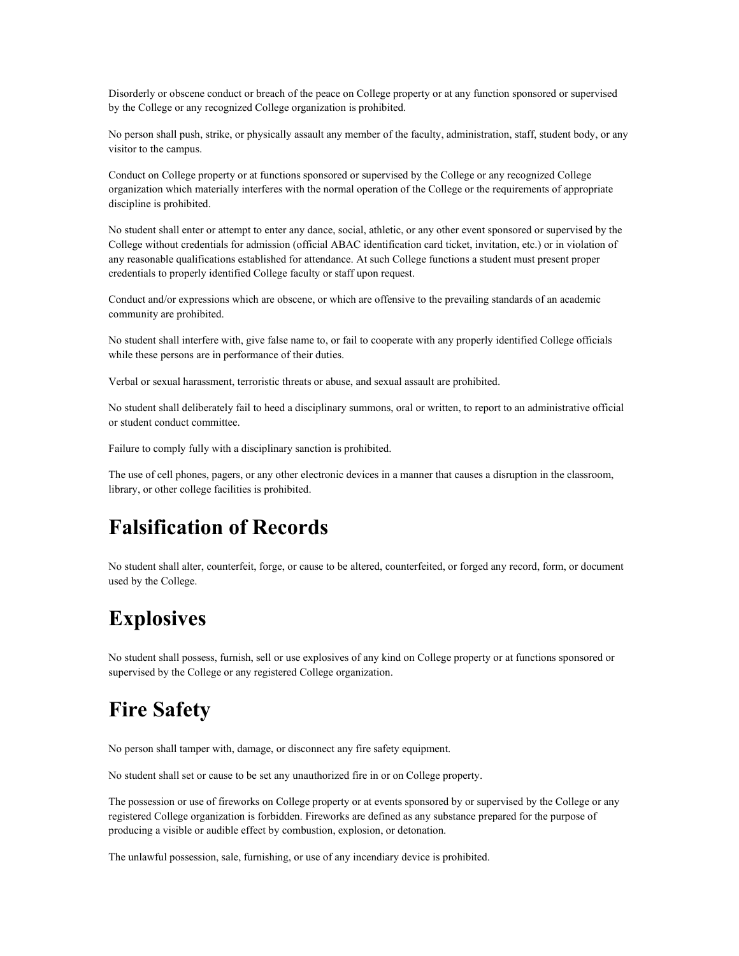Disorderly or obscene conduct or breach of the peace on College property or at any function sponsored or supervised by the College or any recognized College organization is prohibited.

No person shall push, strike, or physically assault any member of the faculty, administration, staff, student body, or any visitor to the campus.

Conduct on College property or at functions sponsored or supervised by the College or any recognized College organization which materially interferes with the normal operation of the College or the requirements of appropriate discipline is prohibited.

No student shall enter or attempt to enter any dance, social, athletic, or any other event sponsored or supervised by the College without credentials for admission (official ABAC identification card ticket, invitation, etc.) or in violation of any reasonable qualifications established for attendance. At such College functions a student must present proper credentials to properly identified College faculty or staff upon request.

Conduct and/or expressions which are obscene, or which are offensive to the prevailing standards of an academic community are prohibited.

No student shall interfere with, give false name to, or fail to cooperate with any properly identified College officials while these persons are in performance of their duties.

Verbal or sexual harassment, terroristic threats or abuse, and sexual assault are prohibited.

No student shall deliberately fail to heed a disciplinary summons, oral or written, to report to an administrative official or student conduct committee.

Failure to comply fully with a disciplinary sanction is prohibited.

The use of cell phones, pagers, or any other electronic devices in a manner that causes a disruption in the classroom, library, or other college facilities is prohibited.

#### **Falsification of Records**

No student shall alter, counterfeit, forge, or cause to be altered, counterfeited, or forged any record, form, or document used by the College.

### **Explosives**

No student shall possess, furnish, sell or use explosives of any kind on College property or at functions sponsored or supervised by the College or any registered College organization.

# **Fire Safety**

No person shall tamper with, damage, or disconnect any fire safety equipment.

No student shall set or cause to be set any unauthorized fire in or on College property.

The possession or use of fireworks on College property or at events sponsored by or supervised by the College or any registered College organization is forbidden. Fireworks are defined as any substance prepared for the purpose of producing a visible or audible effect by combustion, explosion, or detonation.

The unlawful possession, sale, furnishing, or use of any incendiary device is prohibited.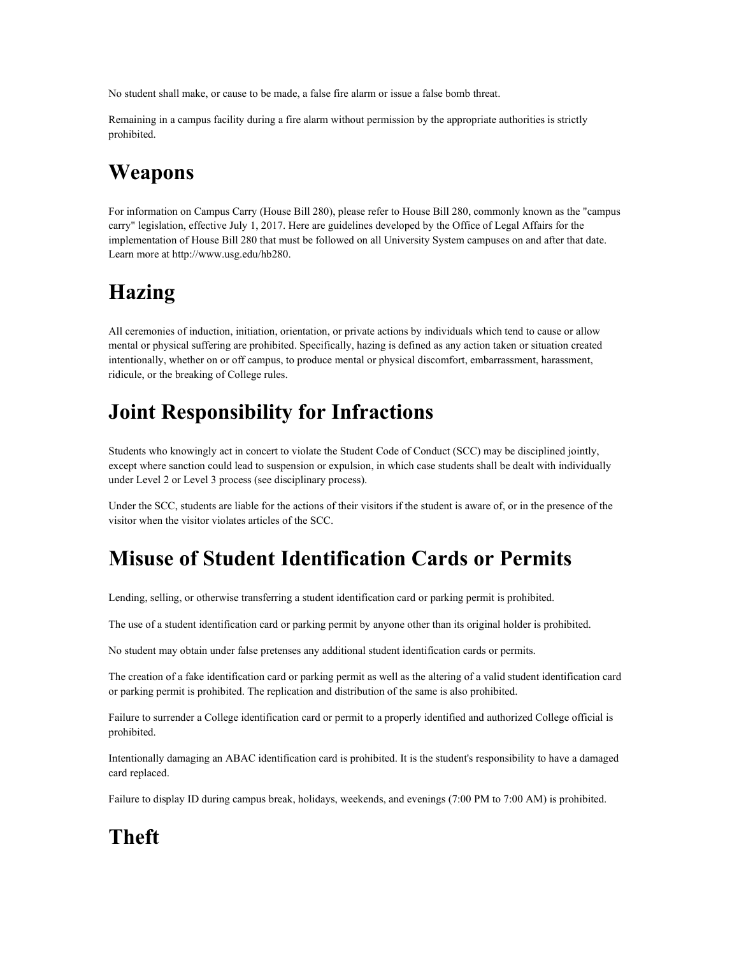No student shall make, or cause to be made, a false fire alarm or issue a false bomb threat.

Remaining in a campus facility during a fire alarm without permission by the appropriate authorities is strictly prohibited.

### **Weapons**

For information on Campus Carry (House Bill 280), please refer to House Bill 280, commonly known as the "campus carry" legislation, effective July 1, 2017. Here are guidelines developed by the Office of Legal Affairs for the implementation of House Bill 280 that must be followed on all University System campuses on and after that date. Learn more at http://www.usg.edu/hb280.

# **Hazing**

All ceremonies of induction, initiation, orientation, or private actions by individuals which tend to cause or allow mental or physical suffering are prohibited. Specifically, hazing is defined as any action taken or situation created intentionally, whether on or off campus, to produce mental or physical discomfort, embarrassment, harassment, ridicule, or the breaking of College rules.

# **Joint Responsibility for Infractions**

Students who knowingly act in concert to violate the Student Code of Conduct (SCC) may be disciplined jointly, except where sanction could lead to suspension or expulsion, in which case students shall be dealt with individually under Level 2 or Level 3 process (see disciplinary process).

Under the SCC, students are liable for the actions of their visitors if the student is aware of, or in the presence of the visitor when the visitor violates articles of the SCC.

### **Misuse of Student Identification Cards or Permits**

Lending, selling, or otherwise transferring a student identification card or parking permit is prohibited.

The use of a student identification card or parking permit by anyone other than its original holder is prohibited.

No student may obtain under false pretenses any additional student identification cards or permits.

The creation of a fake identification card or parking permit as well as the altering of a valid student identification card or parking permit is prohibited. The replication and distribution of the same is also prohibited.

Failure to surrender a College identification card or permit to a properly identified and authorized College official is prohibited.

Intentionally damaging an ABAC identification card is prohibited. It is the student's responsibility to have a damaged card replaced.

Failure to display ID during campus break, holidays, weekends, and evenings (7:00 PM to 7:00 AM) is prohibited.

# **Theft**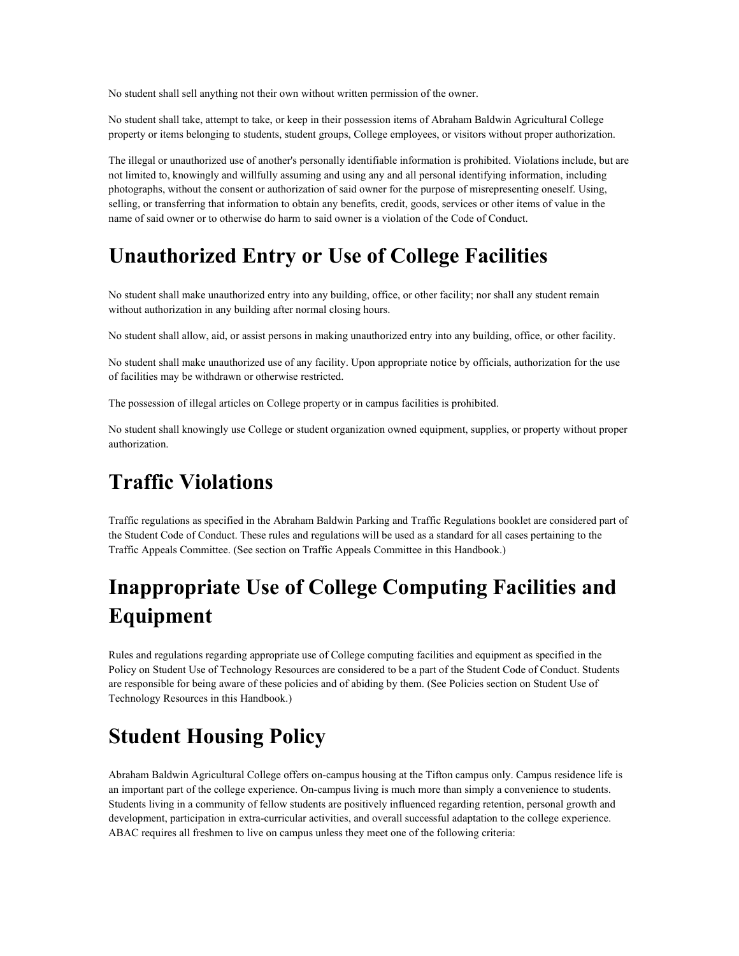No student shall sell anything not their own without written permission of the owner.

No student shall take, attempt to take, or keep in their possession items of Abraham Baldwin Agricultural College property or items belonging to students, student groups, College employees, or visitors without proper authorization.

The illegal or unauthorized use of another's personally identifiable information is prohibited. Violations include, but are not limited to, knowingly and willfully assuming and using any and all personal identifying information, including photographs, without the consent or authorization of said owner for the purpose of misrepresenting oneself. Using, selling, or transferring that information to obtain any benefits, credit, goods, services or other items of value in the name of said owner or to otherwise do harm to said owner is a violation of the Code of Conduct.

### **Unauthorized Entry or Use of College Facilities**

No student shall make unauthorized entry into any building, office, or other facility; nor shall any student remain without authorization in any building after normal closing hours.

No student shall allow, aid, or assist persons in making unauthorized entry into any building, office, or other facility.

No student shall make unauthorized use of any facility. Upon appropriate notice by officials, authorization for the use of facilities may be withdrawn or otherwise restricted.

The possession of illegal articles on College property or in campus facilities is prohibited.

No student shall knowingly use College or student organization owned equipment, supplies, or property without proper authorization.

#### **Traffic Violations**

Traffic regulations as specified in the Abraham Baldwin Parking and Traffic Regulations booklet are considered part of the Student Code of Conduct. These rules and regulations will be used as a standard for all cases pertaining to the Traffic Appeals Committee. (See section on Traffic Appeals Committee in this Handbook.)

# **Inappropriate Use of College Computing Facilities and Equipment**

Rules and regulations regarding appropriate use of College computing facilities and equipment as specified in the Policy on Student Use of Technology Resources are considered to be a part of the Student Code of Conduct. Students are responsible for being aware of these policies and of abiding by them. (See Policies section on Student Use of Technology Resources in this Handbook.)

# **Student Housing Policy**

Abraham Baldwin Agricultural College offers on-campus housing at the Tifton campus only. Campus residence life is an important part of the college experience. On-campus living is much more than simply a convenience to students. Students living in a community of fellow students are positively influenced regarding retention, personal growth and development, participation in extra-curricular activities, and overall successful adaptation to the college experience. ABAC requires all freshmen to live on campus unless they meet one of the following criteria: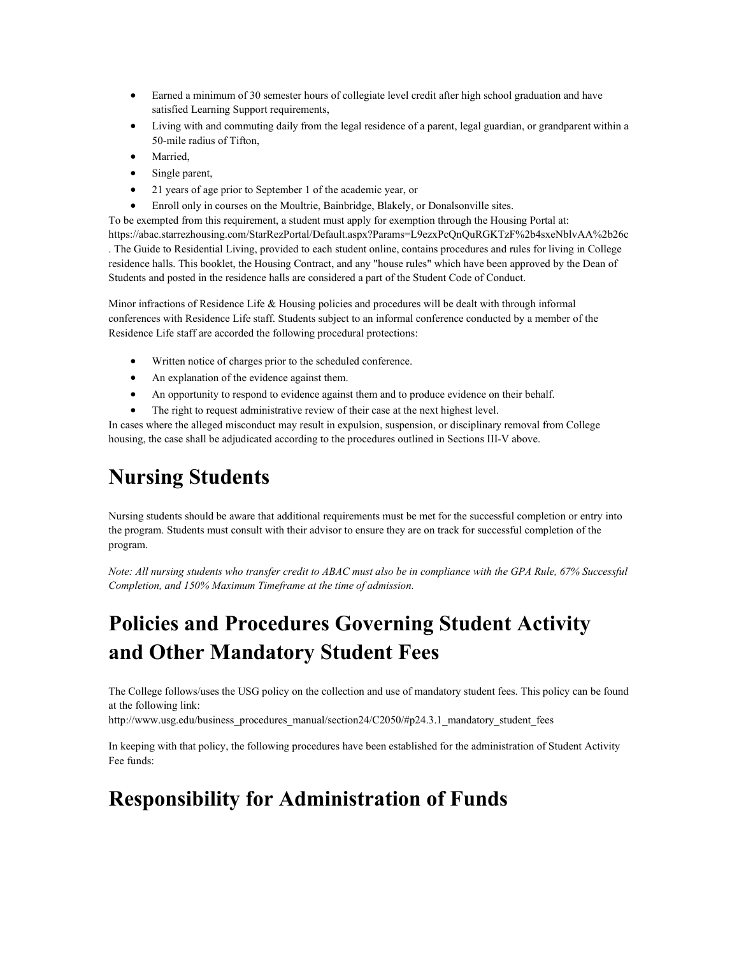- Earned a minimum of 30 semester hours of collegiate level credit after high school graduation and have satisfied Learning Support requirements,
- Living with and commuting daily from the legal residence of a parent, legal guardian, or grandparent within a 50-mile radius of Tifton,
- Married.
- Single parent,
- 21 years of age prior to September 1 of the academic year, or
- Enroll only in courses on the Moultrie, Bainbridge, Blakely, or Donalsonville sites.

To be exempted from this requirement, a student must apply for exemption through the Housing Portal at: https://abac.starrezhousing.com/StarRezPortal/Default.aspx?Params=L9ezxPcQnQuRGKTzF%2b4sxeNblvAA%2b26c . The Guide to Residential Living, provided to each student online, contains procedures and rules for living in College residence halls. This booklet, the Housing Contract, and any "house rules" which have been approved by the Dean of Students and posted in the residence halls are considered a part of the Student Code of Conduct.

Minor infractions of Residence Life & Housing policies and procedures will be dealt with through informal conferences with Residence Life staff. Students subject to an informal conference conducted by a member of the Residence Life staff are accorded the following procedural protections:

- Written notice of charges prior to the scheduled conference.
- An explanation of the evidence against them.
- An opportunity to respond to evidence against them and to produce evidence on their behalf.
- The right to request administrative review of their case at the next highest level.

In cases where the alleged misconduct may result in expulsion, suspension, or disciplinary removal from College housing, the case shall be adjudicated according to the procedures outlined in Sections III-V above.

## **Nursing Students**

Nursing students should be aware that additional requirements must be met for the successful completion or entry into the program. Students must consult with their advisor to ensure they are on track for successful completion of the program.

*Note: All nursing students who transfer credit to ABAC must also be in compliance with the GPA Rule, 67% Successful Completion, and 150% Maximum Timeframe at the time of admission.*

# **Policies and Procedures Governing Student Activity and Other Mandatory Student Fees**

The College follows/uses the USG policy on the collection and use of mandatory student fees. This policy can be found at the following link:

http://www.usg.edu/business\_procedures\_manual/section24/C2050/#p24.3.1\_mandatory\_student\_fees

In keeping with that policy, the following procedures have been established for the administration of Student Activity Fee funds:

### **Responsibility for Administration of Funds**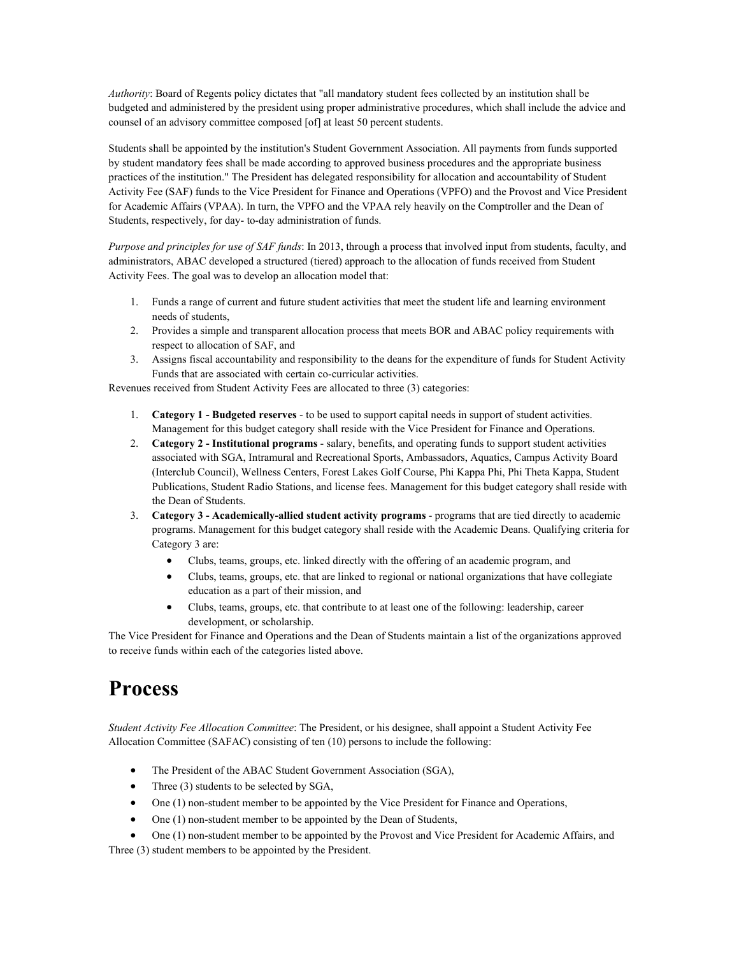*Authority*: Board of Regents policy dictates that "all mandatory student fees collected by an institution shall be budgeted and administered by the president using proper administrative procedures, which shall include the advice and counsel of an advisory committee composed [of] at least 50 percent students.

Students shall be appointed by the institution's Student Government Association. All payments from funds supported by student mandatory fees shall be made according to approved business procedures and the appropriate business practices of the institution." The President has delegated responsibility for allocation and accountability of Student Activity Fee (SAF) funds to the Vice President for Finance and Operations (VPFO) and the Provost and Vice President for Academic Affairs (VPAA). In turn, the VPFO and the VPAA rely heavily on the Comptroller and the Dean of Students, respectively, for day- to-day administration of funds.

*Purpose and principles for use of SAF funds*: In 2013, through a process that involved input from students, faculty, and administrators, ABAC developed a structured (tiered) approach to the allocation of funds received from Student Activity Fees. The goal was to develop an allocation model that:

- 1. Funds a range of current and future student activities that meet the student life and learning environment needs of students,
- 2. Provides a simple and transparent allocation process that meets BOR and ABAC policy requirements with respect to allocation of SAF, and
- 3. Assigns fiscal accountability and responsibility to the deans for the expenditure of funds for Student Activity Funds that are associated with certain co-curricular activities.

Revenues received from Student Activity Fees are allocated to three (3) categories:

- 1. **Category 1 - Budgeted reserves** to be used to support capital needs in support of student activities. Management for this budget category shall reside with the Vice President for Finance and Operations.
- 2. **Category 2 - Institutional programs** salary, benefits, and operating funds to support student activities associated with SGA, Intramural and Recreational Sports, Ambassadors, Aquatics, Campus Activity Board (Interclub Council), Wellness Centers, Forest Lakes Golf Course, Phi Kappa Phi, Phi Theta Kappa, Student Publications, Student Radio Stations, and license fees. Management for this budget category shall reside with the Dean of Students.
- 3. **Category 3 - Academically-allied student activity programs** programs that are tied directly to academic programs. Management for this budget category shall reside with the Academic Deans. Qualifying criteria for Category 3 are:
	- Clubs, teams, groups, etc. linked directly with the offering of an academic program, and
	- Clubs, teams, groups, etc. that are linked to regional or national organizations that have collegiate education as a part of their mission, and
	- Clubs, teams, groups, etc. that contribute to at least one of the following: leadership, career development, or scholarship.

The Vice President for Finance and Operations and the Dean of Students maintain a list of the organizations approved to receive funds within each of the categories listed above.

#### **Process**

*Student Activity Fee Allocation Committee*: The President, or his designee, shall appoint a Student Activity Fee Allocation Committee (SAFAC) consisting of ten (10) persons to include the following:

- The President of the ABAC Student Government Association (SGA),
- Three (3) students to be selected by SGA,
- One (1) non-student member to be appointed by the Vice President for Finance and Operations,
- One (1) non-student member to be appointed by the Dean of Students,
- One (1) non-student member to be appointed by the Provost and Vice President for Academic Affairs, and

Three (3) student members to be appointed by the President.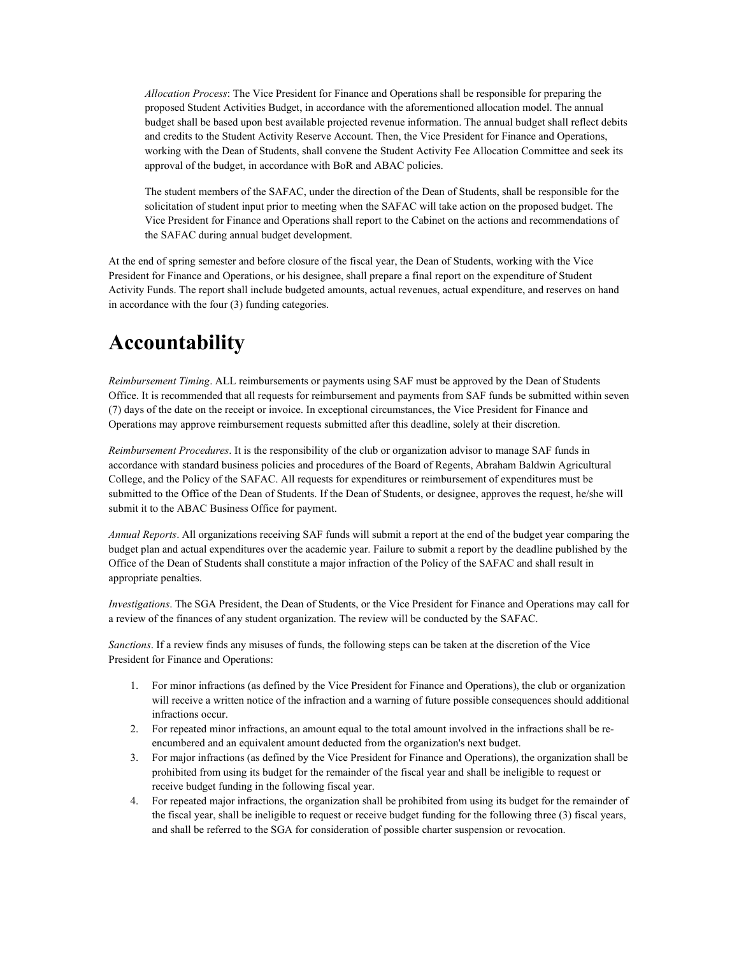*Allocation Process*: The Vice President for Finance and Operations shall be responsible for preparing the proposed Student Activities Budget, in accordance with the aforementioned allocation model. The annual budget shall be based upon best available projected revenue information. The annual budget shall reflect debits and credits to the Student Activity Reserve Account. Then, the Vice President for Finance and Operations, working with the Dean of Students, shall convene the Student Activity Fee Allocation Committee and seek its approval of the budget, in accordance with BoR and ABAC policies.

The student members of the SAFAC, under the direction of the Dean of Students, shall be responsible for the solicitation of student input prior to meeting when the SAFAC will take action on the proposed budget. The Vice President for Finance and Operations shall report to the Cabinet on the actions and recommendations of the SAFAC during annual budget development.

At the end of spring semester and before closure of the fiscal year, the Dean of Students, working with the Vice President for Finance and Operations, or his designee, shall prepare a final report on the expenditure of Student Activity Funds. The report shall include budgeted amounts, actual revenues, actual expenditure, and reserves on hand in accordance with the four (3) funding categories.

## **Accountability**

*Reimbursement Timing*. ALL reimbursements or payments using SAF must be approved by the Dean of Students Office. It is recommended that all requests for reimbursement and payments from SAF funds be submitted within seven (7) days of the date on the receipt or invoice. In exceptional circumstances, the Vice President for Finance and Operations may approve reimbursement requests submitted after this deadline, solely at their discretion.

*Reimbursement Procedures*. It is the responsibility of the club or organization advisor to manage SAF funds in accordance with standard business policies and procedures of the Board of Regents, Abraham Baldwin Agricultural College, and the Policy of the SAFAC. All requests for expenditures or reimbursement of expenditures must be submitted to the Office of the Dean of Students. If the Dean of Students, or designee, approves the request, he/she will submit it to the ABAC Business Office for payment.

*Annual Reports*. All organizations receiving SAF funds will submit a report at the end of the budget year comparing the budget plan and actual expenditures over the academic year. Failure to submit a report by the deadline published by the Office of the Dean of Students shall constitute a major infraction of the Policy of the SAFAC and shall result in appropriate penalties.

*Investigations*. The SGA President, the Dean of Students, or the Vice President for Finance and Operations may call for a review of the finances of any student organization. The review will be conducted by the SAFAC.

*Sanctions*. If a review finds any misuses of funds, the following steps can be taken at the discretion of the Vice President for Finance and Operations:

- 1. For minor infractions (as defined by the Vice President for Finance and Operations), the club or organization will receive a written notice of the infraction and a warning of future possible consequences should additional infractions occur.
- 2. For repeated minor infractions, an amount equal to the total amount involved in the infractions shall be reencumbered and an equivalent amount deducted from the organization's next budget.
- 3. For major infractions (as defined by the Vice President for Finance and Operations), the organization shall be prohibited from using its budget for the remainder of the fiscal year and shall be ineligible to request or receive budget funding in the following fiscal year.
- 4. For repeated major infractions, the organization shall be prohibited from using its budget for the remainder of the fiscal year, shall be ineligible to request or receive budget funding for the following three (3) fiscal years, and shall be referred to the SGA for consideration of possible charter suspension or revocation.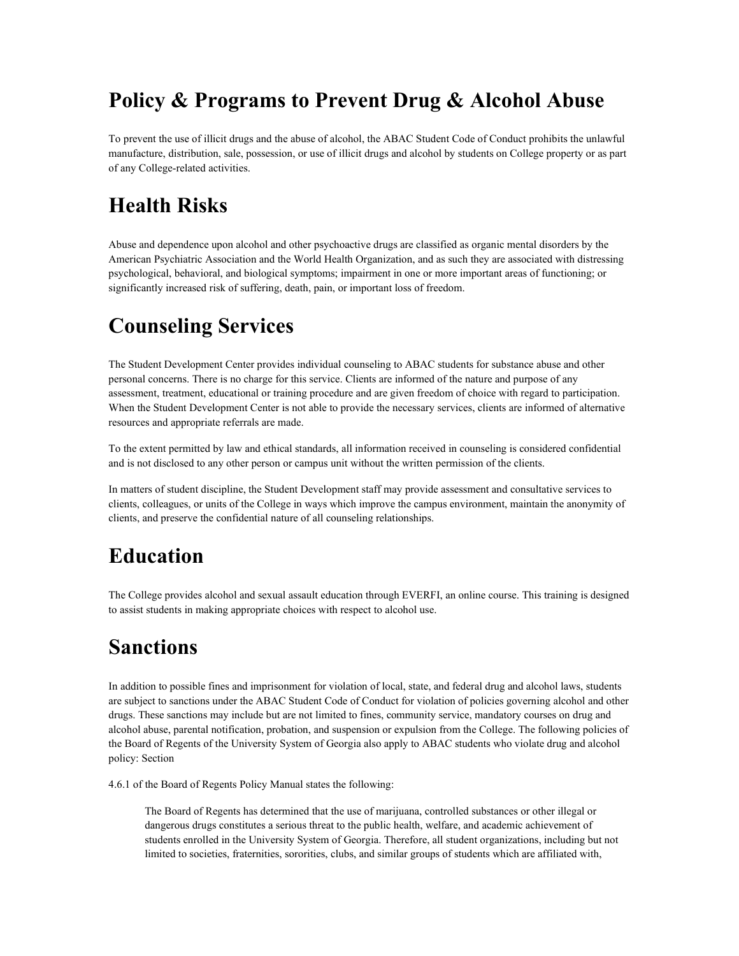## **Policy & Programs to Prevent Drug & Alcohol Abuse**

To prevent the use of illicit drugs and the abuse of alcohol, the ABAC Student Code of Conduct prohibits the unlawful manufacture, distribution, sale, possession, or use of illicit drugs and alcohol by students on College property or as part of any College-related activities.

## **Health Risks**

Abuse and dependence upon alcohol and other psychoactive drugs are classified as organic mental disorders by the American Psychiatric Association and the World Health Organization, and as such they are associated with distressing psychological, behavioral, and biological symptoms; impairment in one or more important areas of functioning; or significantly increased risk of suffering, death, pain, or important loss of freedom.

## **Counseling Services**

The Student Development Center provides individual counseling to ABAC students for substance abuse and other personal concerns. There is no charge for this service. Clients are informed of the nature and purpose of any assessment, treatment, educational or training procedure and are given freedom of choice with regard to participation. When the Student Development Center is not able to provide the necessary services, clients are informed of alternative resources and appropriate referrals are made.

To the extent permitted by law and ethical standards, all information received in counseling is considered confidential and is not disclosed to any other person or campus unit without the written permission of the clients.

In matters of student discipline, the Student Development staff may provide assessment and consultative services to clients, colleagues, or units of the College in ways which improve the campus environment, maintain the anonymity of clients, and preserve the confidential nature of all counseling relationships.

# **Education**

The College provides alcohol and sexual assault education through EVERFI, an online course. This training is designed to assist students in making appropriate choices with respect to alcohol use.

### **Sanctions**

In addition to possible fines and imprisonment for violation of local, state, and federal drug and alcohol laws, students are subject to sanctions under the ABAC Student Code of Conduct for violation of policies governing alcohol and other drugs. These sanctions may include but are not limited to fines, community service, mandatory courses on drug and alcohol abuse, parental notification, probation, and suspension or expulsion from the College. The following policies of the Board of Regents of the University System of Georgia also apply to ABAC students who violate drug and alcohol policy: Section

4.6.1 of the Board of Regents Policy Manual states the following:

The Board of Regents has determined that the use of marijuana, controlled substances or other illegal or dangerous drugs constitutes a serious threat to the public health, welfare, and academic achievement of students enrolled in the University System of Georgia. Therefore, all student organizations, including but not limited to societies, fraternities, sororities, clubs, and similar groups of students which are affiliated with,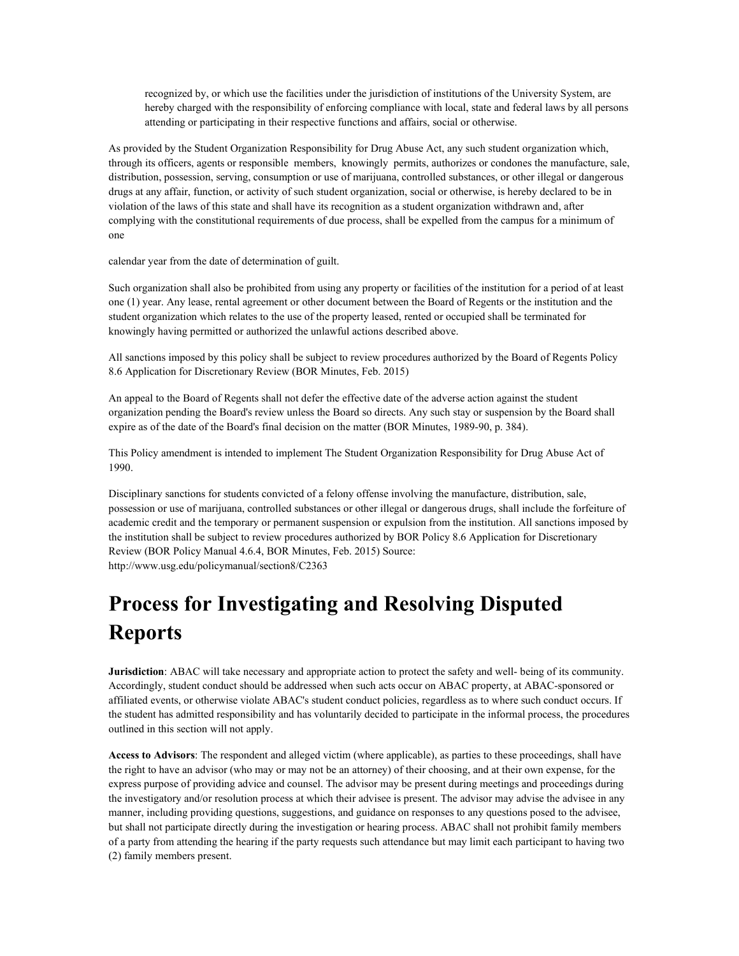recognized by, or which use the facilities under the jurisdiction of institutions of the University System, are hereby charged with the responsibility of enforcing compliance with local, state and federal laws by all persons attending or participating in their respective functions and affairs, social or otherwise.

As provided by the Student Organization Responsibility for Drug Abuse Act, any such student organization which, through its officers, agents or responsible members, knowingly permits, authorizes or condones the manufacture, sale, distribution, possession, serving, consumption or use of marijuana, controlled substances, or other illegal or dangerous drugs at any affair, function, or activity of such student organization, social or otherwise, is hereby declared to be in violation of the laws of this state and shall have its recognition as a student organization withdrawn and, after complying with the constitutional requirements of due process, shall be expelled from the campus for a minimum of one

calendar year from the date of determination of guilt.

Such organization shall also be prohibited from using any property or facilities of the institution for a period of at least one (1) year. Any lease, rental agreement or other document between the Board of Regents or the institution and the student organization which relates to the use of the property leased, rented or occupied shall be terminated for knowingly having permitted or authorized the unlawful actions described above.

All sanctions imposed by this policy shall be subject to review procedures authorized by the Board of Regents Policy 8.6 Application for Discretionary Review (BOR Minutes, Feb. 2015)

An appeal to the Board of Regents shall not defer the effective date of the adverse action against the student organization pending the Board's review unless the Board so directs. Any such stay or suspension by the Board shall expire as of the date of the Board's final decision on the matter (BOR Minutes, 1989-90, p. 384).

This Policy amendment is intended to implement The Student Organization Responsibility for Drug Abuse Act of 1990.

Disciplinary sanctions for students convicted of a felony offense involving the manufacture, distribution, sale, possession or use of marijuana, controlled substances or other illegal or dangerous drugs, shall include the forfeiture of academic credit and the temporary or permanent suspension or expulsion from the institution. All sanctions imposed by the institution shall be subject to review procedures authorized by BOR Policy 8.6 Application for Discretionary Review (BOR Policy Manual 4.6.4, BOR Minutes, Feb. 2015) Source: http://www.usg.edu/policymanual/section8/C2363

# **Process for Investigating and Resolving Disputed Reports**

**Jurisdiction**: ABAC will take necessary and appropriate action to protect the safety and well- being of its community. Accordingly, student conduct should be addressed when such acts occur on ABAC property, at ABAC-sponsored or affiliated events, or otherwise violate ABAC's student conduct policies, regardless as to where such conduct occurs. If the student has admitted responsibility and has voluntarily decided to participate in the informal process, the procedures outlined in this section will not apply.

**Access to Advisors**: The respondent and alleged victim (where applicable), as parties to these proceedings, shall have the right to have an advisor (who may or may not be an attorney) of their choosing, and at their own expense, for the express purpose of providing advice and counsel. The advisor may be present during meetings and proceedings during the investigatory and/or resolution process at which their advisee is present. The advisor may advise the advisee in any manner, including providing questions, suggestions, and guidance on responses to any questions posed to the advisee, but shall not participate directly during the investigation or hearing process. ABAC shall not prohibit family members of a party from attending the hearing if the party requests such attendance but may limit each participant to having two (2) family members present.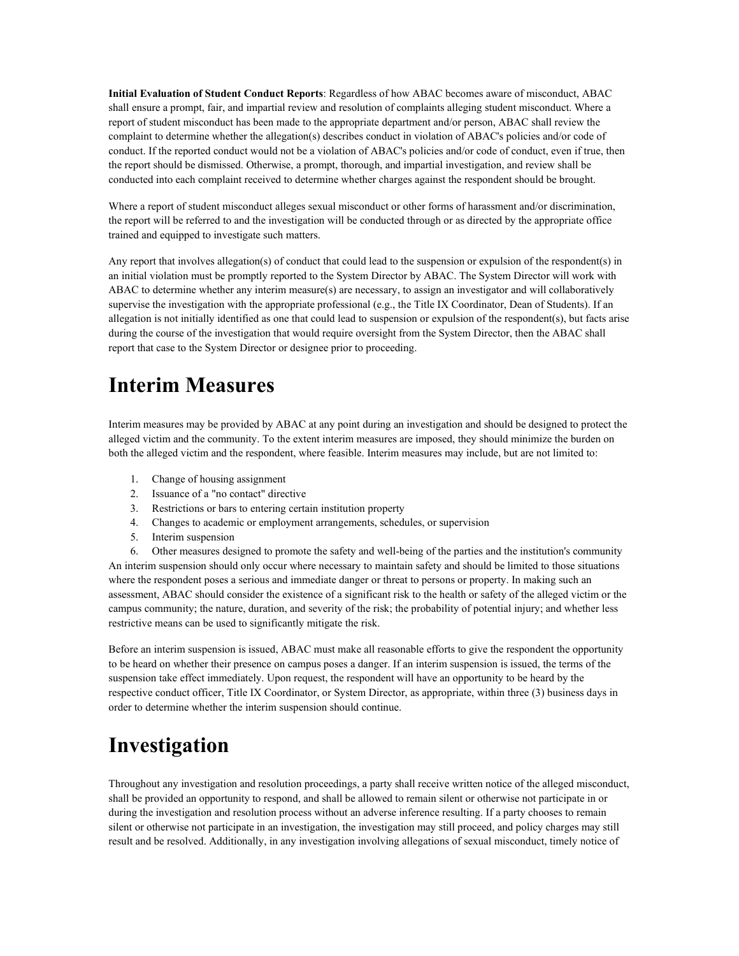**Initial Evaluation of Student Conduct Reports**: Regardless of how ABAC becomes aware of misconduct, ABAC shall ensure a prompt, fair, and impartial review and resolution of complaints alleging student misconduct. Where a report of student misconduct has been made to the appropriate department and/or person, ABAC shall review the complaint to determine whether the allegation(s) describes conduct in violation of ABAC's policies and/or code of conduct. If the reported conduct would not be a violation of ABAC's policies and/or code of conduct, even if true, then the report should be dismissed. Otherwise, a prompt, thorough, and impartial investigation, and review shall be conducted into each complaint received to determine whether charges against the respondent should be brought.

Where a report of student misconduct alleges sexual misconduct or other forms of harassment and/or discrimination, the report will be referred to and the investigation will be conducted through or as directed by the appropriate office trained and equipped to investigate such matters.

Any report that involves allegation(s) of conduct that could lead to the suspension or expulsion of the respondent(s) in an initial violation must be promptly reported to the System Director by ABAC. The System Director will work with ABAC to determine whether any interim measure(s) are necessary, to assign an investigator and will collaboratively supervise the investigation with the appropriate professional (e.g., the Title IX Coordinator, Dean of Students). If an allegation is not initially identified as one that could lead to suspension or expulsion of the respondent(s), but facts arise during the course of the investigation that would require oversight from the System Director, then the ABAC shall report that case to the System Director or designee prior to proceeding.

# **Interim Measures**

Interim measures may be provided by ABAC at any point during an investigation and should be designed to protect the alleged victim and the community. To the extent interim measures are imposed, they should minimize the burden on both the alleged victim and the respondent, where feasible. Interim measures may include, but are not limited to:

- 1. Change of housing assignment
- 2. Issuance of a "no contact" directive
- 3. Restrictions or bars to entering certain institution property
- 4. Changes to academic or employment arrangements, schedules, or supervision
- 5. Interim suspension

6. Other measures designed to promote the safety and well-being of the parties and the institution's community An interim suspension should only occur where necessary to maintain safety and should be limited to those situations where the respondent poses a serious and immediate danger or threat to persons or property. In making such an assessment, ABAC should consider the existence of a significant risk to the health or safety of the alleged victim or the campus community; the nature, duration, and severity of the risk; the probability of potential injury; and whether less restrictive means can be used to significantly mitigate the risk.

Before an interim suspension is issued, ABAC must make all reasonable efforts to give the respondent the opportunity to be heard on whether their presence on campus poses a danger. If an interim suspension is issued, the terms of the suspension take effect immediately. Upon request, the respondent will have an opportunity to be heard by the respective conduct officer, Title IX Coordinator, or System Director, as appropriate, within three (3) business days in order to determine whether the interim suspension should continue.

### **Investigation**

Throughout any investigation and resolution proceedings, a party shall receive written notice of the alleged misconduct, shall be provided an opportunity to respond, and shall be allowed to remain silent or otherwise not participate in or during the investigation and resolution process without an adverse inference resulting. If a party chooses to remain silent or otherwise not participate in an investigation, the investigation may still proceed, and policy charges may still result and be resolved. Additionally, in any investigation involving allegations of sexual misconduct, timely notice of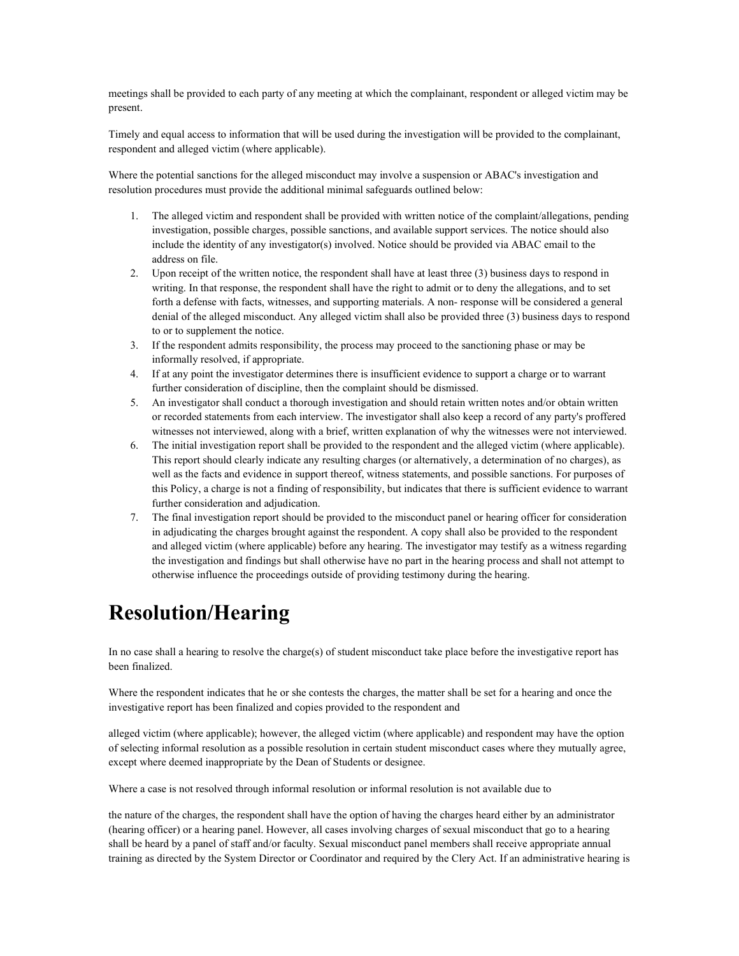meetings shall be provided to each party of any meeting at which the complainant, respondent or alleged victim may be present.

Timely and equal access to information that will be used during the investigation will be provided to the complainant, respondent and alleged victim (where applicable).

Where the potential sanctions for the alleged misconduct may involve a suspension or ABAC's investigation and resolution procedures must provide the additional minimal safeguards outlined below:

- 1. The alleged victim and respondent shall be provided with written notice of the complaint/allegations, pending investigation, possible charges, possible sanctions, and available support services. The notice should also include the identity of any investigator(s) involved. Notice should be provided via ABAC email to the address on file.
- 2. Upon receipt of the written notice, the respondent shall have at least three (3) business days to respond in writing. In that response, the respondent shall have the right to admit or to deny the allegations, and to set forth a defense with facts, witnesses, and supporting materials. A non- response will be considered a general denial of the alleged misconduct. Any alleged victim shall also be provided three (3) business days to respond to or to supplement the notice.
- 3. If the respondent admits responsibility, the process may proceed to the sanctioning phase or may be informally resolved, if appropriate.
- 4. If at any point the investigator determines there is insufficient evidence to support a charge or to warrant further consideration of discipline, then the complaint should be dismissed.
- 5. An investigator shall conduct a thorough investigation and should retain written notes and/or obtain written or recorded statements from each interview. The investigator shall also keep a record of any party's proffered witnesses not interviewed, along with a brief, written explanation of why the witnesses were not interviewed.
- 6. The initial investigation report shall be provided to the respondent and the alleged victim (where applicable). This report should clearly indicate any resulting charges (or alternatively, a determination of no charges), as well as the facts and evidence in support thereof, witness statements, and possible sanctions. For purposes of this Policy, a charge is not a finding of responsibility, but indicates that there is sufficient evidence to warrant further consideration and adjudication.
- 7. The final investigation report should be provided to the misconduct panel or hearing officer for consideration in adjudicating the charges brought against the respondent. A copy shall also be provided to the respondent and alleged victim (where applicable) before any hearing. The investigator may testify as a witness regarding the investigation and findings but shall otherwise have no part in the hearing process and shall not attempt to otherwise influence the proceedings outside of providing testimony during the hearing.

# **Resolution/Hearing**

In no case shall a hearing to resolve the charge(s) of student misconduct take place before the investigative report has been finalized.

Where the respondent indicates that he or she contests the charges, the matter shall be set for a hearing and once the investigative report has been finalized and copies provided to the respondent and

alleged victim (where applicable); however, the alleged victim (where applicable) and respondent may have the option of selecting informal resolution as a possible resolution in certain student misconduct cases where they mutually agree, except where deemed inappropriate by the Dean of Students or designee.

Where a case is not resolved through informal resolution or informal resolution is not available due to

the nature of the charges, the respondent shall have the option of having the charges heard either by an administrator (hearing officer) or a hearing panel. However, all cases involving charges of sexual misconduct that go to a hearing shall be heard by a panel of staff and/or faculty. Sexual misconduct panel members shall receive appropriate annual training as directed by the System Director or Coordinator and required by the Clery Act. If an administrative hearing is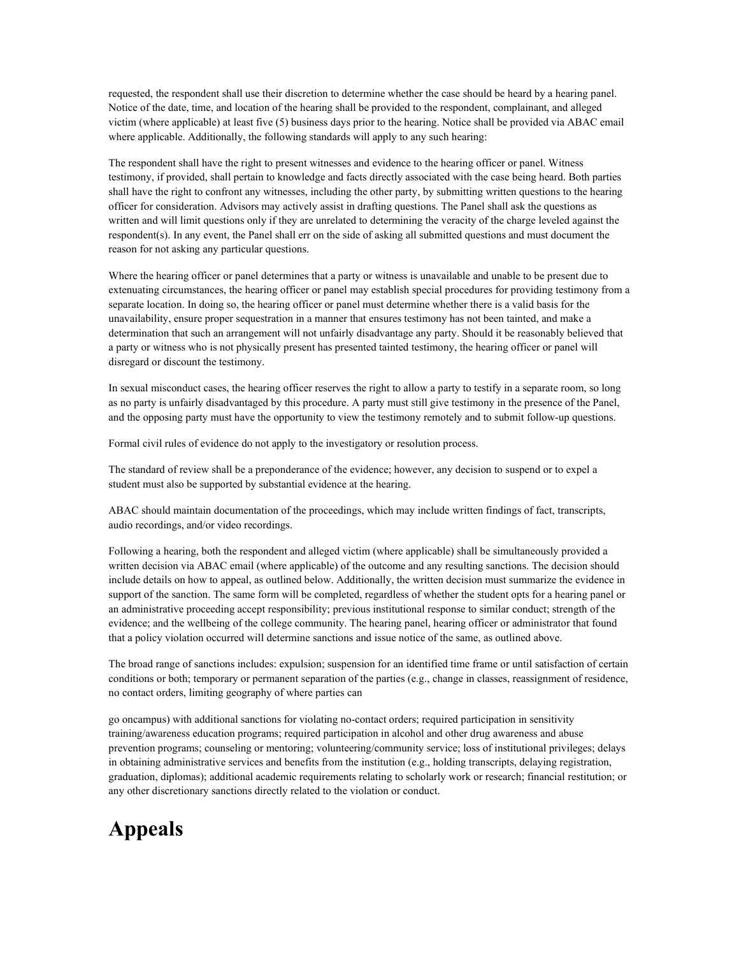requested, the respondent shall use their discretion to determine whether the case should be heard by a hearing panel. Notice of the date, time, and location of the hearing shall be provided to the respondent, complainant, and alleged victim (where applicable) at least five (5) business days prior to the hearing. Notice shall be provided via ABAC email where applicable. Additionally, the following standards will apply to any such hearing:

The respondent shall have the right to present witnesses and evidence to the hearing officer or panel. Witness testimony, if provided, shall pertain to knowledge and facts directly associated with the case being heard. Both parties shall have the right to confront any witnesses, including the other party, by submitting written questions to the hearing officer for consideration. Advisors may actively assist in drafting questions. The Panel shall ask the questions as written and will limit questions only if they are unrelated to determining the veracity of the charge leveled against the respondent(s). In any event, the Panel shall err on the side of asking all submitted questions and must document the reason for not asking any particular questions.

Where the hearing officer or panel determines that a party or witness is unavailable and unable to be present due to extenuating circumstances, the hearing officer or panel may establish special procedures for providing testimony from a separate location. In doing so, the hearing officer or panel must determine whether there is a valid basis for the unavailability, ensure proper sequestration in a manner that ensures testimony has not been tainted, and make a determination that such an arrangement will not unfairly disadvantage any party. Should it be reasonably believed that a party or witness who is not physically present has presented tainted testimony, the hearing officer or panel will disregard or discount the testimony.

In sexual misconduct cases, the hearing officer reserves the right to allow a party to testify in a separate room, so long as no party is unfairly disadvantaged by this procedure. A party must still give testimony in the presence of the Panel, and the opposing party must have the opportunity to view the testimony remotely and to submit follow-up questions.

Formal civil rules of evidence do not apply to the investigatory or resolution process.

The standard of review shall be a preponderance of the evidence; however, any decision to suspend or to expel a student must also be supported by substantial evidence at the hearing.

ABAC should maintain documentation of the proceedings, which may include written findings of fact, transcripts, audio recordings, and/or video recordings.

Following a hearing, both the respondent and alleged victim (where applicable) shall be simultaneously provided a written decision via ABAC email (where applicable) of the outcome and any resulting sanctions. The decision should include details on how to appeal, as outlined below. Additionally, the written decision must summarize the evidence in support of the sanction. The same form will be completed, regardless of whether the student opts for a hearing panel or an administrative proceeding accept responsibility; previous institutional response to similar conduct; strength of the evidence; and the wellbeing of the college community. The hearing panel, hearing officer or administrator that found that a policy violation occurred will determine sanctions and issue notice of the same, as outlined above.

The broad range of sanctions includes: expulsion; suspension for an identified time frame or until satisfaction of certain conditions or both; temporary or permanent separation of the parties (e.g., change in classes, reassignment of residence, no contact orders, limiting geography of where parties can

go oncampus) with additional sanctions for violating no-contact orders; required participation in sensitivity training/awareness education programs; required participation in alcohol and other drug awareness and abuse prevention programs; counseling or mentoring; volunteering/community service; loss of institutional privileges; delays in obtaining administrative services and benefits from the institution (e.g., holding transcripts, delaying registration, graduation, diplomas); additional academic requirements relating to scholarly work or research; financial restitution; or any other discretionary sanctions directly related to the violation or conduct.

### **Appeals**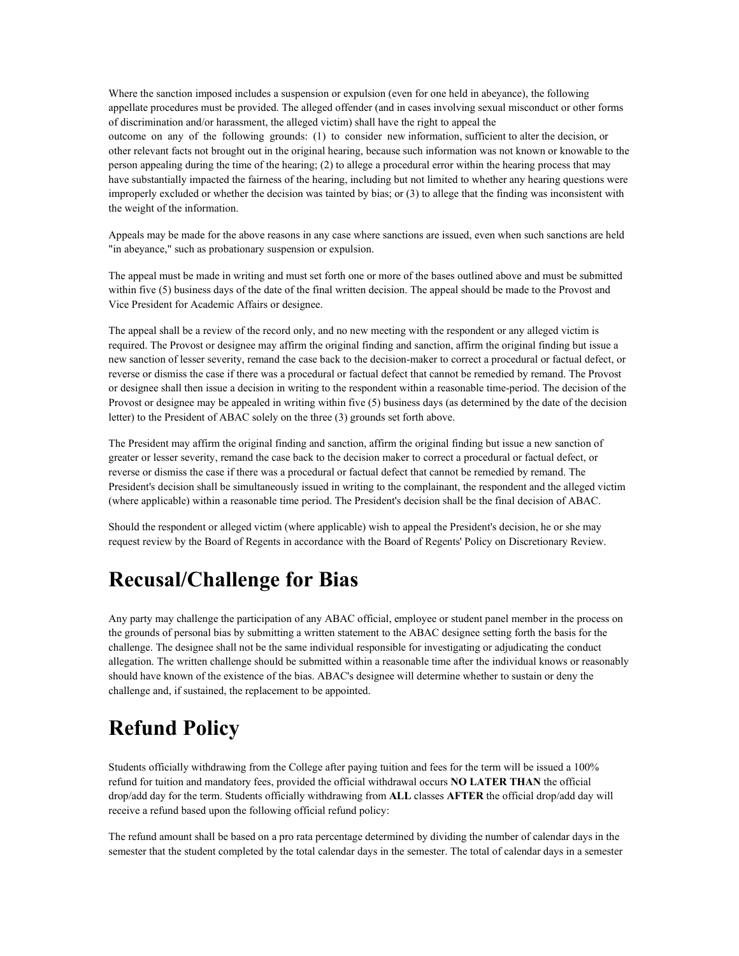Where the sanction imposed includes a suspension or expulsion (even for one held in abeyance), the following appellate procedures must be provided. The alleged offender (and in cases involving sexual misconduct or other forms of discrimination and/or harassment, the alleged victim) shall have the right to appeal the outcome on any of the following grounds: (1) to consider new information, sufficient to alter the decision, or other relevant facts not brought out in the original hearing, because such information was not known or knowable to the person appealing during the time of the hearing; (2) to allege a procedural error within the hearing process that may have substantially impacted the fairness of the hearing, including but not limited to whether any hearing questions were improperly excluded or whether the decision was tainted by bias; or (3) to allege that the finding was inconsistent with the weight of the information.

Appeals may be made for the above reasons in any case where sanctions are issued, even when such sanctions are held "in abeyance," such as probationary suspension or expulsion.

The appeal must be made in writing and must set forth one or more of the bases outlined above and must be submitted within five (5) business days of the date of the final written decision. The appeal should be made to the Provost and Vice President for Academic Affairs or designee.

The appeal shall be a review of the record only, and no new meeting with the respondent or any alleged victim is required. The Provost or designee may affirm the original finding and sanction, affirm the original finding but issue a new sanction of lesser severity, remand the case back to the decision-maker to correct a procedural or factual defect, or reverse or dismiss the case if there was a procedural or factual defect that cannot be remedied by remand. The Provost or designee shall then issue a decision in writing to the respondent within a reasonable time-period. The decision of the Provost or designee may be appealed in writing within five (5) business days (as determined by the date of the decision letter) to the President of ABAC solely on the three (3) grounds set forth above.

The President may affirm the original finding and sanction, affirm the original finding but issue a new sanction of greater or lesser severity, remand the case back to the decision maker to correct a procedural or factual defect, or reverse or dismiss the case if there was a procedural or factual defect that cannot be remedied by remand. The President's decision shall be simultaneously issued in writing to the complainant, the respondent and the alleged victim (where applicable) within a reasonable time period. The President's decision shall be the final decision of ABAC.

Should the respondent or alleged victim (where applicable) wish to appeal the President's decision, he or she may request review by the Board of Regents in accordance with the Board of Regents' Policy on Discretionary Review.

#### **Recusal/Challenge for Bias**

Any party may challenge the participation of any ABAC official, employee or student panel member in the process on the grounds of personal bias by submitting a written statement to the ABAC designee setting forth the basis for the challenge. The designee shall not be the same individual responsible for investigating or adjudicating the conduct allegation. The written challenge should be submitted within a reasonable time after the individual knows or reasonably should have known of the existence of the bias. ABAC's designee will determine whether to sustain or deny the challenge and, if sustained, the replacement to be appointed.

# **Refund Policy**

Students officially withdrawing from the College after paying tuition and fees for the term will be issued a 100% refund for tuition and mandatory fees, provided the official withdrawal occurs **NO LATER THAN** the official drop/add day for the term. Students officially withdrawing from **ALL** classes **AFTER** the official drop/add day will receive a refund based upon the following official refund policy:

The refund amount shall be based on a pro rata percentage determined by dividing the number of calendar days in the semester that the student completed by the total calendar days in the semester. The total of calendar days in a semester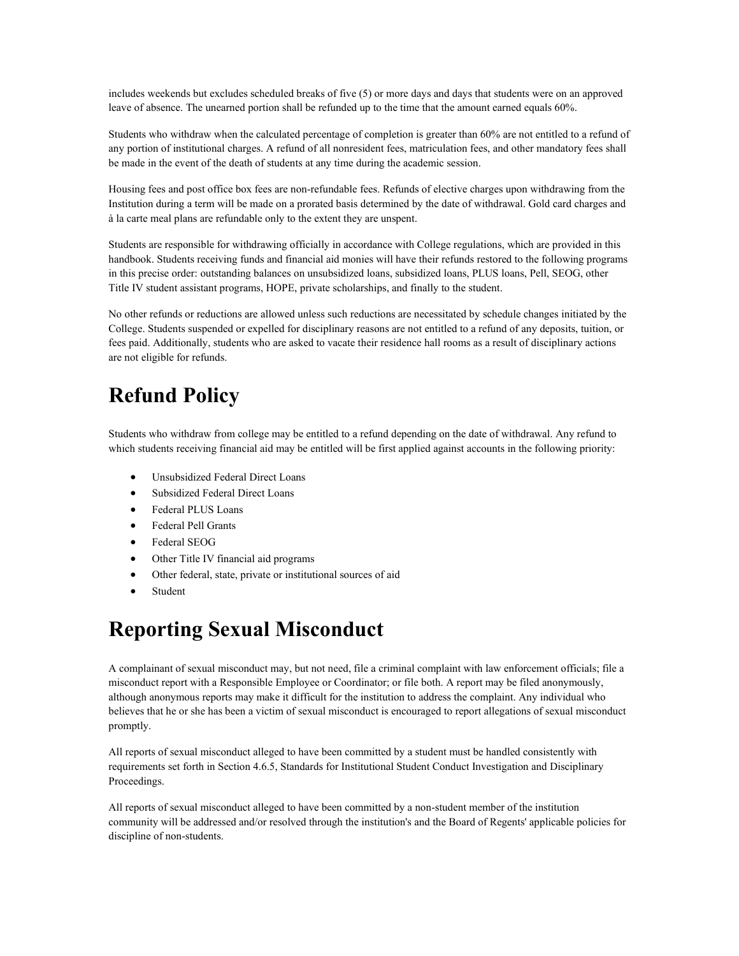includes weekends but excludes scheduled breaks of five (5) or more days and days that students were on an approved leave of absence. The unearned portion shall be refunded up to the time that the amount earned equals 60%.

Students who withdraw when the calculated percentage of completion is greater than 60% are not entitled to a refund of any portion of institutional charges. A refund of all nonresident fees, matriculation fees, and other mandatory fees shall be made in the event of the death of students at any time during the academic session.

Housing fees and post office box fees are non-refundable fees. Refunds of elective charges upon withdrawing from the Institution during a term will be made on a prorated basis determined by the date of withdrawal. Gold card charges and à la carte meal plans are refundable only to the extent they are unspent.

Students are responsible for withdrawing officially in accordance with College regulations, which are provided in this handbook. Students receiving funds and financial aid monies will have their refunds restored to the following programs in this precise order: outstanding balances on unsubsidized loans, subsidized loans, PLUS loans, Pell, SEOG, other Title IV student assistant programs, HOPE, private scholarships, and finally to the student.

No other refunds or reductions are allowed unless such reductions are necessitated by schedule changes initiated by the College. Students suspended or expelled for disciplinary reasons are not entitled to a refund of any deposits, tuition, or fees paid. Additionally, students who are asked to vacate their residence hall rooms as a result of disciplinary actions are not eligible for refunds.

# **Refund Policy**

Students who withdraw from college may be entitled to a refund depending on the date of withdrawal. Any refund to which students receiving financial aid may be entitled will be first applied against accounts in the following priority:

- Unsubsidized Federal Direct Loans
- Subsidized Federal Direct Loans
- Federal PLUS Loans
- Federal Pell Grants
- Federal SEOG
- Other Title IV financial aid programs
- Other federal, state, private or institutional sources of aid
- **Student**

### **Reporting Sexual Misconduct**

A complainant of sexual misconduct may, but not need, file a criminal complaint with law enforcement officials; file a misconduct report with a Responsible Employee or Coordinator; or file both. A report may be filed anonymously, although anonymous reports may make it difficult for the institution to address the complaint. Any individual who believes that he or she has been a victim of sexual misconduct is encouraged to report allegations of sexual misconduct promptly.

All reports of sexual misconduct alleged to have been committed by a student must be handled consistently with requirements set forth in Section 4.6.5, Standards for Institutional Student Conduct Investigation and Disciplinary Proceedings.

All reports of sexual misconduct alleged to have been committed by a non-student member of the institution community will be addressed and/or resolved through the institution's and the Board of Regents' applicable policies for discipline of non-students.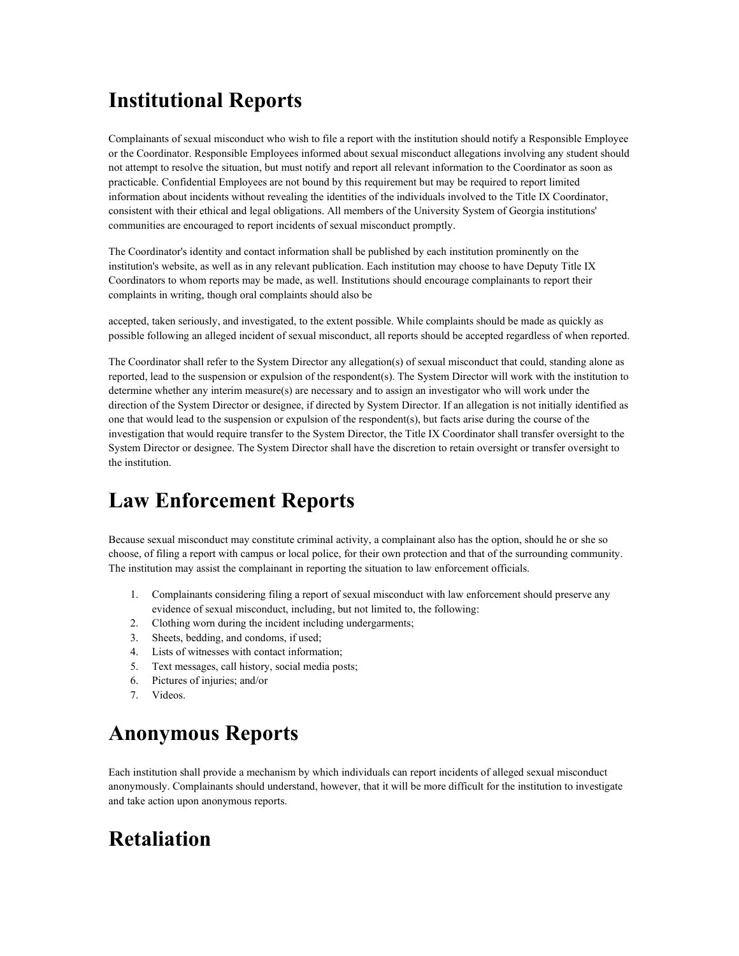# **Institutional Reports**

Complainants of sexual misconduct who wish to file a report with the institution should notify a Responsible Employee or the Coordinator. Responsible Employees informed about sexual misconduct allegations involving any student should not attempt to resolve the situation, but must notify and report all relevant information to the Coordinator as soon as practicable. Confidential Employees are not bound by this requirement but may be required to report limited information about incidents without revealing the identities of the individuals involved to the Title IX Coordinator, consistent with their ethical and legal obligations. All members of the University System of Georgia institutions' communities are encouraged to report incidents of sexual misconduct promptly.

The Coordinator's identity and contact information shall be published by each institution prominently on the institution's website, as well as in any relevant publication. Each institution may choose to have Deputy Title IX Coordinators to whom reports may be made, as well. Institutions should encourage complainants to report their complaints in writing, though oral complaints should also be

accepted, taken seriously, and investigated, to the extent possible. While complaints should be made as quickly as possible following an alleged incident of sexual misconduct, all reports should be accepted regardless of when reported.

The Coordinator shall refer to the System Director any allegation(s) of sexual misconduct that could, standing alone as reported, lead to the suspension or expulsion of the respondent(s). The System Director will work with the institution to determine whether any interim measure(s) are necessary and to assign an investigator who will work under the direction of the System Director or designee, if directed by System Director. If an allegation is not initially identified as one that would lead to the suspension or expulsion of the respondent(s), but facts arise during the course of the investigation that would require transfer to the System Director, the Title IX Coordinator shall transfer oversight to the System Director or designee. The System Director shall have the discretion to retain oversight or transfer oversight to the institution.

### **Law Enforcement Reports**

Because sexual misconduct may constitute criminal activity, a complainant also has the option, should he or she so choose, of filing a report with campus or local police, for their own protection and that of the surrounding community. The institution may assist the complainant in reporting the situation to law enforcement officials.

- 1. Complainants considering filing a report of sexual misconduct with law enforcement should preserve any evidence of sexual misconduct, including, but not limited to, the following:
- 2. Clothing worn during the incident including undergarments;
- 3. Sheets, bedding, and condoms, if used;
- 4. Lists of witnesses with contact information;
- 5. Text messages, call history, social media posts;
- 6. Pictures of injuries; and/or
- 7. Videos.

### **Anonymous Reports**

Each institution shall provide a mechanism by which individuals can report incidents of alleged sexual misconduct anonymously. Complainants should understand, however, that it will be more difficult for the institution to investigate and take action upon anonymous reports.

### **Retaliation**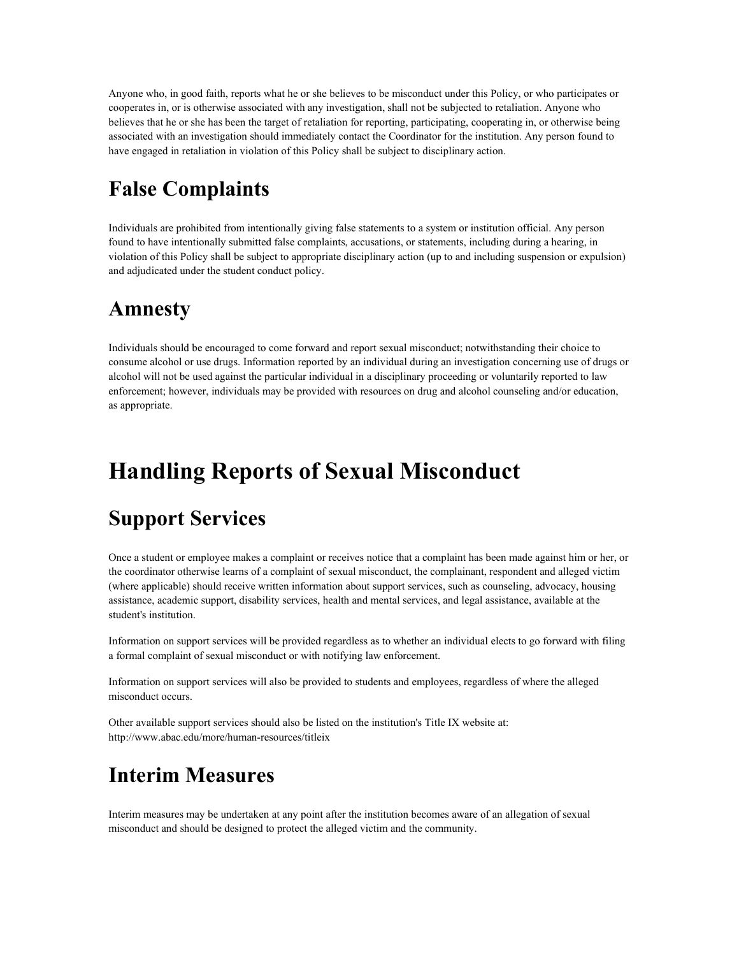Anyone who, in good faith, reports what he or she believes to be misconduct under this Policy, or who participates or cooperates in, or is otherwise associated with any investigation, shall not be subjected to retaliation. Anyone who believes that he or she has been the target of retaliation for reporting, participating, cooperating in, or otherwise being associated with an investigation should immediately contact the Coordinator for the institution. Any person found to have engaged in retaliation in violation of this Policy shall be subject to disciplinary action.

### **False Complaints**

Individuals are prohibited from intentionally giving false statements to a system or institution official. Any person found to have intentionally submitted false complaints, accusations, or statements, including during a hearing, in violation of this Policy shall be subject to appropriate disciplinary action (up to and including suspension or expulsion) and adjudicated under the student conduct policy.

#### **Amnesty**

Individuals should be encouraged to come forward and report sexual misconduct; notwithstanding their choice to consume alcohol or use drugs. Information reported by an individual during an investigation concerning use of drugs or alcohol will not be used against the particular individual in a disciplinary proceeding or voluntarily reported to law enforcement; however, individuals may be provided with resources on drug and alcohol counseling and/or education, as appropriate.

# **Handling Reports of Sexual Misconduct**

### **Support Services**

Once a student or employee makes a complaint or receives notice that a complaint has been made against him or her, or the coordinator otherwise learns of a complaint of sexual misconduct, the complainant, respondent and alleged victim (where applicable) should receive written information about support services, such as counseling, advocacy, housing assistance, academic support, disability services, health and mental services, and legal assistance, available at the student's institution.

Information on support services will be provided regardless as to whether an individual elects to go forward with filing a formal complaint of sexual misconduct or with notifying law enforcement.

Information on support services will also be provided to students and employees, regardless of where the alleged misconduct occurs.

Other available support services should also be listed on the institution's Title IX website at: http://www.abac.edu/more/human-resources/titleix

### **Interim Measures**

Interim measures may be undertaken at any point after the institution becomes aware of an allegation of sexual misconduct and should be designed to protect the alleged victim and the community.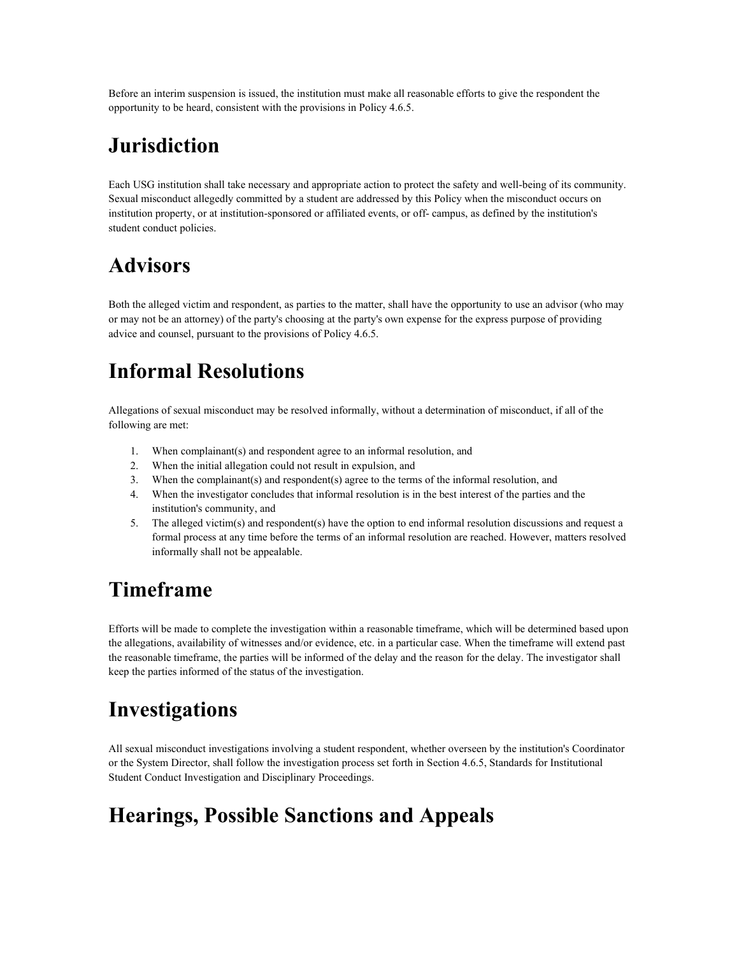Before an interim suspension is issued, the institution must make all reasonable efforts to give the respondent the opportunity to be heard, consistent with the provisions in Policy 4.6.5.

# **Jurisdiction**

Each USG institution shall take necessary and appropriate action to protect the safety and well-being of its community. Sexual misconduct allegedly committed by a student are addressed by this Policy when the misconduct occurs on institution property, or at institution-sponsored or affiliated events, or off- campus, as defined by the institution's student conduct policies.

# **Advisors**

Both the alleged victim and respondent, as parties to the matter, shall have the opportunity to use an advisor (who may or may not be an attorney) of the party's choosing at the party's own expense for the express purpose of providing advice and counsel, pursuant to the provisions of Policy 4.6.5.

# **Informal Resolutions**

Allegations of sexual misconduct may be resolved informally, without a determination of misconduct, if all of the following are met:

- 1. When complainant(s) and respondent agree to an informal resolution, and
- 2. When the initial allegation could not result in expulsion, and
- 3. When the complainant(s) and respondent(s) agree to the terms of the informal resolution, and
- 4. When the investigator concludes that informal resolution is in the best interest of the parties and the institution's community, and
- 5. The alleged victim(s) and respondent(s) have the option to end informal resolution discussions and request a formal process at any time before the terms of an informal resolution are reached. However, matters resolved informally shall not be appealable.

# **Timeframe**

Efforts will be made to complete the investigation within a reasonable timeframe, which will be determined based upon the allegations, availability of witnesses and/or evidence, etc. in a particular case. When the timeframe will extend past the reasonable timeframe, the parties will be informed of the delay and the reason for the delay. The investigator shall keep the parties informed of the status of the investigation.

# **Investigations**

All sexual misconduct investigations involving a student respondent, whether overseen by the institution's Coordinator or the System Director, shall follow the investigation process set forth in Section 4.6.5, Standards for Institutional Student Conduct Investigation and Disciplinary Proceedings.

# **Hearings, Possible Sanctions and Appeals**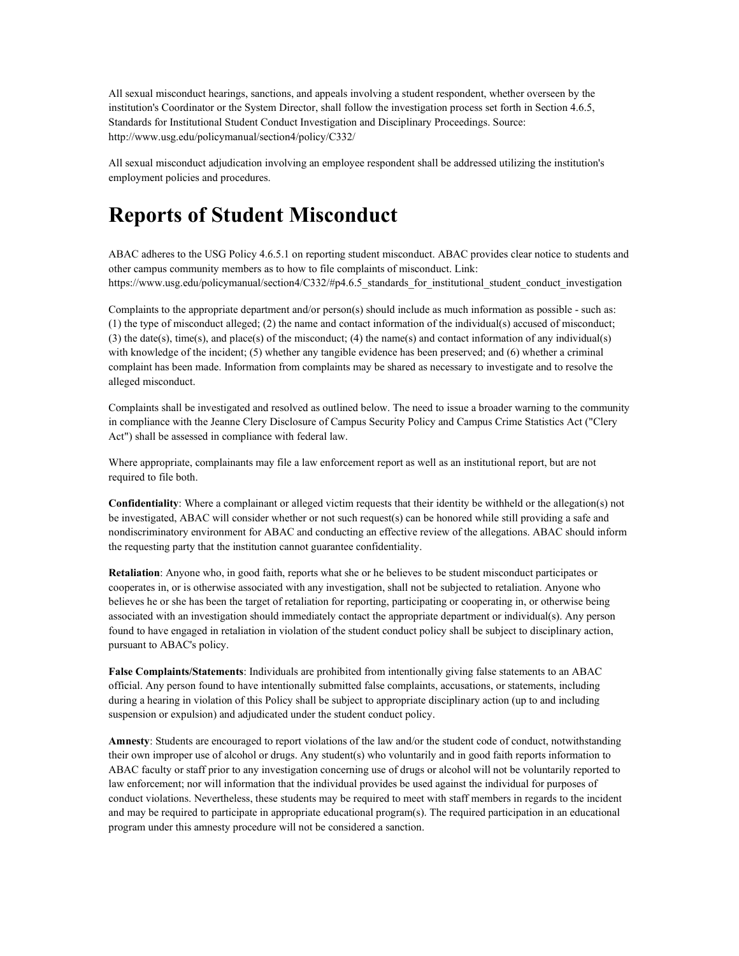All sexual misconduct hearings, sanctions, and appeals involving a student respondent, whether overseen by the institution's Coordinator or the System Director, shall follow the investigation process set forth in Section 4.6.5, Standards for Institutional Student Conduct Investigation and Disciplinary Proceedings. Source: http://www.usg.edu/policymanual/section4/policy/C332/

All sexual misconduct adjudication involving an employee respondent shall be addressed utilizing the institution's employment policies and procedures.

#### **Reports of Student Misconduct**

ABAC adheres to the USG Policy 4.6.5.1 on reporting student misconduct. ABAC provides clear notice to students and other campus community members as to how to file complaints of misconduct. Link: https://www.usg.edu/policymanual/section4/C332/#p4.6.5 standards for institutional student conduct investigation

Complaints to the appropriate department and/or person(s) should include as much information as possible - such as: (1) the type of misconduct alleged; (2) the name and contact information of the individual(s) accused of misconduct; (3) the date(s), time(s), and place(s) of the misconduct; (4) the name(s) and contact information of any individual(s) with knowledge of the incident; (5) whether any tangible evidence has been preserved; and (6) whether a criminal complaint has been made. Information from complaints may be shared as necessary to investigate and to resolve the alleged misconduct.

Complaints shall be investigated and resolved as outlined below. The need to issue a broader warning to the community in compliance with the Jeanne Clery Disclosure of Campus Security Policy and Campus Crime Statistics Act ("Clery Act") shall be assessed in compliance with federal law.

Where appropriate, complainants may file a law enforcement report as well as an institutional report, but are not required to file both.

**Confidentiality**: Where a complainant or alleged victim requests that their identity be withheld or the allegation(s) not be investigated, ABAC will consider whether or not such request(s) can be honored while still providing a safe and nondiscriminatory environment for ABAC and conducting an effective review of the allegations. ABAC should inform the requesting party that the institution cannot guarantee confidentiality.

**Retaliation**: Anyone who, in good faith, reports what she or he believes to be student misconduct participates or cooperates in, or is otherwise associated with any investigation, shall not be subjected to retaliation. Anyone who believes he or she has been the target of retaliation for reporting, participating or cooperating in, or otherwise being associated with an investigation should immediately contact the appropriate department or individual(s). Any person found to have engaged in retaliation in violation of the student conduct policy shall be subject to disciplinary action, pursuant to ABAC's policy.

**False Complaints/Statements**: Individuals are prohibited from intentionally giving false statements to an ABAC official. Any person found to have intentionally submitted false complaints, accusations, or statements, including during a hearing in violation of this Policy shall be subject to appropriate disciplinary action (up to and including suspension or expulsion) and adjudicated under the student conduct policy.

**Amnesty**: Students are encouraged to report violations of the law and/or the student code of conduct, notwithstanding their own improper use of alcohol or drugs. Any student(s) who voluntarily and in good faith reports information to ABAC faculty or staff prior to any investigation concerning use of drugs or alcohol will not be voluntarily reported to law enforcement; nor will information that the individual provides be used against the individual for purposes of conduct violations. Nevertheless, these students may be required to meet with staff members in regards to the incident and may be required to participate in appropriate educational program(s). The required participation in an educational program under this amnesty procedure will not be considered a sanction.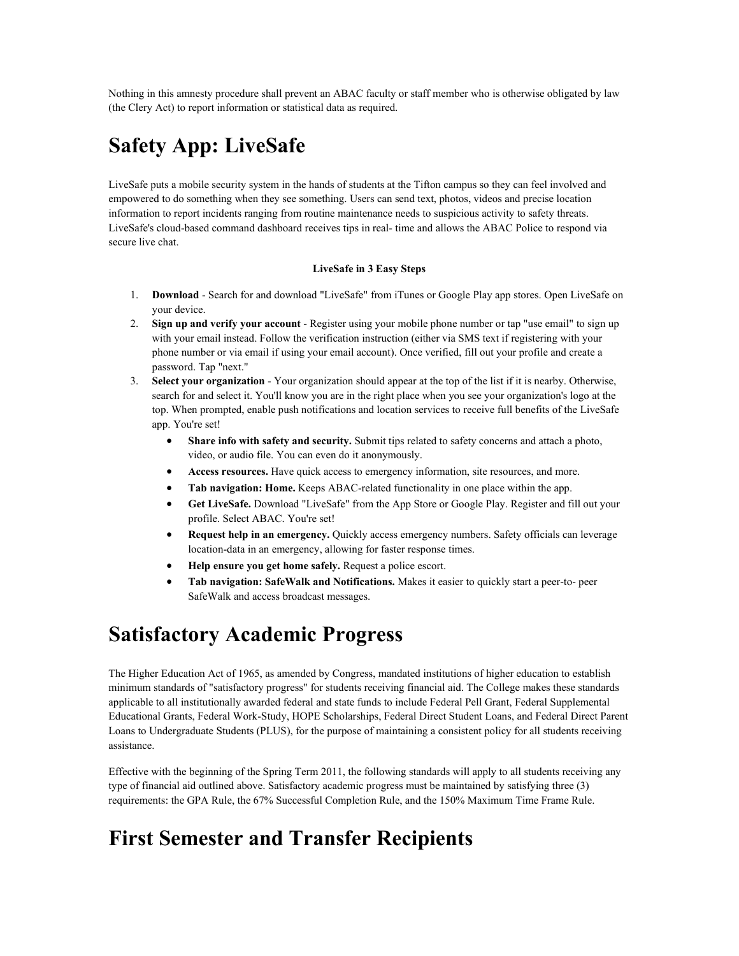Nothing in this amnesty procedure shall prevent an ABAC faculty or staff member who is otherwise obligated by law (the Clery Act) to report information or statistical data as required.

# **Safety App: LiveSafe**

LiveSafe puts a mobile security system in the hands of students at the Tifton campus so they can feel involved and empowered to do something when they see something. Users can send text, photos, videos and precise location information to report incidents ranging from routine maintenance needs to suspicious activity to safety threats. LiveSafe's cloud-based command dashboard receives tips in real- time and allows the ABAC Police to respond via secure live chat.

#### **LiveSafe in 3 Easy Steps**

- 1. **Download** Search for and download "LiveSafe" from iTunes or Google Play app stores. Open LiveSafe on your device.
- 2. **Sign up and verify your account** Register using your mobile phone number or tap "use email" to sign up with your email instead. Follow the verification instruction (either via SMS text if registering with your phone number or via email if using your email account). Once verified, fill out your profile and create a password. Tap "next."
- 3. **Select your organization** Your organization should appear at the top of the list if it is nearby. Otherwise, search for and select it. You'll know you are in the right place when you see your organization's logo at the top. When prompted, enable push notifications and location services to receive full benefits of the LiveSafe app. You're set!
	- **Share info with safety and security.** Submit tips related to safety concerns and attach a photo, video, or audio file. You can even do it anonymously.
	- **Access resources.** Have quick access to emergency information, site resources, and more.
	- **Tab navigation: Home.** Keeps ABAC-related functionality in one place within the app.
	- **Get LiveSafe.** Download "LiveSafe" from the App Store or Google Play. Register and fill out your profile. Select ABAC. You're set!
	- **Request help in an emergency.** Quickly access emergency numbers. Safety officials can leverage location-data in an emergency, allowing for faster response times.
	- **Help ensure you get home safely.** Request a police escort.
	- **Tab navigation: SafeWalk and Notifications.** Makes it easier to quickly start a peer-to- peer SafeWalk and access broadcast messages.

### **Satisfactory Academic Progress**

The Higher Education Act of 1965, as amended by Congress, mandated institutions of higher education to establish minimum standards of "satisfactory progress" for students receiving financial aid. The College makes these standards applicable to all institutionally awarded federal and state funds to include Federal Pell Grant, Federal Supplemental Educational Grants, Federal Work-Study, HOPE Scholarships, Federal Direct Student Loans, and Federal Direct Parent Loans to Undergraduate Students (PLUS), for the purpose of maintaining a consistent policy for all students receiving assistance.

Effective with the beginning of the Spring Term 2011, the following standards will apply to all students receiving any type of financial aid outlined above. Satisfactory academic progress must be maintained by satisfying three (3) requirements: the GPA Rule, the 67% Successful Completion Rule, and the 150% Maximum Time Frame Rule.

#### **First Semester and Transfer Recipients**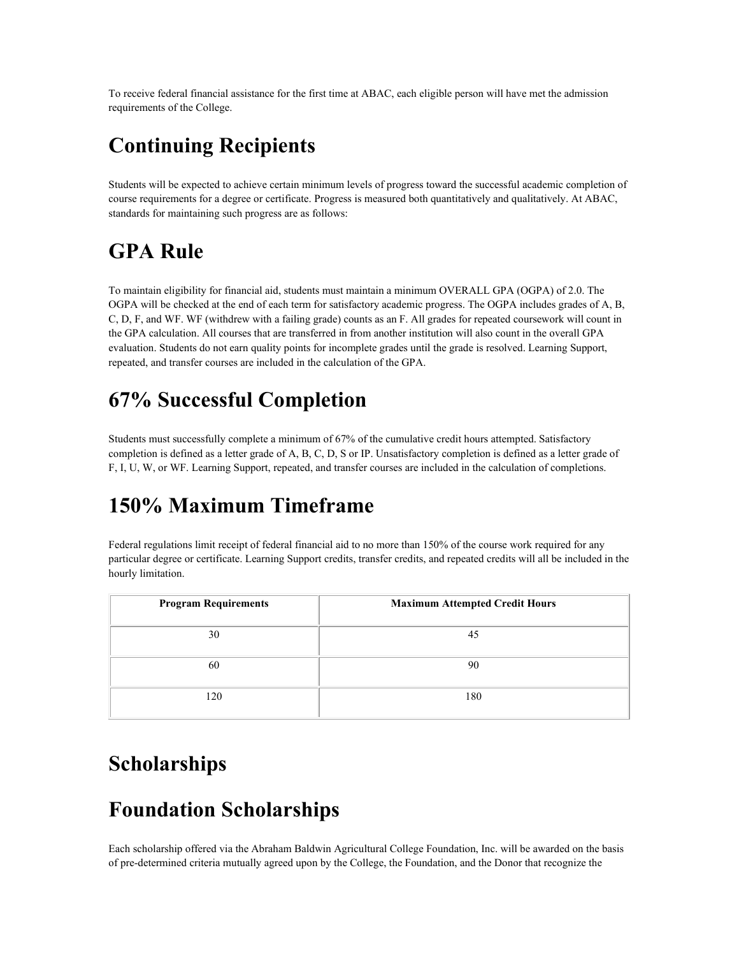To receive federal financial assistance for the first time at ABAC, each eligible person will have met the admission requirements of the College.

# **Continuing Recipients**

Students will be expected to achieve certain minimum levels of progress toward the successful academic completion of course requirements for a degree or certificate. Progress is measured both quantitatively and qualitatively. At ABAC, standards for maintaining such progress are as follows:

#### **GPA Rule**

To maintain eligibility for financial aid, students must maintain a minimum OVERALL GPA (OGPA) of 2.0. The OGPA will be checked at the end of each term for satisfactory academic progress. The OGPA includes grades of A, B, C, D, F, and WF. WF (withdrew with a failing grade) counts as an F. All grades for repeated coursework will count in the GPA calculation. All courses that are transferred in from another institution will also count in the overall GPA evaluation. Students do not earn quality points for incomplete grades until the grade is resolved. Learning Support, repeated, and transfer courses are included in the calculation of the GPA.

# **67% Successful Completion**

Students must successfully complete a minimum of 67% of the cumulative credit hours attempted. Satisfactory completion is defined as a letter grade of A, B, C, D, S or IP. Unsatisfactory completion is defined as a letter grade of F, I, U, W, or WF. Learning Support, repeated, and transfer courses are included in the calculation of completions.

### **150% Maximum Timeframe**

Federal regulations limit receipt of federal financial aid to no more than 150% of the course work required for any particular degree or certificate. Learning Support credits, transfer credits, and repeated credits will all be included in the hourly limitation.

| <b>Program Requirements</b> | <b>Maximum Attempted Credit Hours</b> |
|-----------------------------|---------------------------------------|
| 30                          | 45                                    |
| 60                          | 90                                    |
| 120                         | 180                                   |

# **Scholarships**

# **Foundation Scholarships**

Each scholarship offered via the Abraham Baldwin Agricultural College Foundation, Inc. will be awarded on the basis of pre-determined criteria mutually agreed upon by the College, the Foundation, and the Donor that recognize the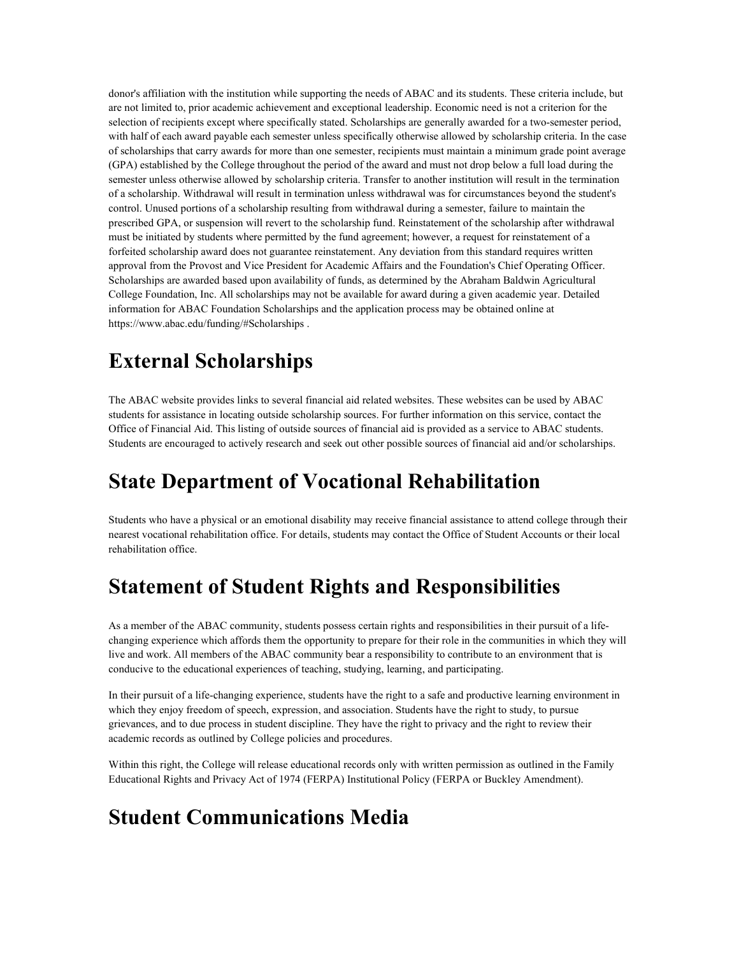donor's affiliation with the institution while supporting the needs of ABAC and its students. These criteria include, but are not limited to, prior academic achievement and exceptional leadership. Economic need is not a criterion for the selection of recipients except where specifically stated. Scholarships are generally awarded for a two-semester period, with half of each award payable each semester unless specifically otherwise allowed by scholarship criteria. In the case of scholarships that carry awards for more than one semester, recipients must maintain a minimum grade point average (GPA) established by the College throughout the period of the award and must not drop below a full load during the semester unless otherwise allowed by scholarship criteria. Transfer to another institution will result in the termination of a scholarship. Withdrawal will result in termination unless withdrawal was for circumstances beyond the student's control. Unused portions of a scholarship resulting from withdrawal during a semester, failure to maintain the prescribed GPA, or suspension will revert to the scholarship fund. Reinstatement of the scholarship after withdrawal must be initiated by students where permitted by the fund agreement; however, a request for reinstatement of a forfeited scholarship award does not guarantee reinstatement. Any deviation from this standard requires written approval from the Provost and Vice President for Academic Affairs and the Foundation's Chief Operating Officer. Scholarships are awarded based upon availability of funds, as determined by the Abraham Baldwin Agricultural College Foundation, Inc. All scholarships may not be available for award during a given academic year. Detailed information for ABAC Foundation Scholarships and the application process may be obtained online at https://www.abac.edu/funding/#Scholarships .

## **External Scholarships**

The ABAC website provides links to several financial aid related websites. These websites can be used by ABAC students for assistance in locating outside scholarship sources. For further information on this service, contact the Office of Financial Aid. This listing of outside sources of financial aid is provided as a service to ABAC students. Students are encouraged to actively research and seek out other possible sources of financial aid and/or scholarships.

### **State Department of Vocational Rehabilitation**

Students who have a physical or an emotional disability may receive financial assistance to attend college through their nearest vocational rehabilitation office. For details, students may contact the Office of Student Accounts or their local rehabilitation office.

### **Statement of Student Rights and Responsibilities**

As a member of the ABAC community, students possess certain rights and responsibilities in their pursuit of a lifechanging experience which affords them the opportunity to prepare for their role in the communities in which they will live and work. All members of the ABAC community bear a responsibility to contribute to an environment that is conducive to the educational experiences of teaching, studying, learning, and participating.

In their pursuit of a life-changing experience, students have the right to a safe and productive learning environment in which they enjoy freedom of speech, expression, and association. Students have the right to study, to pursue grievances, and to due process in student discipline. They have the right to privacy and the right to review their academic records as outlined by College policies and procedures.

Within this right, the College will release educational records only with written permission as outlined in the Family Educational Rights and Privacy Act of 1974 (FERPA) Institutional Policy (FERPA or Buckley Amendment).

# **Student Communications Media**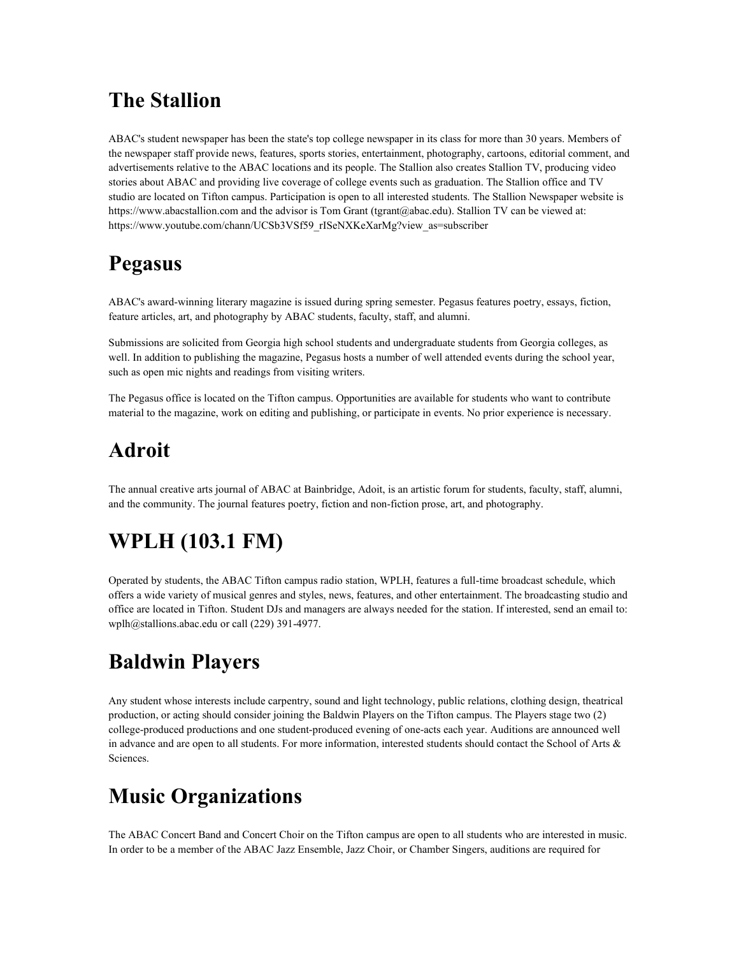## **The Stallion**

ABAC's student newspaper has been the state's top college newspaper in its class for more than 30 years. Members of the newspaper staff provide news, features, sports stories, entertainment, photography, cartoons, editorial comment, and advertisements relative to the ABAC locations and its people. The Stallion also creates Stallion TV, producing video stories about ABAC and providing live coverage of college events such as graduation. The Stallion office and TV studio are located on Tifton campus. Participation is open to all interested students. The Stallion Newspaper website is https://www.abacstallion.com and the advisor is Tom Grant (tgrant@abac.edu). Stallion TV can be viewed at: https://www.youtube.com/chann/UCSb3VSf59\_rISeNXKeXarMg?view\_as=subscriber

# **Pegasus**

ABAC's award-winning literary magazine is issued during spring semester. Pegasus features poetry, essays, fiction, feature articles, art, and photography by ABAC students, faculty, staff, and alumni.

Submissions are solicited from Georgia high school students and undergraduate students from Georgia colleges, as well. In addition to publishing the magazine, Pegasus hosts a number of well attended events during the school year, such as open mic nights and readings from visiting writers.

The Pegasus office is located on the Tifton campus. Opportunities are available for students who want to contribute material to the magazine, work on editing and publishing, or participate in events. No prior experience is necessary.

## **Adroit**

The annual creative arts journal of ABAC at Bainbridge, Adoit, is an artistic forum for students, faculty, staff, alumni, and the community. The journal features poetry, fiction and non-fiction prose, art, and photography.

# **WPLH (103.1 FM)**

Operated by students, the ABAC Tifton campus radio station, WPLH, features a full-time broadcast schedule, which offers a wide variety of musical genres and styles, news, features, and other entertainment. The broadcasting studio and office are located in Tifton. Student DJs and managers are always needed for the station. If interested, send an email to: wplh@stallions.abac.edu or call (229) 391-4977.

# **Baldwin Players**

Any student whose interests include carpentry, sound and light technology, public relations, clothing design, theatrical production, or acting should consider joining the Baldwin Players on the Tifton campus. The Players stage two (2) college-produced productions and one student-produced evening of one-acts each year. Auditions are announced well in advance and are open to all students. For more information, interested students should contact the School of Arts & Sciences.

# **Music Organizations**

The ABAC Concert Band and Concert Choir on the Tifton campus are open to all students who are interested in music. In order to be a member of the ABAC Jazz Ensemble, Jazz Choir, or Chamber Singers, auditions are required for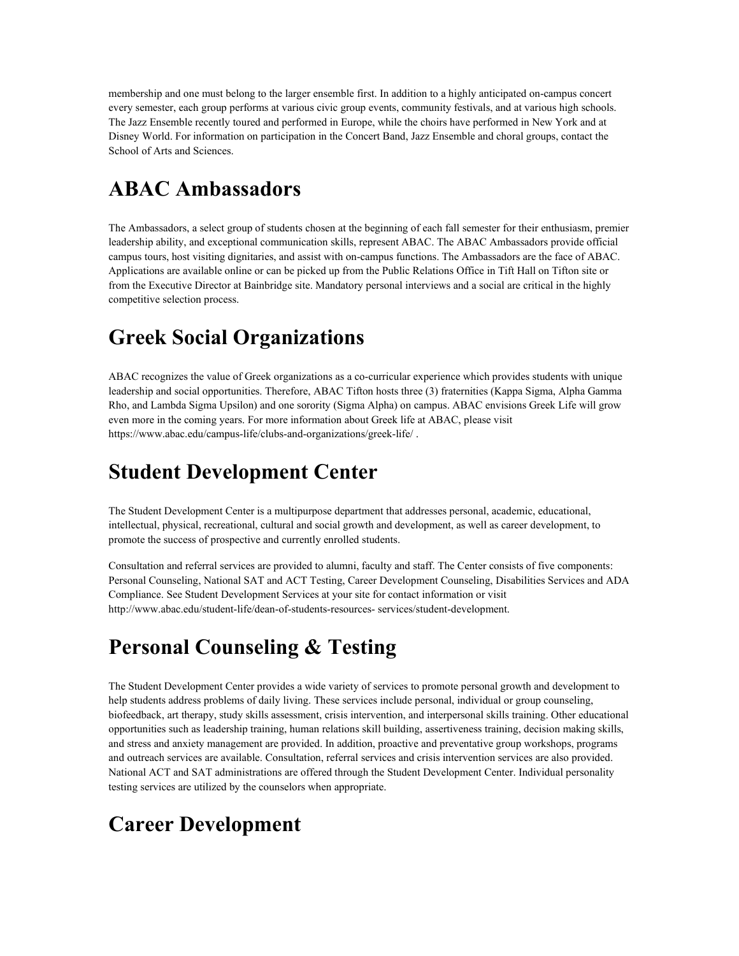membership and one must belong to the larger ensemble first. In addition to a highly anticipated on-campus concert every semester, each group performs at various civic group events, community festivals, and at various high schools. The Jazz Ensemble recently toured and performed in Europe, while the choirs have performed in New York and at Disney World. For information on participation in the Concert Band, Jazz Ensemble and choral groups, contact the School of Arts and Sciences.

# **ABAC Ambassadors**

The Ambassadors, a select group of students chosen at the beginning of each fall semester for their enthusiasm, premier leadership ability, and exceptional communication skills, represent ABAC. The ABAC Ambassadors provide official campus tours, host visiting dignitaries, and assist with on-campus functions. The Ambassadors are the face of ABAC. Applications are available online or can be picked up from the Public Relations Office in Tift Hall on Tifton site or from the Executive Director at Bainbridge site. Mandatory personal interviews and a social are critical in the highly competitive selection process.

# **Greek Social Organizations**

ABAC recognizes the value of Greek organizations as a co-curricular experience which provides students with unique leadership and social opportunities. Therefore, ABAC Tifton hosts three (3) fraternities (Kappa Sigma, Alpha Gamma Rho, and Lambda Sigma Upsilon) and one sorority (Sigma Alpha) on campus. ABAC envisions Greek Life will grow even more in the coming years. For more information about Greek life at ABAC, please visit https://www.abac.edu/campus-life/clubs-and-organizations/greek-life/ .

# **Student Development Center**

The Student Development Center is a multipurpose department that addresses personal, academic, educational, intellectual, physical, recreational, cultural and social growth and development, as well as career development, to promote the success of prospective and currently enrolled students.

Consultation and referral services are provided to alumni, faculty and staff. The Center consists of five components: Personal Counseling, National SAT and ACT Testing, Career Development Counseling, Disabilities Services and ADA Compliance. See Student Development Services at your site for contact information or visit http://www.abac.edu/student-life/dean-of-students-resources- services/student-development.

# **Personal Counseling & Testing**

The Student Development Center provides a wide variety of services to promote personal growth and development to help students address problems of daily living. These services include personal, individual or group counseling, biofeedback, art therapy, study skills assessment, crisis intervention, and interpersonal skills training. Other educational opportunities such as leadership training, human relations skill building, assertiveness training, decision making skills, and stress and anxiety management are provided. In addition, proactive and preventative group workshops, programs and outreach services are available. Consultation, referral services and crisis intervention services are also provided. National ACT and SAT administrations are offered through the Student Development Center. Individual personality testing services are utilized by the counselors when appropriate.

# **Career Development**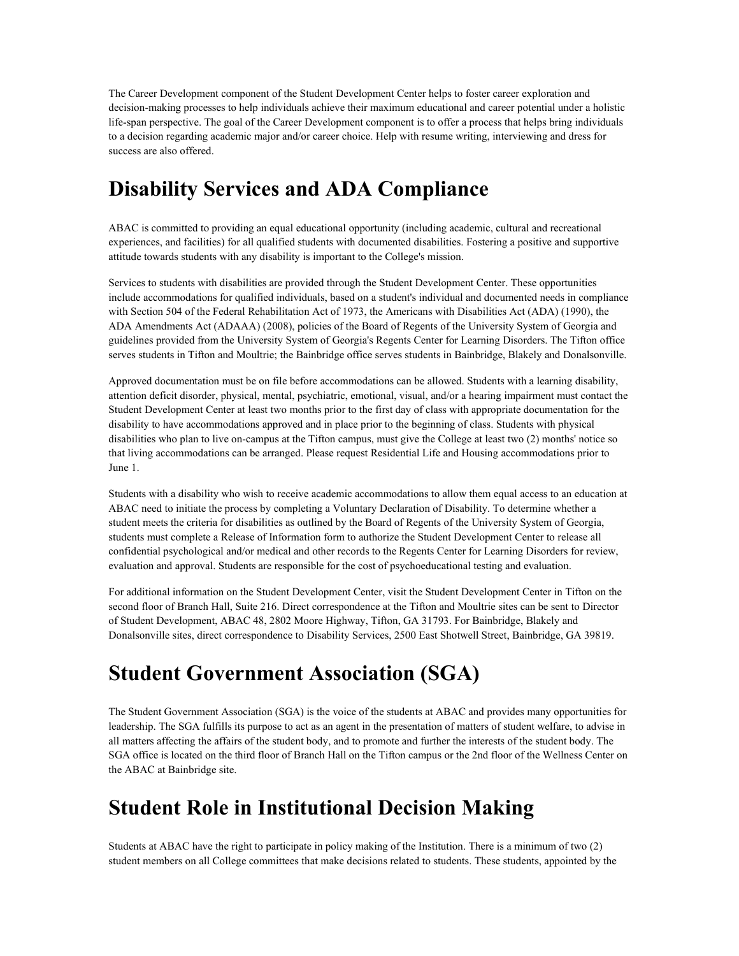The Career Development component of the Student Development Center helps to foster career exploration and decision-making processes to help individuals achieve their maximum educational and career potential under a holistic life-span perspective. The goal of the Career Development component is to offer a process that helps bring individuals to a decision regarding academic major and/or career choice. Help with resume writing, interviewing and dress for success are also offered.

### **Disability Services and ADA Compliance**

ABAC is committed to providing an equal educational opportunity (including academic, cultural and recreational experiences, and facilities) for all qualified students with documented disabilities. Fostering a positive and supportive attitude towards students with any disability is important to the College's mission.

Services to students with disabilities are provided through the Student Development Center. These opportunities include accommodations for qualified individuals, based on a student's individual and documented needs in compliance with Section 504 of the Federal Rehabilitation Act of 1973, the Americans with Disabilities Act (ADA) (1990), the ADA Amendments Act (ADAAA) (2008), policies of the Board of Regents of the University System of Georgia and guidelines provided from the University System of Georgia's Regents Center for Learning Disorders. The Tifton office serves students in Tifton and Moultrie; the Bainbridge office serves students in Bainbridge, Blakely and Donalsonville.

Approved documentation must be on file before accommodations can be allowed. Students with a learning disability, attention deficit disorder, physical, mental, psychiatric, emotional, visual, and/or a hearing impairment must contact the Student Development Center at least two months prior to the first day of class with appropriate documentation for the disability to have accommodations approved and in place prior to the beginning of class. Students with physical disabilities who plan to live on-campus at the Tifton campus, must give the College at least two (2) months' notice so that living accommodations can be arranged. Please request Residential Life and Housing accommodations prior to June 1.

Students with a disability who wish to receive academic accommodations to allow them equal access to an education at ABAC need to initiate the process by completing a Voluntary Declaration of Disability. To determine whether a student meets the criteria for disabilities as outlined by the Board of Regents of the University System of Georgia, students must complete a Release of Information form to authorize the Student Development Center to release all confidential psychological and/or medical and other records to the Regents Center for Learning Disorders for review, evaluation and approval. Students are responsible for the cost of psychoeducational testing and evaluation.

For additional information on the Student Development Center, visit the Student Development Center in Tifton on the second floor of Branch Hall, Suite 216. Direct correspondence at the Tifton and Moultrie sites can be sent to Director of Student Development, ABAC 48, 2802 Moore Highway, Tifton, GA 31793. For Bainbridge, Blakely and Donalsonville sites, direct correspondence to Disability Services, 2500 East Shotwell Street, Bainbridge, GA 39819.

# **Student Government Association (SGA)**

The Student Government Association (SGA) is the voice of the students at ABAC and provides many opportunities for leadership. The SGA fulfills its purpose to act as an agent in the presentation of matters of student welfare, to advise in all matters affecting the affairs of the student body, and to promote and further the interests of the student body. The SGA office is located on the third floor of Branch Hall on the Tifton campus or the 2nd floor of the Wellness Center on the ABAC at Bainbridge site.

#### **Student Role in Institutional Decision Making**

Students at ABAC have the right to participate in policy making of the Institution. There is a minimum of two (2) student members on all College committees that make decisions related to students. These students, appointed by the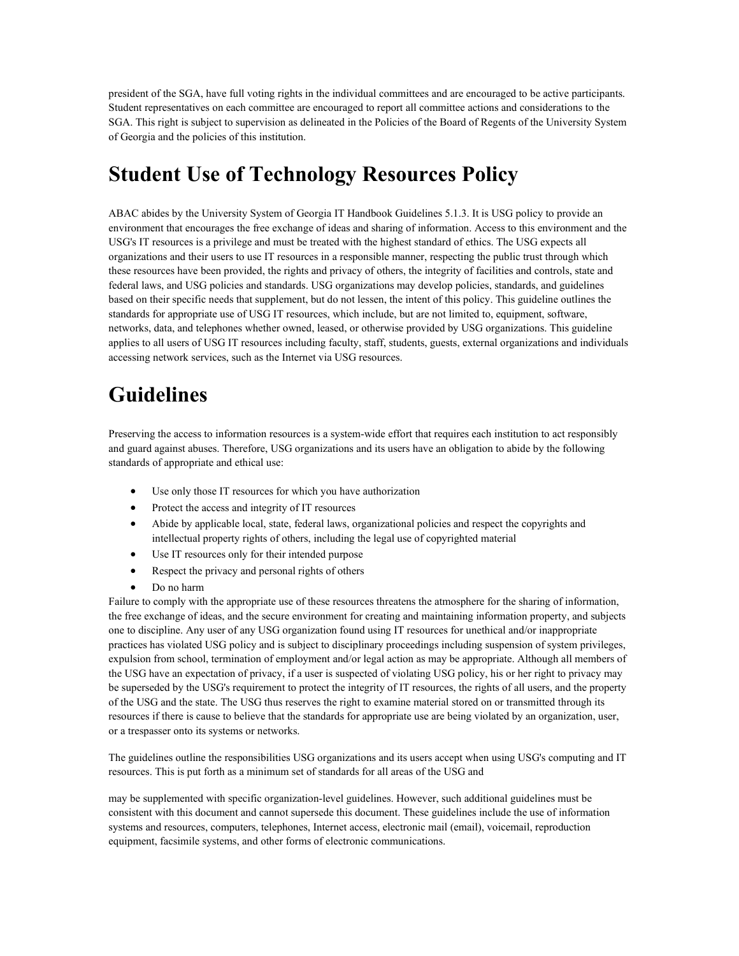president of the SGA, have full voting rights in the individual committees and are encouraged to be active participants. Student representatives on each committee are encouraged to report all committee actions and considerations to the SGA. This right is subject to supervision as delineated in the Policies of the Board of Regents of the University System of Georgia and the policies of this institution.

# **Student Use of Technology Resources Policy**

ABAC abides by the University System of Georgia IT Handbook Guidelines 5.1.3. It is USG policy to provide an environment that encourages the free exchange of ideas and sharing of information. Access to this environment and the USG's IT resources is a privilege and must be treated with the highest standard of ethics. The USG expects all organizations and their users to use IT resources in a responsible manner, respecting the public trust through which these resources have been provided, the rights and privacy of others, the integrity of facilities and controls, state and federal laws, and USG policies and standards. USG organizations may develop policies, standards, and guidelines based on their specific needs that supplement, but do not lessen, the intent of this policy. This guideline outlines the standards for appropriate use of USG IT resources, which include, but are not limited to, equipment, software, networks, data, and telephones whether owned, leased, or otherwise provided by USG organizations. This guideline applies to all users of USG IT resources including faculty, staff, students, guests, external organizations and individuals accessing network services, such as the Internet via USG resources.

# **Guidelines**

Preserving the access to information resources is a system-wide effort that requires each institution to act responsibly and guard against abuses. Therefore, USG organizations and its users have an obligation to abide by the following standards of appropriate and ethical use:

- Use only those IT resources for which you have authorization
- Protect the access and integrity of IT resources
- Abide by applicable local, state, federal laws, organizational policies and respect the copyrights and intellectual property rights of others, including the legal use of copyrighted material
- Use IT resources only for their intended purpose
- Respect the privacy and personal rights of others
- Do no harm

Failure to comply with the appropriate use of these resources threatens the atmosphere for the sharing of information, the free exchange of ideas, and the secure environment for creating and maintaining information property, and subjects one to discipline. Any user of any USG organization found using IT resources for unethical and/or inappropriate practices has violated USG policy and is subject to disciplinary proceedings including suspension of system privileges, expulsion from school, termination of employment and/or legal action as may be appropriate. Although all members of the USG have an expectation of privacy, if a user is suspected of violating USG policy, his or her right to privacy may be superseded by the USG's requirement to protect the integrity of IT resources, the rights of all users, and the property of the USG and the state. The USG thus reserves the right to examine material stored on or transmitted through its resources if there is cause to believe that the standards for appropriate use are being violated by an organization, user, or a trespasser onto its systems or networks.

The guidelines outline the responsibilities USG organizations and its users accept when using USG's computing and IT resources. This is put forth as a minimum set of standards for all areas of the USG and

may be supplemented with specific organization-level guidelines. However, such additional guidelines must be consistent with this document and cannot supersede this document. These guidelines include the use of information systems and resources, computers, telephones, Internet access, electronic mail (email), voicemail, reproduction equipment, facsimile systems, and other forms of electronic communications.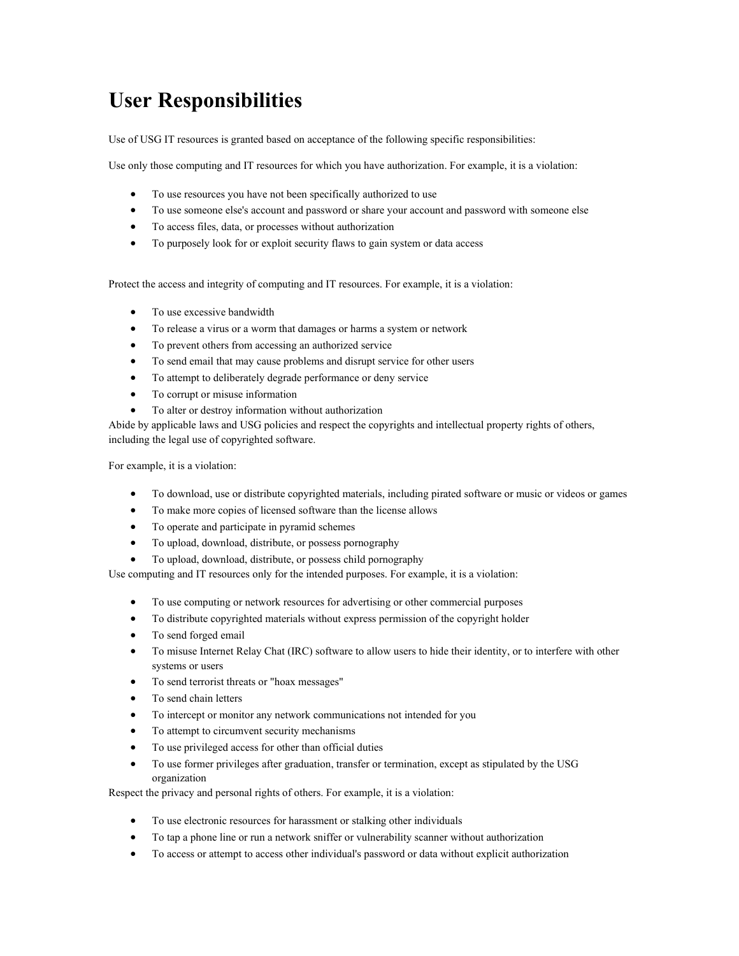# **User Responsibilities**

Use of USG IT resources is granted based on acceptance of the following specific responsibilities:

Use only those computing and IT resources for which you have authorization. For example, it is a violation:

- To use resources you have not been specifically authorized to use
- To use someone else's account and password or share your account and password with someone else
- To access files, data, or processes without authorization
- To purposely look for or exploit security flaws to gain system or data access

Protect the access and integrity of computing and IT resources. For example, it is a violation:

- To use excessive bandwidth
- To release a virus or a worm that damages or harms a system or network
- To prevent others from accessing an authorized service
- To send email that may cause problems and disrupt service for other users
- To attempt to deliberately degrade performance or deny service
- To corrupt or misuse information
- To alter or destroy information without authorization

Abide by applicable laws and USG policies and respect the copyrights and intellectual property rights of others, including the legal use of copyrighted software.

For example, it is a violation:

- To download, use or distribute copyrighted materials, including pirated software or music or videos or games
- To make more copies of licensed software than the license allows
- To operate and participate in pyramid schemes
- To upload, download, distribute, or possess pornography
- To upload, download, distribute, or possess child pornography

Use computing and IT resources only for the intended purposes. For example, it is a violation:

- To use computing or network resources for advertising or other commercial purposes
- To distribute copyrighted materials without express permission of the copyright holder
- To send forged email
- To misuse Internet Relay Chat (IRC) software to allow users to hide their identity, or to interfere with other systems or users
- To send terrorist threats or "hoax messages"
- To send chain letters
- To intercept or monitor any network communications not intended for you
- To attempt to circumvent security mechanisms
- To use privileged access for other than official duties
- To use former privileges after graduation, transfer or termination, except as stipulated by the USG organization

Respect the privacy and personal rights of others. For example, it is a violation:

- To use electronic resources for harassment or stalking other individuals
- To tap a phone line or run a network sniffer or vulnerability scanner without authorization
- To access or attempt to access other individual's password or data without explicit authorization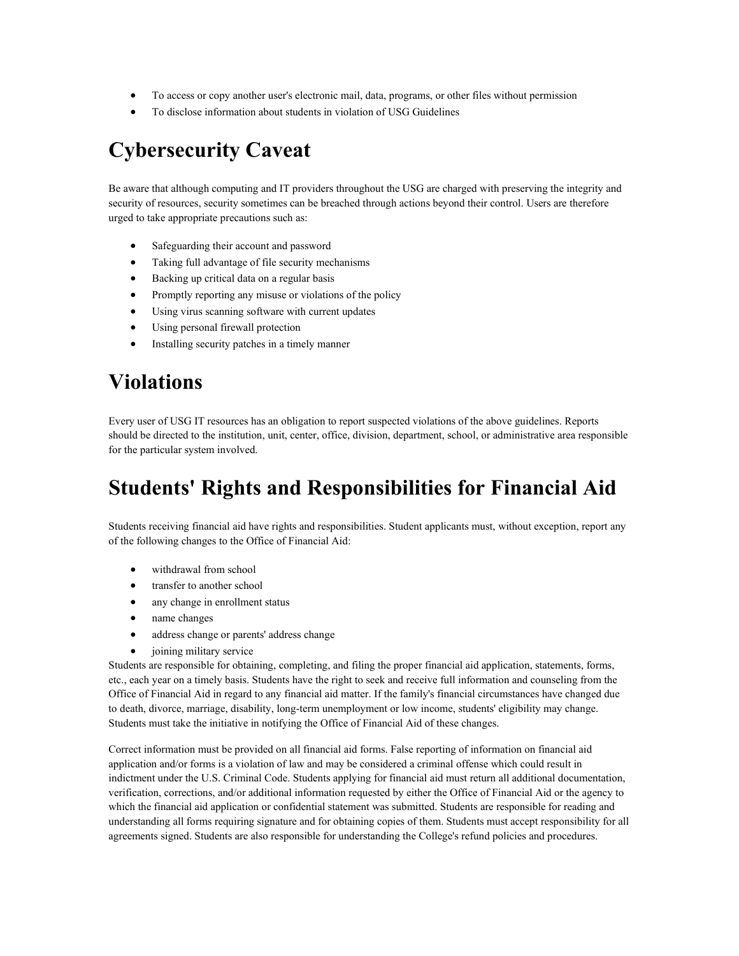- To access or copy another user's electronic mail, data, programs, or other files without permission
- To disclose information about students in violation of USG Guidelines

# **Cybersecurity Caveat**

Be aware that although computing and IT providers throughout the USG are charged with preserving the integrity and security of resources, security sometimes can be breached through actions beyond their control. Users are therefore urged to take appropriate precautions such as:

- Safeguarding their account and password
- Taking full advantage of file security mechanisms
- Backing up critical data on a regular basis
- Promptly reporting any misuse or violations of the policy
- Using virus scanning software with current updates
- Using personal firewall protection
- Installing security patches in a timely manner

## **Violations**

Every user of USG IT resources has an obligation to report suspected violations of the above guidelines. Reports should be directed to the institution, unit, center, office, division, department, school, or administrative area responsible for the particular system involved.

### **Students' Rights and Responsibilities for Financial Aid**

Students receiving financial aid have rights and responsibilities. Student applicants must, without exception, report any of the following changes to the Office of Financial Aid:

- withdrawal from school
- transfer to another school
- any change in enrollment status
- name changes
- address change or parents' address change
- joining military service

Students are responsible for obtaining, completing, and filing the proper financial aid application, statements, forms, etc., each year on a timely basis. Students have the right to seek and receive full information and counseling from the Office of Financial Aid in regard to any financial aid matter. If the family's financial circumstances have changed due to death, divorce, marriage, disability, long-term unemployment or low income, students' eligibility may change. Students must take the initiative in notifying the Office of Financial Aid of these changes.

Correct information must be provided on all financial aid forms. False reporting of information on financial aid application and/or forms is a violation of law and may be considered a criminal offense which could result in indictment under the U.S. Criminal Code. Students applying for financial aid must return all additional documentation, verification, corrections, and/or additional information requested by either the Office of Financial Aid or the agency to which the financial aid application or confidential statement was submitted. Students are responsible for reading and understanding all forms requiring signature and for obtaining copies of them. Students must accept responsibility for all agreements signed. Students are also responsible for understanding the College's refund policies and procedures.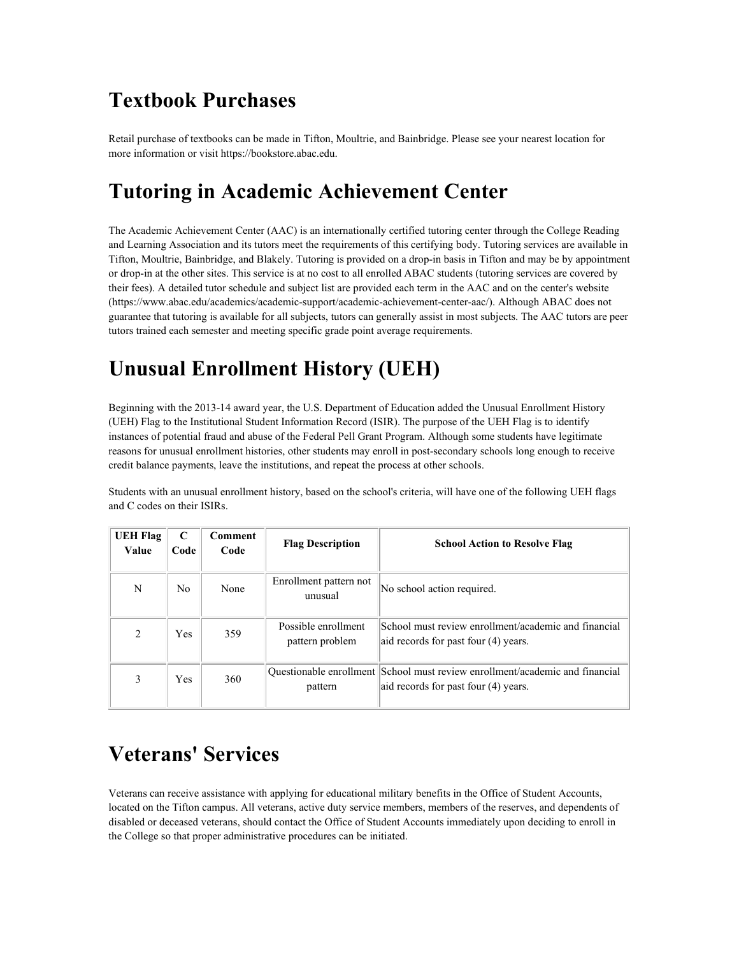## **Textbook Purchases**

Retail purchase of textbooks can be made in Tifton, Moultrie, and Bainbridge. Please see your nearest location for more information or visit https://bookstore.abac.edu.

## **Tutoring in Academic Achievement Center**

The Academic Achievement Center (AAC) is an internationally certified tutoring center through the College Reading and Learning Association and its tutors meet the requirements of this certifying body. Tutoring services are available in Tifton, Moultrie, Bainbridge, and Blakely. Tutoring is provided on a drop-in basis in Tifton and may be by appointment or drop-in at the other sites. This service is at no cost to all enrolled ABAC students (tutoring services are covered by their fees). A detailed tutor schedule and subject list are provided each term in the AAC and on the center's website (https://www.abac.edu/academics/academic-support/academic-achievement-center-aac/). Although ABAC does not guarantee that tutoring is available for all subjects, tutors can generally assist in most subjects. The AAC tutors are peer tutors trained each semester and meeting specific grade point average requirements.

# **Unusual Enrollment History (UEH)**

Beginning with the 2013-14 award year, the U.S. Department of Education added the Unusual Enrollment History (UEH) Flag to the Institutional Student Information Record (ISIR). The purpose of the UEH Flag is to identify instances of potential fraud and abuse of the Federal Pell Grant Program. Although some students have legitimate reasons for unusual enrollment histories, other students may enroll in post-secondary schools long enough to receive credit balance payments, leave the institutions, and repeat the process at other schools.

Students with an unusual enrollment history, based on the school's criteria, will have one of the following UEH flags and C codes on their ISIRs.

| <b>UEH Flag</b><br>Value | C<br>Code | Comment<br>Code | <b>Flag Description</b>                | <b>School Action to Resolve Flag</b>                                                                                   |
|--------------------------|-----------|-----------------|----------------------------------------|------------------------------------------------------------------------------------------------------------------------|
| N                        | No.       | None            | Enrollment pattern not<br>unusual      | No school action required.                                                                                             |
| 2                        | Yes       | 359             | Possible enrollment<br>pattern problem | School must review enrollment/academic and financial<br>aid records for past four (4) years.                           |
| 3                        | Yes       | 360             | pattern                                | Questionable enrollment School must review enrollment/academic and financial<br>aid records for past four $(4)$ years. |

# **Veterans' Services**

Veterans can receive assistance with applying for educational military benefits in the Office of Student Accounts, located on the Tifton campus. All veterans, active duty service members, members of the reserves, and dependents of disabled or deceased veterans, should contact the Office of Student Accounts immediately upon deciding to enroll in the College so that proper administrative procedures can be initiated.